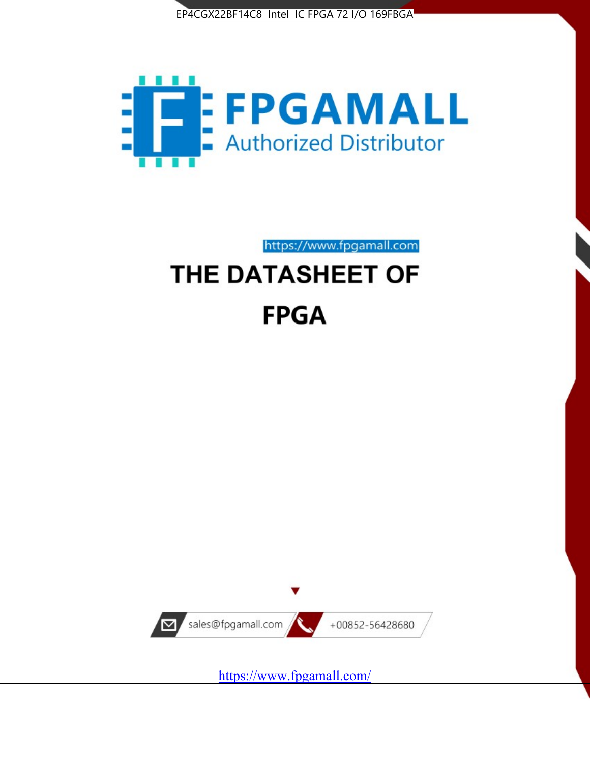



https://www.fpgamall.com

# THE DATASHEET OF **FPGA**



<https://www.fpgamall.com/>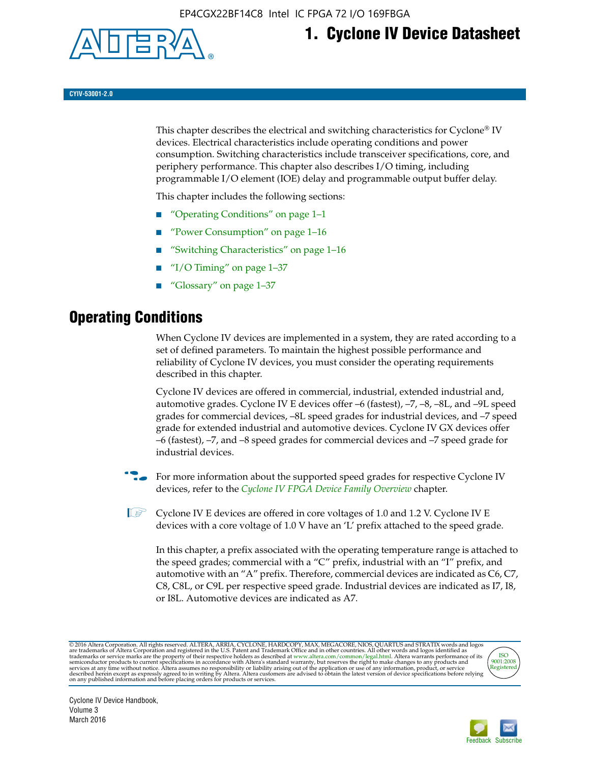

# **1. Cyclone IV Device Datasheet**

**CYIV-53001-2.0**

This chapter describes the electrical and switching characteristics for Cyclone<sup>®</sup> IV devices. Electrical characteristics include operating conditions and power consumption. Switching characteristics include transceiver specifications, core, and periphery performance. This chapter also describes I/O timing, including programmable I/O element (IOE) delay and programmable output buffer delay.

This chapter includes the following sections:

- "Operating Conditions" on page 1–1
- "Power Consumption" on page 1–16
- "Switching Characteristics" on page 1–16
- "I/O Timing" on page  $1-37$
- "Glossary" on page 1–37

# **Operating Conditions**

When Cyclone IV devices are implemented in a system, they are rated according to a set of defined parameters. To maintain the highest possible performance and reliability of Cyclone IV devices, you must consider the operating requirements described in this chapter.

Cyclone IV devices are offered in commercial, industrial, extended industrial and, automotive grades. Cyclone IV E devices offer –6 (fastest), –7, –8, –8L, and –9L speed grades for commercial devices, –8L speed grades for industrial devices, and –7 speed grade for extended industrial and automotive devices. Cyclone IV GX devices offer –6 (fastest), –7, and –8 speed grades for commercial devices and –7 speed grade for industrial devices.

**For more information about the supported speed grades for respective Cyclone IV** devices, refer to the *[Cyclone IV FPGA Device Family Overview](http://www.altera.com/literature/hb/cyclone-iv/cyiv-51001.pdf)* chapter.

 $\mathbb{I} \rightarrow \mathbb{C}$  Cyclone IV E devices are offered in core voltages of 1.0 and 1.2 V. Cyclone IV E devices with a core voltage of 1.0 V have an 'L' prefix attached to the speed grade.

In this chapter, a prefix associated with the operating temperature range is attached to the speed grades; commercial with a "C" prefix, industrial with an "I" prefix, and automotive with an "A" prefix. Therefore, commercial devices are indicated as C6, C7, C8, C8L, or C9L per respective speed grade. Industrial devices are indicated as I7, I8, or I8L. Automotive devices are indicated as A7.

@2016 Altera Corporation. All rights reserved. ALTERA, ARRIA, CYCLONE, HARDCOPY, MAX, MEGACORE, NIOS, QUARTUS and STRATIX words and logos are trademarks of Altera Corporation and registered in the U.S. Patent and Trademark



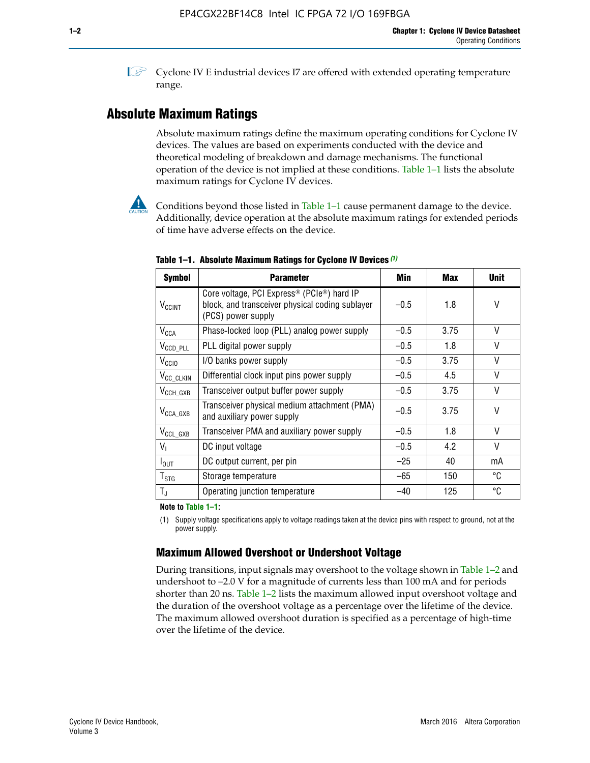**1 Cyclone IV E industrial devices I7 are offered with extended operating temperature** range.

# **Absolute Maximum Ratings**

Absolute maximum ratings define the maximum operating conditions for Cyclone IV devices. The values are based on experiments conducted with the device and theoretical modeling of breakdown and damage mechanisms. The functional operation of the device is not implied at these conditions. Table 1–1 lists the absolute maximum ratings for Cyclone IV devices.



Conditions beyond those listed in Table  $1-1$  cause permanent damage to the device. Additionally, device operation at the absolute maximum ratings for extended periods of time have adverse effects on the device.

| <b>Symbol</b>            | <b>Parameter</b>                                                                                                                             | Min    | <b>Max</b> | <b>Unit</b> |
|--------------------------|----------------------------------------------------------------------------------------------------------------------------------------------|--------|------------|-------------|
| <b>V<sub>CCINT</sub></b> | Core voltage, PCI Express <sup>®</sup> (PCIe <sup>®</sup> ) hard IP<br>block, and transceiver physical coding sublayer<br>(PCS) power supply | $-0.5$ | 1.8        | V           |
| $V_{CCA}$                | Phase-locked loop (PLL) analog power supply                                                                                                  | $-0.5$ | 3.75       | V           |
| $V_{CCD\_PLL}$           | PLL digital power supply                                                                                                                     | $-0.5$ | 1.8        | V           |
| V <sub>CCIO</sub>        | I/O banks power supply                                                                                                                       | $-0.5$ | 3.75       | V           |
| V <sub>CC_CLKIN</sub>    | Differential clock input pins power supply                                                                                                   | $-0.5$ | 4.5        | V           |
| $V_{\text{CCH_GXB}}$     | Transceiver output buffer power supply                                                                                                       | $-0.5$ | 3.75       | V           |
| $V_{\text{CCA\_GXB}}$    | Transceiver physical medium attachment (PMA)<br>and auxiliary power supply                                                                   | $-0.5$ | 3.75       | V           |
| $V_{CCL_GXB}$            | Transceiver PMA and auxiliary power supply                                                                                                   | $-0.5$ | 1.8        | V           |
| $V_{1}$                  | DC input voltage                                                                                                                             | $-0.5$ | 4.2        | V           |
| $I_{\text{OUT}}$         | DC output current, per pin                                                                                                                   | $-25$  | 40         | mA          |
| $T_{\mathtt{STG}}$       | Storage temperature                                                                                                                          | -65    | 150        | °C          |
| $T_{\rm J}$              | Operating junction temperature                                                                                                               | $-40$  | 125        | °C          |

**Table 1–1. Absolute Maximum Ratings for Cyclone IV Devices** *(1)*

**Note to Table 1–1:**

(1) Supply voltage specifications apply to voltage readings taken at the device pins with respect to ground, not at the power supply.

# **Maximum Allowed Overshoot or Undershoot Voltage**

During transitions, input signals may overshoot to the voltage shown in Table 1–2 and undershoot to –2.0 V for a magnitude of currents less than 100 mA and for periods shorter than 20 ns. Table 1–2 lists the maximum allowed input overshoot voltage and the duration of the overshoot voltage as a percentage over the lifetime of the device. The maximum allowed overshoot duration is specified as a percentage of high-time over the lifetime of the device.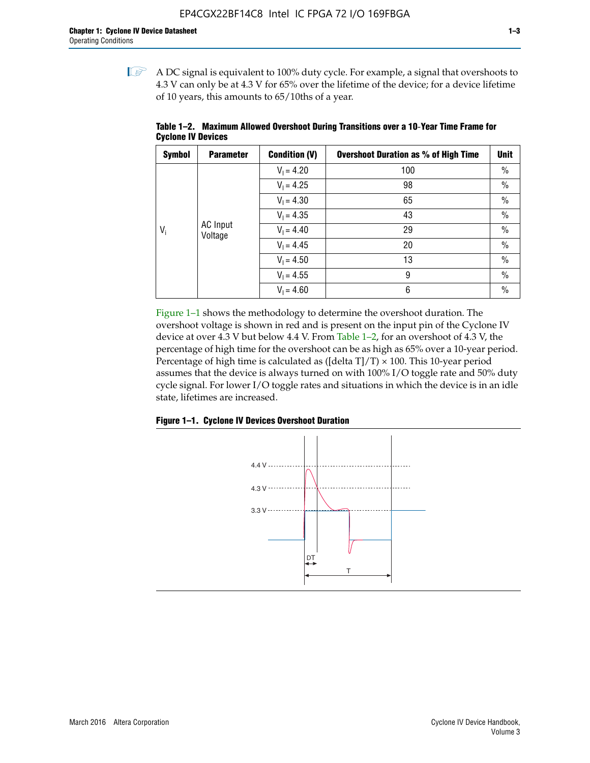$\mathbb{I}$  A DC signal is equivalent to 100% duty cycle. For example, a signal that overshoots to 4.3 V can only be at 4.3 V for 65% over the lifetime of the device; for a device lifetime of 10 years, this amounts to 65/10ths of a year.

| <b>Symbol</b> | <b>Parameter</b>           | <b>Condition (V)</b> | <b>Overshoot Duration as % of High Time</b> | <b>Unit</b>   |
|---------------|----------------------------|----------------------|---------------------------------------------|---------------|
|               |                            | $V_1 = 4.20$         | 100                                         | $\%$          |
|               |                            | $V_1 = 4.25$         | 98                                          | $\%$          |
|               |                            | $V_1 = 4.30$         | 65                                          | $\%$          |
|               |                            | $V_1 = 4.35$         | 43                                          | $\frac{0}{0}$ |
| $V_i$         | <b>AC</b> Input<br>Voltage | $V_1 = 4.40$         | 29                                          | $\frac{0}{0}$ |
|               |                            | $V_1 = 4.45$         | 20                                          | $\%$          |
|               |                            | $V_1 = 4.50$         | 13                                          | $\%$          |
|               |                            | $V_1 = 4.55$         | 9                                           | $\%$          |
|               |                            | $V_1 = 4.60$         | 6                                           | $\%$          |

**Table 1–2. Maximum Allowed Overshoot During Transitions over a 10**-**Year Time Frame for Cyclone IV Devices**

Figure 1–1 shows the methodology to determine the overshoot duration. The overshoot voltage is shown in red and is present on the input pin of the Cyclone IV device at over 4.3 V but below 4.4 V. From Table 1–2, for an overshoot of 4.3 V, the percentage of high time for the overshoot can be as high as 65% over a 10-year period. Percentage of high time is calculated as ([delta  $T$ ]/T)  $\times$  100. This 10-year period assumes that the device is always turned on with 100% I/O toggle rate and 50% duty cycle signal. For lower I/O toggle rates and situations in which the device is in an idle state, lifetimes are increased.



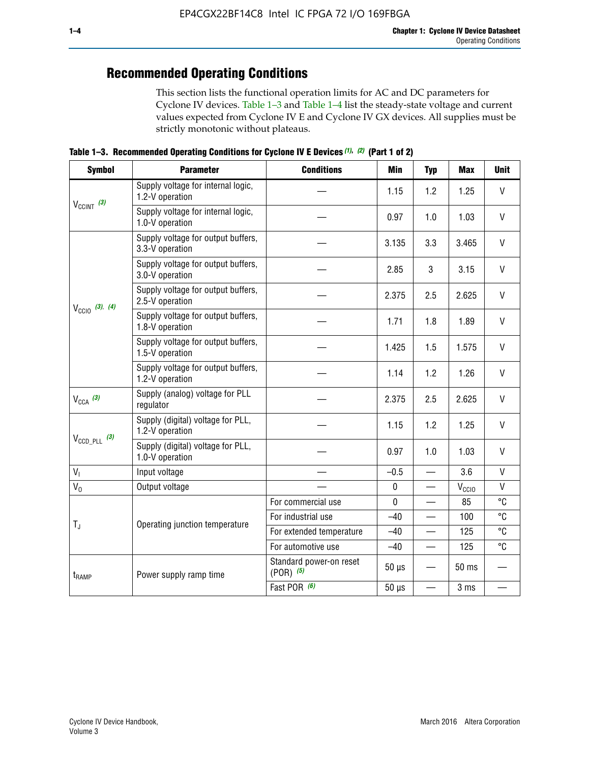# **Recommended Operating Conditions**

This section lists the functional operation limits for AC and DC parameters for Cyclone IV devices. Table 1–3 and Table 1–4 list the steady-state voltage and current values expected from Cyclone IV E and Cyclone IV GX devices. All supplies must be strictly monotonic without plateaus.

**Table 1–3. Recommended Operating Conditions for Cyclone IV E Devices** *(1)***,** *(2)* **(Part 1 of 2)**

| <b>Symbol</b>                                                                               | <b>Parameter</b>                                      | <b>Conditions</b>                      | <b>Min</b>  | <b>Typ</b>               | <b>Max</b>     | <b>Unit</b>  |
|---------------------------------------------------------------------------------------------|-------------------------------------------------------|----------------------------------------|-------------|--------------------------|----------------|--------------|
|                                                                                             | Supply voltage for internal logic,<br>1.2-V operation |                                        | 1.15        | 1.2                      | 1.25           | $\mathsf{V}$ |
|                                                                                             | Supply voltage for internal logic,<br>1.0-V operation |                                        | 0.97        | 1.0                      | 1.03           | $\mathsf{V}$ |
|                                                                                             | Supply voltage for output buffers,<br>3.3-V operation |                                        | 3.135       | 3.3                      | 3.465          | $\vee$       |
| $V_{CClNT}$ (3)<br>$V_{\text{CC10}}$ (3), (4)<br>$V_{CCA}$ (3)<br>$V_{\text{CCD\_PLL}}$ (3) | Supply voltage for output buffers,<br>3.0-V operation |                                        | 2.85        | 3                        | 3.15           | V            |
|                                                                                             | Supply voltage for output buffers,<br>2.5-V operation |                                        | 2.375       | 2.5                      | 2.625          | $\vee$       |
|                                                                                             | Supply voltage for output buffers,<br>1.8-V operation |                                        | 1.71        | 1.8                      | 1.89           | V            |
|                                                                                             | Supply voltage for output buffers,<br>1.5-V operation |                                        | 1.425       | 1.5                      | 1.575          | $\vee$       |
|                                                                                             | Supply voltage for output buffers,<br>1.2-V operation |                                        | 1.14        | 1.2                      | 1.26           | $\mathsf{V}$ |
|                                                                                             | Supply (analog) voltage for PLL<br>regulator          |                                        | 2.375       | 2.5                      | 2.625          | $\vee$       |
| V <sub>1</sub><br>$V_0$<br>$T_{\rm J}$<br>$t_{\rm{RAMP}}$                                   | Supply (digital) voltage for PLL,<br>1.2-V operation  |                                        | 1.15        | 1.2                      | 1.25           | V            |
|                                                                                             | Supply (digital) voltage for PLL,<br>1.0-V operation  |                                        | 0.97        | 1.0                      | 1.03           | $\vee$       |
|                                                                                             | Input voltage                                         |                                        | $-0.5$      | $\overline{\phantom{0}}$ | 3.6            | $\mathsf{V}$ |
|                                                                                             | Output voltage                                        |                                        | $\pmb{0}$   | —                        | $V_{\rm CClO}$ | $\mathsf{V}$ |
|                                                                                             |                                                       | For commercial use                     | $\mathbf 0$ |                          | 85             | °C           |
|                                                                                             | Operating junction temperature                        | For industrial use                     | $-40$       |                          | 100            | °C           |
|                                                                                             |                                                       | For extended temperature               | $-40$       |                          | 125            | °C           |
|                                                                                             |                                                       | For automotive use                     | $-40$       | $\qquad \qquad$          | 125            | °C           |
|                                                                                             | Power supply ramp time                                | Standard power-on reset<br>$(POR)$ (5) | $50 \mu s$  |                          | 50 ms          |              |
|                                                                                             |                                                       | Fast POR (6)                           | $50 \mu s$  | $\overline{\phantom{0}}$ | 3 ms           |              |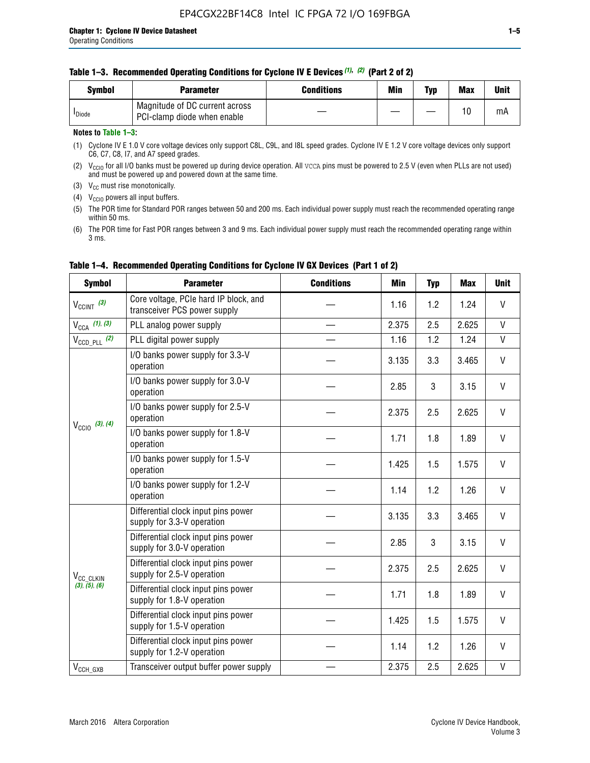| <b>Symbol</b>      | <b>Parameter</b>                                              | <b>Conditions</b> | Min | Typ | <b>Max</b> | Unit |
|--------------------|---------------------------------------------------------------|-------------------|-----|-----|------------|------|
| <sup>I</sup> Diode | Magnitude of DC current across<br>PCI-clamp diode when enable |                   |     |     | 10         | mA   |

# **Notes to Table 1–3:**

(1) Cyclone IV E 1.0 V core voltage devices only support C8L, C9L, and I8L speed grades. Cyclone IV E 1.2 V core voltage devices only support C6, C7, C8, I7, and A7 speed grades.

(2)  $V_{CCIO}$  for all I/O banks must be powered up during device operation. All vcca pins must be powered to 2.5 V (even when PLLs are not used) and must be powered up and powered down at the same time.

(3)  $V_{CC}$  must rise monotonically.

(4)  $V_{\text{CCIO}}$  powers all input buffers.

(5) The POR time for Standard POR ranges between 50 and 200 ms. Each individual power supply must reach the recommended operating range within 50 ms.

(6) The POR time for Fast POR ranges between 3 and 9 ms. Each individual power supply must reach the recommended operating range within 3 ms.

| <b>Symbol</b>                                                        | <b>Parameter</b>                                                      | <b>Conditions</b> | <b>Min</b> | <b>Typ</b> | <b>Max</b> | <b>Unit</b>  |
|----------------------------------------------------------------------|-----------------------------------------------------------------------|-------------------|------------|------------|------------|--------------|
| $V_{\text{CCINT}}$ (3)                                               | Core voltage, PCIe hard IP block, and<br>transceiver PCS power supply |                   | 1.16       | 1.2        | 1.24       | V            |
| $V_{CCA}$ (1), (3)                                                   | PLL analog power supply                                               |                   | 2.375      | 2.5        | 2.625      | V            |
| $V_{\text{CCD\_PLL}}$ (2)                                            | PLL digital power supply                                              |                   | 1.16       | 1.2        | 1.24       | $\mathsf{V}$ |
|                                                                      | I/O banks power supply for 3.3-V<br>operation                         |                   | 3.135      | 3.3        | 3.465      | V            |
| $V_{\text{CC10}}$ (3), (4)<br>V <sub>CC_CLKIN</sub><br>(3), (5), (6) | I/O banks power supply for 3.0-V<br>operation                         |                   | 2.85       | 3          | 3.15       | V            |
|                                                                      | I/O banks power supply for 2.5-V<br>operation                         |                   | 2.375      | 2.5        | 2.625      | V            |
|                                                                      | I/O banks power supply for 1.8-V<br>operation                         |                   | 1.71       | 1.8        | 1.89       | V            |
|                                                                      | I/O banks power supply for 1.5-V<br>operation                         |                   | 1.425      | 1.5        | 1.575      | V            |
|                                                                      | I/O banks power supply for 1.2-V<br>operation                         |                   | 1.14       | 1.2        | 1.26       | $\mathsf{V}$ |
|                                                                      | Differential clock input pins power<br>supply for 3.3-V operation     |                   | 3.135      | 3.3        | 3.465      | V            |
|                                                                      | Differential clock input pins power<br>supply for 3.0-V operation     |                   | 2.85       | 3          | 3.15       | V            |
|                                                                      | Differential clock input pins power<br>supply for 2.5-V operation     |                   | 2.375      | 2.5        | 2.625      | V            |
|                                                                      | Differential clock input pins power<br>supply for 1.8-V operation     |                   | 1.71       | 1.8        | 1.89       | V            |
|                                                                      | Differential clock input pins power<br>supply for 1.5-V operation     |                   | 1.425      | 1.5        | 1.575      | V            |
|                                                                      | Differential clock input pins power<br>supply for 1.2-V operation     |                   | 1.14       | 1.2        | 1.26       | V            |
| $V_{CCH_GXB}$                                                        | Transceiver output buffer power supply                                |                   | 2.375      | 2.5        | 2.625      | V            |

# **Table 1–4. Recommended Operating Conditions for Cyclone IV GX Devices (Part 1 of 2)**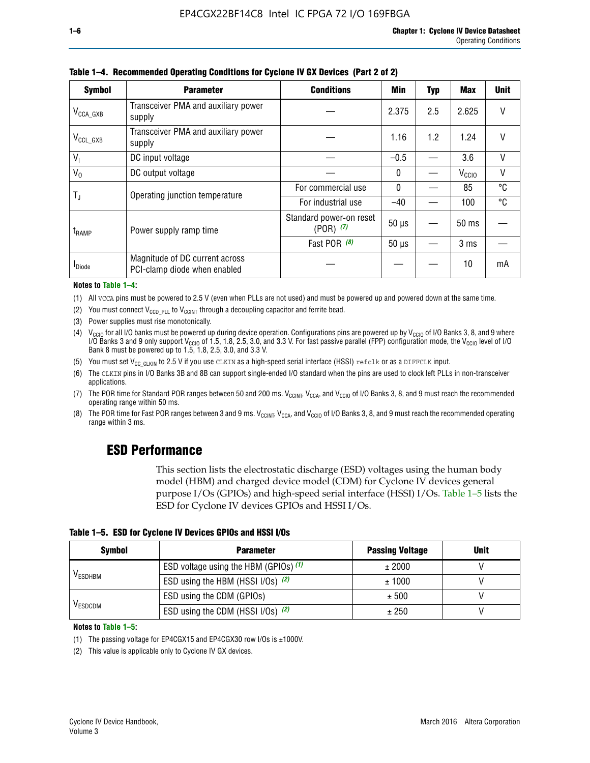| <b>Symbol</b>         | <b>Parameter</b>                                               | <b>Conditions</b>                        | Min          | Typ | Max               | <b>Unit</b> |
|-----------------------|----------------------------------------------------------------|------------------------------------------|--------------|-----|-------------------|-------------|
| $V_{\text{CCA\_GXB}}$ | Transceiver PMA and auxiliary power<br>supply                  |                                          | 2.375        | 2.5 | 2.625             | V           |
| $V_{CCL_GXB}$         | Transceiver PMA and auxiliary power<br>supply                  |                                          | 1.16         | 1.2 | 1.24              | V           |
| $V_{1}$               | DC input voltage                                               |                                          | $-0.5$       |     | 3.6               | V           |
| $V_0$                 | DC output voltage                                              |                                          | $\mathbf{0}$ |     | V <sub>CCIO</sub> | ٧           |
|                       | Operating junction temperature                                 | For commercial use                       | $\mathbf{0}$ |     | 85                | °C          |
| T,                    |                                                                | For industrial use                       | $-40$        |     | 100               | °C          |
| t <sub>RAMP</sub>     | Power supply ramp time                                         | Standard power-on reset<br>$(POR)$ $(7)$ | $50 \mu s$   |     | $50$ ms           |             |
|                       |                                                                | Fast POR (8)                             | $50 \mu s$   |     | 3 <sub>ms</sub>   |             |
| <b>I</b> Diode        | Magnitude of DC current across<br>PCI-clamp diode when enabled |                                          |              |     | 10                | mA          |

#### **Table 1–4. Recommended Operating Conditions for Cyclone IV GX Devices (Part 2 of 2)**

#### **Notes to Table 1–4:**

- (1) All VCCA pins must be powered to 2.5 V (even when PLLs are not used) and must be powered up and powered down at the same time.
- (2) You must connect  $V_{CCD-PLL}$  to  $V_{CCINT}$  through a decoupling capacitor and ferrite bead.
- (3) Power supplies must rise monotonically.
- (4)  $V_{\text{CCIO}}$  for all I/O banks must be powered up during device operation. Configurations pins are powered up by V<sub>CCIO</sub> of I/O Banks 3, 8, and 9 where I/O Banks 3 and 9 only support V<sub>CCIO</sub> of 1.5, 1.8, 2.5, 3.0, and 3.3 V. For fast passive parallel (FPP) configuration mode, the V<sub>CCIO</sub> level of I/O<br>Bank 8 must be powered up to 1.5, 1.8, 2.5, 3.0, and 3.3 V.
- (5) You must set  $V_{CC_CCLKIN}$  to 2.5 V if you use CLKIN as a high-speed serial interface (HSSI) refclk or as a DIFFCLK input.
- (6) The CLKIN pins in I/O Banks 3B and 8B can support single-ended I/O standard when the pins are used to clock left PLLs in non-transceiver applications.
- (7) The POR time for Standard POR ranges between 50 and 200 ms.  $V_{\text{CCIA}}$ ,  $V_{\text{CCIA}}$ , and  $V_{\text{CCIO}}$  of I/O Banks 3, 8, and 9 must reach the recommended operating range within 50 ms.
- (8) The POR time for Fast POR ranges between 3 and 9 ms.  $V_{\text{CCH},T}$ ,  $V_{\text{CCA}}$ , and  $V_{\text{CCI}}$  of I/O Banks 3, 8, and 9 must reach the recommended operating range within 3 ms.

# **ESD Performance**

This section lists the electrostatic discharge (ESD) voltages using the human body model (HBM) and charged device model (CDM) for Cyclone IV devices general purpose I/Os (GPIOs) and high-speed serial interface (HSSI) I/Os. Table 1–5 lists the ESD for Cyclone IV devices GPIOs and HSSI I/Os.

|  |  |  |  |  |  |  | Table 1–5. ESD for Cyclone IV Devices GPIOs and HSSI I/Os |  |  |
|--|--|--|--|--|--|--|-----------------------------------------------------------|--|--|
|--|--|--|--|--|--|--|-----------------------------------------------------------|--|--|

| <b>Symbol</b>  | <b>Parameter</b>                      | <b>Passing Voltage</b> | <b>Unit</b> |
|----------------|---------------------------------------|------------------------|-------------|
|                | ESD voltage using the HBM (GPIOs) (1) | ± 2000                 |             |
| <b>VESDHBM</b> | ESD using the HBM (HSSI I/Os) (2)     | ± 1000                 |             |
|                | ESD using the CDM (GPIOs)             | ± 500                  |             |
| <b>VESDCDM</b> | ESD using the CDM (HSSI I/Os) (2)     | ± 250                  |             |

#### **Notes to Table 1–5:**

(1) The passing voltage for EP4CGX15 and EP4CGX30 row I/Os is ±1000V.

(2) This value is applicable only to Cyclone IV GX devices.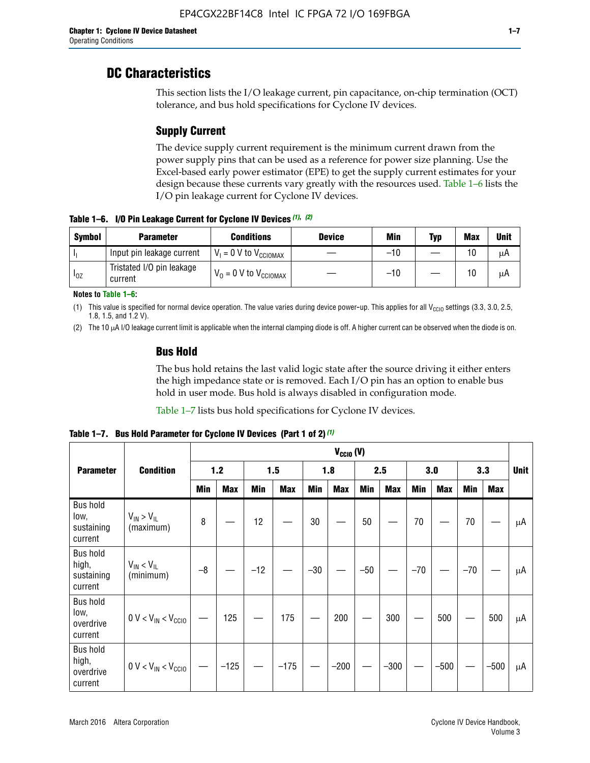# **DC Characteristics**

This section lists the I/O leakage current, pin capacitance, on-chip termination (OCT) tolerance, and bus hold specifications for Cyclone IV devices.

# **Supply Current**

The device supply current requirement is the minimum current drawn from the power supply pins that can be used as a reference for power size planning. Use the Excel-based early power estimator (EPE) to get the supply current estimates for your design because these currents vary greatly with the resources used. Table 1–6 lists the I/O pin leakage current for Cyclone IV devices.

**Table 1–6. I/O Pin Leakage Current for Cyclone IV Devices** *(1)***,** *(2)*

| <b>Symbol</b> | <b>Parameter</b>                     | <b>Conditions</b>                     | <b>Device</b> | Min   | Typ | <b>Max</b> | <b>Unit</b> |
|---------------|--------------------------------------|---------------------------------------|---------------|-------|-----|------------|-------------|
| -lı           | Input pin leakage current            | $V_1 = 0$ V to $V_{\text{CCIOMAX}}$   |               | $-10$ |     | 10         | μA          |
| $I_{0Z}$      | Tristated I/O pin leakage<br>current | $V_0 = 0 V$ to $V_{\text{CCIOMAX}}$ I |               | $-10$ |     | 10         | μA          |

**Notes to Table 1–6:**

(1) This value is specified for normal device operation. The value varies during device power-up. This applies for all V<sub>CCIO</sub> settings (3.3, 3.0, 2.5, 1.8, 1.5, and 1.2 V).

(2) The 10 µA I/O leakage current limit is applicable when the internal clamping diode is off. A higher current can be observed when the diode is on.

# **Bus Hold**

The bus hold retains the last valid logic state after the source driving it either enters the high impedance state or is removed. Each I/O pin has an option to enable bus hold in user mode. Bus hold is always disabled in configuration mode.

Table 1–7 lists bus hold specifications for Cyclone IV devices.

|                                                   |                                  | $V_{CClO}$ (V) |            |       |            |            |            |            |            |       |            |       |            |             |
|---------------------------------------------------|----------------------------------|----------------|------------|-------|------------|------------|------------|------------|------------|-------|------------|-------|------------|-------------|
| <b>Parameter</b>                                  | <b>Condition</b>                 | 1.2            |            |       | 1.5        |            | 1.8        |            | 2.5        | 3.0   |            | 3.3   |            | <b>Unit</b> |
|                                                   |                                  | <b>Min</b>     | <b>Max</b> | Min   | <b>Max</b> | <b>Min</b> | <b>Max</b> | <b>Min</b> | <b>Max</b> | Min   | <b>Max</b> | Min   | <b>Max</b> |             |
| <b>Bus hold</b><br>low,<br>sustaining<br>current  | $V_{IN}$ > $V_{IL}$<br>(maximum) | 8              |            | 12    |            | $30\,$     |            | 50         |            | 70    |            | 70    |            | μA          |
| <b>Bus hold</b><br>high,<br>sustaining<br>current | $V_{IN}$ < $V_{IL}$<br>(minimum) | $-8$           |            | $-12$ |            | $-30$      |            | $-50$      |            | $-70$ |            | $-70$ |            | μA          |
| <b>Bus hold</b><br>low,<br>overdrive<br>current   | $0 V < V_{IN} < V_{CG10}$        |                | 125        |       | 175        |            | 200        |            | 300        |       | 500        |       | 500        | μA          |
| <b>Bus hold</b><br>high,<br>overdrive<br>current  | $0 V < V_{IN} < V_{CG10}$        |                | $-125$     |       | $-175$     |            | $-200$     |            | $-300$     |       | $-500$     |       | $-500$     | μA          |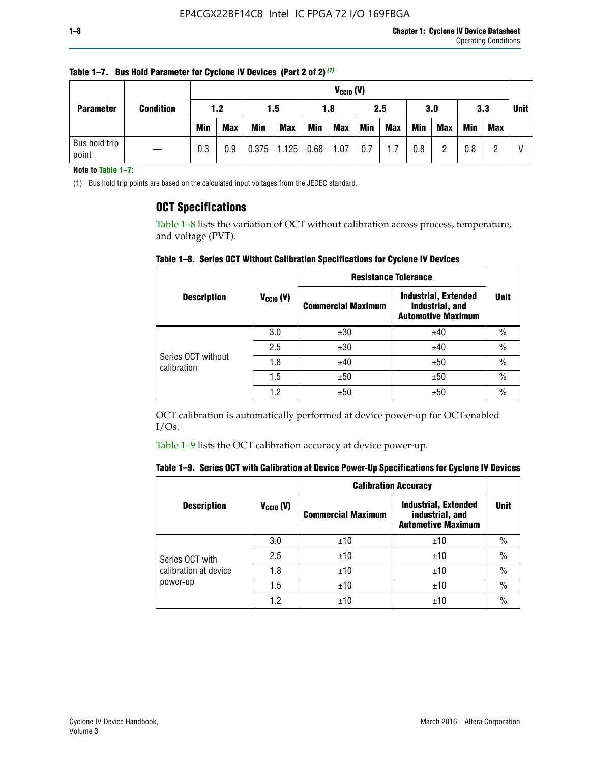| <b>Parameter</b>       | <b>Condition</b> |            | $V_{CClO}$ (V) |            |                        |     |            |            |     |     |            |            |     |  |
|------------------------|------------------|------------|----------------|------------|------------------------|-----|------------|------------|-----|-----|------------|------------|-----|--|
|                        |                  | 1.2        |                |            | 1.5                    |     | 1.8        |            | 2.5 |     | 3.0        |            | 3.3 |  |
|                        |                  | <b>Min</b> | <b>Max</b>     | <b>Min</b> | <b>Max</b>             | Min | <b>Max</b> | <b>Min</b> | Max | Min | <b>Max</b> | <b>Min</b> | Max |  |
| Bus hold trip<br>point |                  | 0.3        | 0.9            |            | $0.375$   1.125   0.68 |     | 1.07       | 0.7        | 1.7 | 0.8 | n          | 0.8        |     |  |

**Table 1–7. Bus Hold Parameter for Cyclone IV Devices (Part 2 of 2)** *(1)*

**Note to Table 1–7:**

(1) Bus hold trip points are based on the calculated input voltages from the JEDEC standard.

# **OCT Specifications**

Table 1–8 lists the variation of OCT without calibration across process, temperature, and voltage (PVT).

**Table 1–8. Series OCT Without Calibration Specifications for Cyclone IV Devices**

|                                   |                      | <b>Resistance Tolerance</b> |                                                                             |               |
|-----------------------------------|----------------------|-----------------------------|-----------------------------------------------------------------------------|---------------|
| <b>Description</b>                | $V_{\text{CCIO}}(V)$ | <b>Commercial Maximum</b>   | <b>Industrial, Extended</b><br>industrial, and<br><b>Automotive Maximum</b> | <b>Unit</b>   |
|                                   | 3.0                  | ±30                         | ±40                                                                         | $\frac{0}{0}$ |
|                                   | 2.5                  | ±30                         | ±40                                                                         | $\frac{0}{0}$ |
| Series OCT without<br>calibration | 1.8                  | ±40                         | ±50                                                                         | $\frac{0}{0}$ |
|                                   | 1.5                  | ±50                         | ±50                                                                         | $\frac{0}{0}$ |
|                                   | 1.2                  | ±50                         | ±50                                                                         | $\frac{0}{0}$ |

OCT calibration is automatically performed at device power-up for OCT-enabled I/Os.

Table 1–9 lists the OCT calibration accuracy at device power-up.

|  |  | Table 1–9.  Series OCT with Calibration at Device Power-Up Specifications for Cyclone IV Devices |  |  |  |  |  |  |
|--|--|--------------------------------------------------------------------------------------------------|--|--|--|--|--|--|
|--|--|--------------------------------------------------------------------------------------------------|--|--|--|--|--|--|

|                       |                      | <b>Calibration Accuracy</b> |                                                                             |               |
|-----------------------|----------------------|-----------------------------|-----------------------------------------------------------------------------|---------------|
| <b>Description</b>    | $V_{\text{CCIO}}(V)$ | <b>Commercial Maximum</b>   | <b>Industrial, Extended</b><br>industrial, and<br><b>Automotive Maximum</b> | <b>Unit</b>   |
|                       | 3.0                  | ±10                         | ±10                                                                         | $\%$          |
| Series OCT with       | 2.5                  | ±10                         | ±10                                                                         | $\frac{0}{0}$ |
| calibration at device | 1.8                  | ±10                         | ±10                                                                         | $\%$          |
| power-up              | 1.5                  | ±10                         | ±10                                                                         | $\%$          |
|                       | 1.2                  | ±10                         | ±10                                                                         | $\frac{0}{0}$ |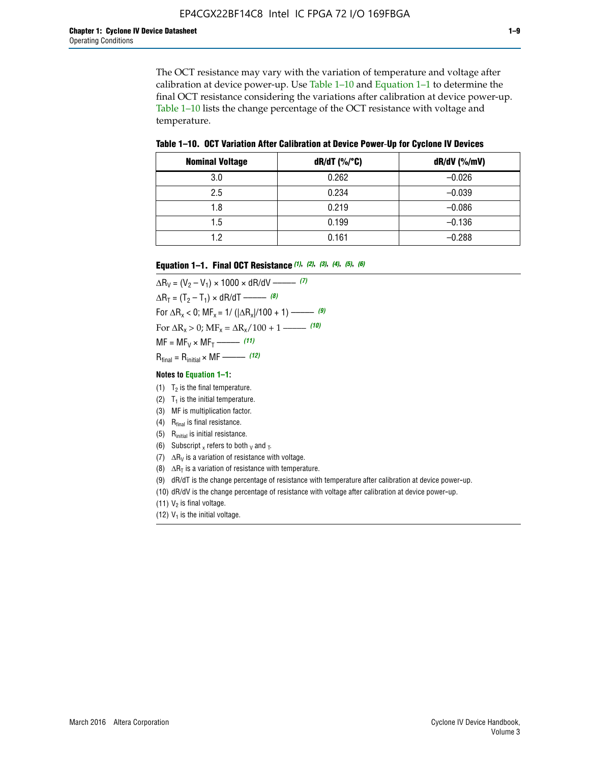The OCT resistance may vary with the variation of temperature and voltage after calibration at device power-up. Use Table 1–10 and Equation 1–1 to determine the final OCT resistance considering the variations after calibration at device power-up. Table 1–10 lists the change percentage of the OCT resistance with voltage and temperature.

**Table 1–10. OCT Variation After Calibration at Device Power**-**Up for Cyclone IV Devices**

| <b>Nominal Voltage</b> | dR/dT (%/°C) | $dR/dV$ (%/mV) |
|------------------------|--------------|----------------|
| 3.0                    | 0.262        | $-0.026$       |
| 2.5                    | 0.234        | $-0.039$       |
| 1.8                    | 0.219        | $-0.086$       |
| 1.5                    | 0.199        | $-0.136$       |
| 1.2                    | 0.161        | $-0.288$       |

#### **Equation 1–1. Final OCT Resistance** *(1)***,** *(2)***,** *(3)***,** *(4)***,** *(5)***,** *(6)*

 $\Delta R_V = (V_2 - V_1) \times 1000 \times dR/dV$  ––––––––––––(7)  $\Delta R_T = (T_2 - T_1) \times dR/dT$  ––––––– (8) For  $\Delta R_x < 0$ ; MF<sub>x</sub> = 1/ ( $|\Delta R_x|/100 + 1$ ) –––––– (9) For  $\Delta R_x > 0$ ;  $\text{MF}_x = \Delta R_x / 100 + 1$  ——– (10)  $MF = MF_V \times MF_T$  –––––––––––(11) Rfinal = Rinitial × MF ––––– *(12)*

#### **Notes to Equation 1–1:**

- (1)  $T_2$  is the final temperature.
- (2)  $T_1$  is the initial temperature.
- (3) MF is multiplication factor.
- (4)  $R<sub>final</sub>$  is final resistance.
- (5) Rinitial is initial resistance.
- (6) Subscript x refers to both  $\sqrt{v}$  and  $\sqrt{v}$ .
- (7)  $\Delta R_V$  is a variation of resistance with voltage.
- (8)  $\Delta R_T$  is a variation of resistance with temperature.
- (9) dR/dT is the change percentage of resistance with temperature after calibration at device power-up.
- (10) dR/dV is the change percentage of resistance with voltage after calibration at device power-up.
- (11)  $V_2$  is final voltage.
- (12)  $V_1$  is the initial voltage.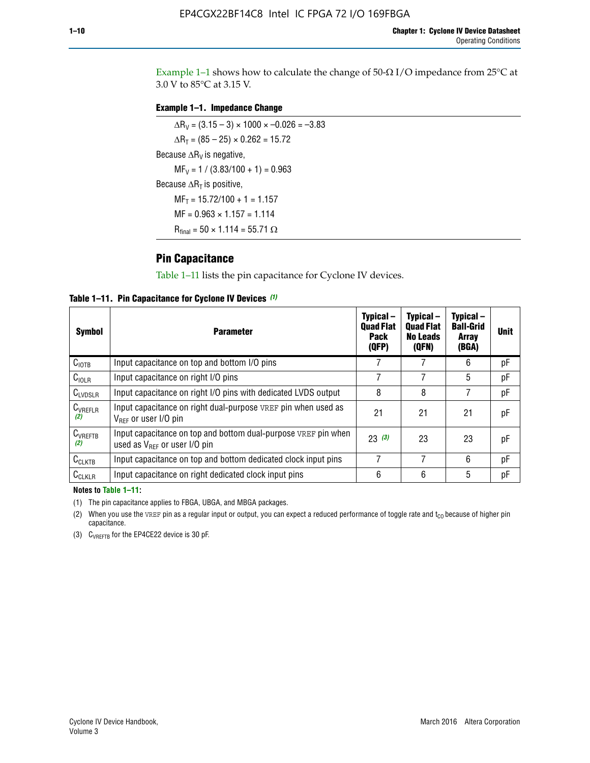Example 1-1 shows how to calculate the change of  $50$ - $\Omega$  I/O impedance from 25°C at 3.0 V to 85°C at 3.15 V.

# **Example 1–1. Impedance Change**

 $\Delta R_V = (3.15 - 3) \times 1000 \times -0.026 = -3.83$  $\Delta R_T = (85 - 25) \times 0.262 = 15.72$ Because  $\Delta R_V$  is negative,  $MF_V = 1 / (3.83/100 + 1) = 0.963$ Because  $\Delta R_T$  is positive,  $MF_T = 15.72/100 + 1 = 1.157$  $MF = 0.963 \times 1.157 = 1.114$  $R_{final} = 50 \times 1.114 = 55.71 \Omega$ 

# **Pin Capacitance**

Table 1–11 lists the pin capacitance for Cyclone IV devices.

**Table 1–11. Pin Capacitance for Cyclone IV Devices** *(1)*

| Symbol              | <b>Parameter</b>                                                                                           | Typical-<br><b>Quad Flat</b><br><b>Pack</b><br>(QFP) | Typical-<br><b>Quad Flat</b><br><b>No Leads</b><br>(QFN) | Typical-<br><b>Ball-Grid</b><br><b>Array</b><br>(BGA) | <b>Unit</b> |
|---------------------|------------------------------------------------------------------------------------------------------------|------------------------------------------------------|----------------------------------------------------------|-------------------------------------------------------|-------------|
| C <sub>IOTB</sub>   | Input capacitance on top and bottom I/O pins                                                               |                                                      |                                                          | 6                                                     | рF          |
| $C_{IOLR}$          | Input capacitance on right I/O pins                                                                        |                                                      |                                                          | 5                                                     | рF          |
| $C_{LVDSLR}$        | Input capacitance on right I/O pins with dedicated LVDS output                                             | 8                                                    | 8                                                        |                                                       | рF          |
| $C_{VREFLR}$<br>(2) | Input capacitance on right dual-purpose VREF pin when used as<br>$V_{BFE}$ or user I/O pin                 | 21                                                   | 21                                                       | 21                                                    | pF          |
| $C_{VREFTB}$<br>(2) | Input capacitance on top and bottom dual-purpose VREF pin when<br>used as $V_{\text{RFF}}$ or user I/O pin | 23(3)                                                | 23                                                       | 23                                                    | pF          |
| $C_{CLKTB}$         | Input capacitance on top and bottom dedicated clock input pins                                             | 7                                                    | 7                                                        | 6                                                     | pF          |
| $C_{CLKLR}$         | Input capacitance on right dedicated clock input pins                                                      | 6                                                    | 6                                                        | 5                                                     | рF          |

#### **Notes to Table 1–11:**

(1) The pin capacitance applies to FBGA, UBGA, and MBGA packages.

(2) When you use the VREF pin as a regular input or output, you can expect a reduced performance of toggle rate and  $t_{\rm CO}$  because of higher pin capacitance.

(3) CVREFTB for the EP4CE22 device is 30 pF.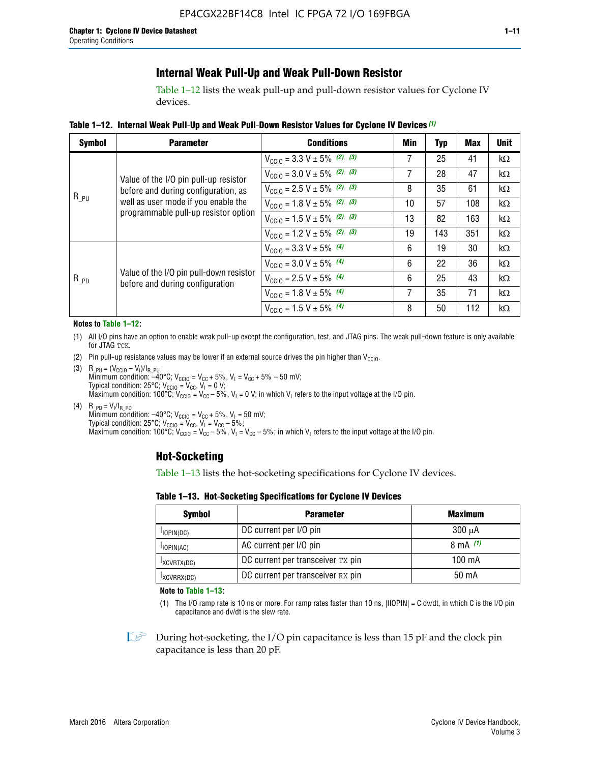# **Internal Weak Pull-Up and Weak Pull-Down Resistor**

Table 1–12 lists the weak pull-up and pull-down resistor values for Cyclone IV devices.

**Table 1–12. Internal Weak Pull**-**Up and Weak Pull**-**Down Resistor Values for Cyclone IV Devices** *(1)*

| <b>Symbol</b> | <b>Parameter</b>                                                                                                                                            | <b>Conditions</b>                                  | Min | <b>Typ</b> | <b>Max</b> | <b>Unit</b> |
|---------------|-------------------------------------------------------------------------------------------------------------------------------------------------------------|----------------------------------------------------|-----|------------|------------|-------------|
| $R_{PU}$      |                                                                                                                                                             | $V_{\text{CC10}} = 3.3 \text{ V} \pm 5\%$ (2), (3) | 7   | 25         | 41         | $k\Omega$   |
|               | Value of the I/O pin pull-up resistor<br>before and during configuration, as<br>well as user mode if you enable the<br>programmable pull-up resistor option | $V_{\text{CC10}} = 3.0 \text{ V} \pm 5\%$ (2), (3) | 7   | 28         | 47         | kΩ          |
|               |                                                                                                                                                             | $V_{\text{CC10}} = 2.5 V \pm 5\%$ (2), (3)         | 8   | 35         | 61         | kΩ          |
|               |                                                                                                                                                             | $V_{\text{CGI0}} = 1.8 V \pm 5\%$ (2), (3)         | 10  | 57         | 108        | $k\Omega$   |
|               |                                                                                                                                                             | $V_{\text{CC10}} = 1.5 V \pm 5\%$ (2), (3)         | 13  | 82         | 163        | $k\Omega$   |
|               |                                                                                                                                                             | $V_{\text{CC10}} = 1.2 V \pm 5\%$ (2), (3)         | 19  | 143        | 351        | kΩ          |
|               |                                                                                                                                                             | $V_{\text{CC10}} = 3.3 V \pm 5\%$ (4)              | 6   | 19         | 30         | kΩ          |
|               |                                                                                                                                                             | $V_{\text{CC10}} = 3.0 V \pm 5\%$ (4)              | 6   | 22         | 36         | $k\Omega$   |
| $R_{PD}$      | Value of the I/O pin pull-down resistor<br>before and during configuration                                                                                  | $V_{\text{CC10}} = 2.5 V \pm 5\%$ (4)              | 6   | 25         | 43         | kΩ          |
|               |                                                                                                                                                             | $V_{\text{CC10}} = 1.8 V \pm 5\%$ (4)              | 7   | 35         | 71         | $k\Omega$   |
|               |                                                                                                                                                             | $V_{\text{CC10}} = 1.5 V \pm 5\%$ (4)              | 8   | 50         | 112        | kΩ          |

#### **Notes to Table 1–12:**

- (1) All I/O pins have an option to enable weak pull-up except the configuration, test, and JTAG pins. The weak pull-down feature is only available for JTAG TCK.
- (2) Pin pull-up resistance values may be lower if an external source drives the pin higher than  $V_{\text{CCIO}}$ .
- (3)  $R_{PU} = (V_{CC10} V_1)/I_{R_PU}$ Minimum condition: –40°C; V<sub>CCIO</sub> = V<sub>CC</sub> + 5%, V<sub>I</sub> = V<sub>CC</sub> + 5% – 50 mV; Typical condition: 25°C; V<sub>CCIO</sub> = V<sub>CC</sub>, V<sub>I</sub> = 0 V; Maximum condition: 100°C;  $V_{\text{CCIO}} = V_{\text{CC}} - 5\%$ ,  $V_1 = 0$  V; in which V<sub>I</sub> refers to the input voltage at the I/O pin.
- (4)  $R_{PD} = V_I/I_{R_PD}$ Minimum condition:  $-40^{\circ}$ C; V<sub>CCIO</sub> = V<sub>CC</sub> + 5%, V<sub>I</sub> = 50 mV; Typical condition: 25°C;  $V_{\text{CCIO}} = V_{\text{CC}}$ ,  $V_{\text{I}} = V_{\text{CC}} - 5\%$ ; Maximum condition: 100°C; V<sub>CClO</sub> = V<sub>CC</sub> – 5%, V<sub>I</sub> = V<sub>CC</sub> – 5%; in which V<sub>I</sub> refers to the input voltage at the I/O pin.

# **Hot-Socketing**

Table 1–13 lists the hot-socketing specifications for Cyclone IV devices.

**Table 1–13. Hot**-**Socketing Specifications for Cyclone IV Devices**

| <b>Symbol</b> | <b>Parameter</b>                  | <b>Maximum</b> |
|---------------|-----------------------------------|----------------|
| $I$ IOPIN(DC) | DC current per I/O pin            | $300 \mu A$    |
| $I$ IOPIN(AC) | AC current per I/O pin            | 8 mA $(1)$     |
| IXCVRTX(DC)   | DC current per transceiver TX pin | 100 mA         |
| IXCVRRX(DC)   | DC current per transceiver RX pin | 50 mA          |

**Note to Table 1–13:**

(1) The I/O ramp rate is 10 ns or more. For ramp rates faster than 10 ns, |IIOPIN| = C dv/dt, in which C is the I/O pin capacitance and dv/dt is the slew rate.

 $\mathbb{I} \rightarrow \mathbb{I}$  During hot-socketing, the I/O pin capacitance is less than 15 pF and the clock pin capacitance is less than 20 pF.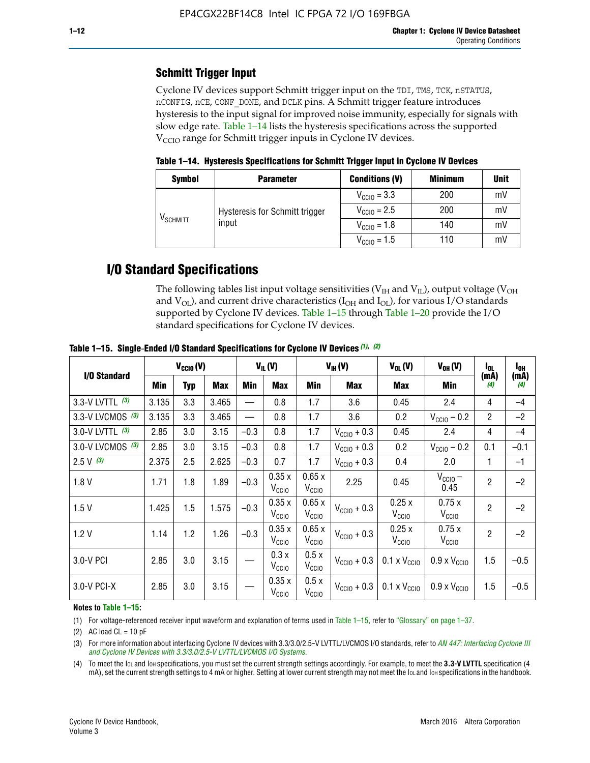# **Schmitt Trigger Input**

Cyclone IV devices support Schmitt trigger input on the TDI, TMS, TCK, nSTATUS, nCONFIG, nCE, CONF\_DONE, and DCLK pins. A Schmitt trigger feature introduces hysteresis to the input signal for improved noise immunity, especially for signals with slow edge rate. Table 1–14 lists the hysteresis specifications across the supported  $V<sub>CCIO</sub>$  range for Schmitt trigger inputs in Cyclone IV devices.

**Table 1–14. Hysteresis Specifications for Schmitt Trigger Input in Cyclone IV Devices**

| <b>Symbol</b>        | <b>Parameter</b>               | <b>Conditions (V)</b>   | <b>Minimum</b> | <b>Unit</b> |
|----------------------|--------------------------------|-------------------------|----------------|-------------|
|                      |                                | $V_{\text{CCIO}} = 3.3$ | 200            | mV          |
|                      | Hysteresis for Schmitt trigger | $V_{\text{CGI0}} = 2.5$ | 200            | mV          |
| V <sub>SCHMITT</sub> | input                          | $V_{\text{CCIO}} = 1.8$ | 140            | mV          |
|                      |                                | $V_{\text{CCIO}} = 1.5$ | 110            | mV          |

# **I/O Standard Specifications**

The following tables list input voltage sensitivities ( $V<sub>IH</sub>$  and  $V<sub>II</sub>$ ), output voltage ( $V<sub>OH</sub>$ and  $V_{OL}$ ), and current drive characteristics ( $I_{OH}$  and  $I_{OL}$ ), for various I/O standards supported by Cyclone IV devices. Table 1–15 through Table 1–20 provide the I/O standard specifications for Cyclone IV devices.

|                   | $V_{CClO}(V)$ |     |            | $V_{IL}(V)$ |                            | $V_{IH} (V)$               | $V_{OL}(V)$             | $V_{OH} (V)$                 | l <sub>OL</sub>              | l <sub>oh</sub> |             |
|-------------------|---------------|-----|------------|-------------|----------------------------|----------------------------|-------------------------|------------------------------|------------------------------|-----------------|-------------|
| I/O Standard      | Min           | Typ | <b>Max</b> | Min         | <b>Max</b>                 | Min                        | <b>Max</b>              | Max                          | Min                          | (mA)<br>(4)     | (mA)<br>(4) |
| 3.3-V LVTTL (3)   | 3.135         | 3.3 | 3.465      |             | 0.8                        | 1.7                        | 3.6                     | 0.45                         | 2.4                          | 4               | $-4$        |
| 3.3-V LVCMOS (3)  | 3.135         | 3.3 | 3.465      |             | 0.8                        | 1.7                        | 3.6                     | 0.2                          | $V_{\text{CCIO}} - 0.2$      | $\overline{2}$  | $-2$        |
| 3.0-V LVTTL $(3)$ | 2.85          | 3.0 | 3.15       | $-0.3$      | 0.8                        | 1.7                        | $V_{\text{CC10}} + 0.3$ | 0.45                         | 2.4                          | 4               | $-4$        |
| 3.0-V LVCMOS (3)  | 2.85          | 3.0 | 3.15       | $-0.3$      | 0.8                        | 1.7                        | $V_{\text{CCI}0}$ + 0.3 | 0.2                          | $V_{\text{CC10}} - 0.2$      | 0.1             | $-0.1$      |
| $2.5 V$ (3)       | 2.375         | 2.5 | 2.625      | $-0.3$      | 0.7                        | 1.7                        | $V_{\text{CCI}0}$ + 0.3 | 0.4                          | 2.0                          | 1               | $-1$        |
| 1.8V              | 1.71          | 1.8 | 1.89       | $-0.3$      | 0.35x<br>V <sub>CCIO</sub> | 0.65x<br>V <sub>CCIO</sub> | 2.25                    | 0.45                         | $V_{CGIO}$ –<br>0.45         | $\overline{2}$  | $-2$        |
| 1.5V              | 1.425         | 1.5 | 1.575      | $-0.3$      | 0.35x<br>V <sub>CCIO</sub> | 0.65x<br>V <sub>CCIO</sub> | $V_{\text{CC10}} + 0.3$ | 0.25x<br>$V_{\rm CClO}$      | 0.75x<br>V <sub>CCIO</sub>   | $\overline{2}$  | $-2$        |
| 1.2V              | 1.14          | 1.2 | 1.26       | $-0.3$      | 0.35x<br>V <sub>CCIO</sub> | 0.65x<br>V <sub>CCIO</sub> | $V_{\text{CGI0}} + 0.3$ | 0.25x<br>$V_{\rm CClO}$      | 0.75x<br>V <sub>CCIO</sub>   | $\overline{2}$  | $-2$        |
| 3.0-V PCI         | 2.85          | 3.0 | 3.15       |             | 0.3x<br>V <sub>CCIO</sub>  | 0.5x<br>V <sub>CCIO</sub>  | $V_{\text{CC10}} + 0.3$ | $0.1 \times V_{CC10}$        | $0.9 \times V_{\text{CC10}}$ | 1.5             | $-0.5$      |
| 3.0-V PCI-X       | 2.85          | 3.0 | 3.15       |             | 0.35x<br>V <sub>CCIO</sub> | 0.5x<br>V <sub>CCIO</sub>  | $V_{\text{CC}10} + 0.3$ | $0.1 \times V_{\text{CC10}}$ | $0.9 \times V_{\text{CC10}}$ | 1.5             | $-0.5$      |

**Table 1–15. Single**-**Ended I/O Standard Specifications for Cyclone IV Devices** *(1)***,** *(2)*

#### **Notes to Table 1–15:**

(1) For voltage-referenced receiver input waveform and explanation of terms used in Table 1–15, refer to "Glossary" on page 1–37.

(2) AC load  $CL = 10$  pF

(3) For more information about interfacing Cyclone IV devices with 3.3/3.0/2.5-V LVTTL/LVCMOS I/O standards, refer to *[AN 447: Interfacing Cyclone III](http://www.altera.com/literature/an/an447.pdf)  [and Cyclone IV Devices with 3.3/3.0/2.5-V LVTTL/LVCMOS I/O Systems](http://www.altera.com/literature/an/an447.pdf)*.

(4) To meet the IOL and IOH specifications, you must set the current strength settings accordingly. For example, to meet the **3.3-V LVTTL** specification (4 mA), set the current strength settings to 4 mA or higher. Setting at lower current strength may not meet the lou and lon specifications in the handbook.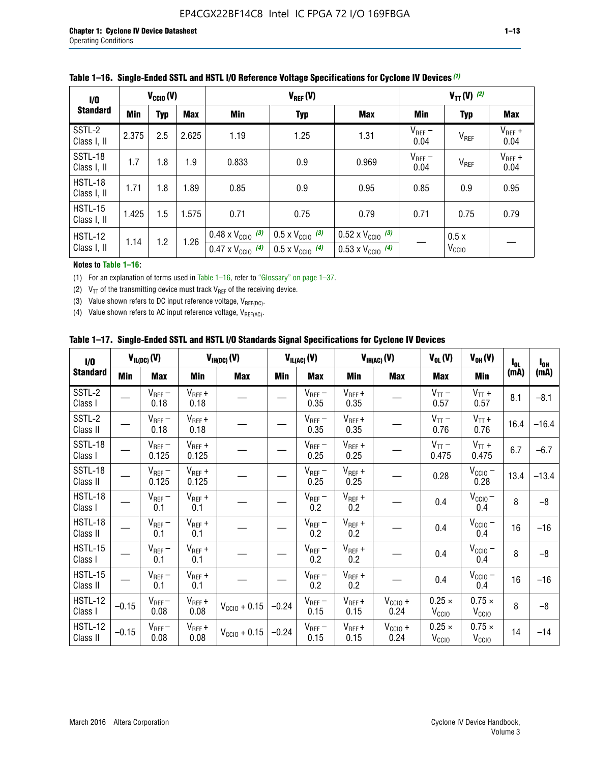| 1/0                    | $V_{\text{CC10}}(V)$ |            |       |                                                                        | $V_{TT} (V)$ (2)                                                     |                                                                        |                     |                           |                     |
|------------------------|----------------------|------------|-------|------------------------------------------------------------------------|----------------------------------------------------------------------|------------------------------------------------------------------------|---------------------|---------------------------|---------------------|
| <b>Standard</b>        | <b>Min</b>           | <b>Typ</b> | Max   | Min                                                                    | <b>Typ</b>                                                           | <b>Max</b>                                                             | Min                 | <b>Typ</b>                | Max                 |
| SSTL-2<br>Class I, II  | 2.375                | 2.5        | 2.625 | 1.19                                                                   | 1.25                                                                 | 1.31                                                                   | $V_{REF}$ –<br>0.04 | $V_{REF}$                 | $V_{REF}$ +<br>0.04 |
| SSTL-18<br>Class I, II | 1.7                  | 1.8        | 1.9   | 0.833                                                                  | 0.9                                                                  | 0.969                                                                  | $V_{REF}$ –<br>0.04 | V <sub>REF</sub>          | $V_{REF}$ +<br>0.04 |
| HSTL-18<br>Class I, II | 1.71                 | 1.8        | 1.89  | 0.85                                                                   | 0.9                                                                  | 0.95                                                                   | 0.85                | 0.9                       | 0.95                |
| HSTL-15<br>Class I, II | 1.425                | 1.5        | 1.575 | 0.71                                                                   | 0.75                                                                 | 0.79                                                                   |                     | 0.75                      | 0.79                |
| HSTL-12<br>Class I, II | 1.14                 | 1.2        | 1.26  | $0.48 \times V_{\text{CC10}}$ (3)<br>$0.47 \times V_{\text{CC10}}$ (4) | $0.5 \times V_{\text{CC10}}$ (3)<br>$0.5 \times V_{\text{CC10}}$ (4) | $0.52 \times V_{\text{CC10}}$ (3)<br>$0.53 \times V_{\text{CC10}}$ (4) |                     | 0.5x<br>V <sub>CCIO</sub> |                     |

### **Table 1–16. Single**-**Ended SSTL and HSTL I/O Reference Voltage Specifications for Cyclone IV Devices** *(1)*

#### **Notes to Table 1–16:**

(1) For an explanation of terms used in Table 1–16, refer to "Glossary" on page 1–37.

(2)  $V_{TT}$  of the transmitting device must track  $V_{REF}$  of the receiving device.

(3) Value shown refers to DC input reference voltage,  $V_{REF(DC)}$ .

(4) Value shown refers to AC input reference voltage,  $V_{REF(AC)}$ .

|  |  |  |  |  | Table 1–17.  Single-Ended SSTL and HSTL I/O Standards Signal Specifications for Cyclone IV Devices |
|--|--|--|--|--|----------------------------------------------------------------------------------------------------|
|--|--|--|--|--|----------------------------------------------------------------------------------------------------|

| I/O                        |            | $V_{IL(DC)}(V)$      |                                      | $V_{IH(DC)}(V)$   |         | $V_{IL(AC)}(V)$     |                     | $V_{IH(AC)}(V)$      |                                    | $V_{OH} (V)$                       | $I_{0L}$ | $I_{0H}$ |
|----------------------------|------------|----------------------|--------------------------------------|-------------------|---------|---------------------|---------------------|----------------------|------------------------------------|------------------------------------|----------|----------|
| <b>Standard</b>            | <b>Min</b> | Max                  | <b>Min</b>                           | <b>Max</b>        | Min     | Max                 | Min                 | <b>Max</b>           | Max                                | Min                                | (mA)     | (mA)     |
| SSTL-2<br>Class I          |            | $V_{REF}$ –<br>0.18  | $V_{REF} +$<br>0.18                  |                   |         | $V_{REF}$ –<br>0.35 | $V_{REF} +$<br>0.35 |                      | $V_{TT}$ –<br>0.57                 | $V_{TT}$ +<br>0.57                 | 8.1      | $-8.1$   |
| SSTL-2<br>Class II         |            | $V_{REF}$ –<br>0.18  | $V_{REF} +$<br>0.18                  |                   |         | $V_{REF}$ –<br>0.35 | $V_{REF} +$<br>0.35 |                      | $V_{TT}$ –<br>0.76                 | $V_{TT}$ +<br>0.76                 | 16.4     | $-16.4$  |
| <b>SSTL-18</b><br>Class I  |            | $V_{REF}$ –<br>0.125 | $V_{REF}$ +<br>0.125                 |                   |         | $V_{REF}$ –<br>0.25 | $V_{REF} +$<br>0.25 |                      | $V_{TT}$ –<br>0.475                | $V_{TT}$ +<br>0.475                | 6.7      | $-6.7$   |
| SSTL-18<br>Class II        |            | $V_{REF}$ –<br>0.125 | $V_{REF}$ +<br>0.125                 |                   |         | $V_{REF}$ –<br>0.25 | $V_{REF}$ +<br>0.25 |                      | 0.28                               | $V_{CC10} -$<br>0.28               | 13.4     | $-13.4$  |
| HSTL-18<br>Class I         |            | $V_{REF}$ –<br>0.1   | $\mathsf{V}_{\mathsf{REF}}$ +<br>0.1 |                   |         | $V_{REF}$ –<br>0.2  | $V_{REF}$ +<br>0.2  |                      | 0.4                                | $V_{\text{CCIO}}-$<br>0.4          | 8        | $-8$     |
| HSTL-18<br>Class II        |            | $V_{REF}$ –<br>0.1   | $V_{REF}$ +<br>0.1                   |                   |         | $V_{REF}$ –<br>0.2  | $V_{REF} +$<br>0.2  |                      | 0.4                                | $V_{CC10}$ –<br>0.4                | 16       | $-16$    |
| HSTL-15<br>Class I         |            | $V_{REF}$ –<br>0.1   | $V_{REF}$ +<br>0.1                   |                   |         | $V_{REF}$ –<br>0.2  | $V_{REF}$ +<br>0.2  |                      | 0.4                                | $V_{CC10}$ –<br>0.4                | 8        | $-8$     |
| HSTL-15<br>Class II        |            | $V_{REF}$ –<br>0.1   | $V_{REF} +$<br>0.1                   |                   |         | $V_{REF}$ –<br>0.2  | $V_{REF} +$<br>0.2  |                      | 0.4                                | $V_{CC10}$ –<br>0.4                | 16       | $-16$    |
| <b>HSTL-12</b><br>Class I  | $-0.15$    | $V_{REF}-$<br>0.08   | $V_{REF} +$<br>0.08                  | $V_{CGI0} + 0.15$ | $-0.24$ | $V_{REF}$ –<br>0.15 | $V_{REF} +$<br>0.15 | $V_{CClO}$ +<br>0.24 | $0.25 \times$<br>$V_{\rm CClO}$    | $0.75 \times$<br>V <sub>CCIO</sub> | 8        | $-8$     |
| <b>HSTL-12</b><br>Class II | $-0.15$    | $V_{REF}$ –<br>0.08  | $V_{REF} +$<br>0.08                  | $V_{CGI0} + 0.15$ | $-0.24$ | $V_{REF}$ –<br>0.15 | $V_{REF} +$<br>0.15 | $V_{CCIO}$ +<br>0.24 | $0.25 \times$<br>V <sub>CCIO</sub> | $0.75 \times$<br>V <sub>CCIO</sub> | 14       | $-14$    |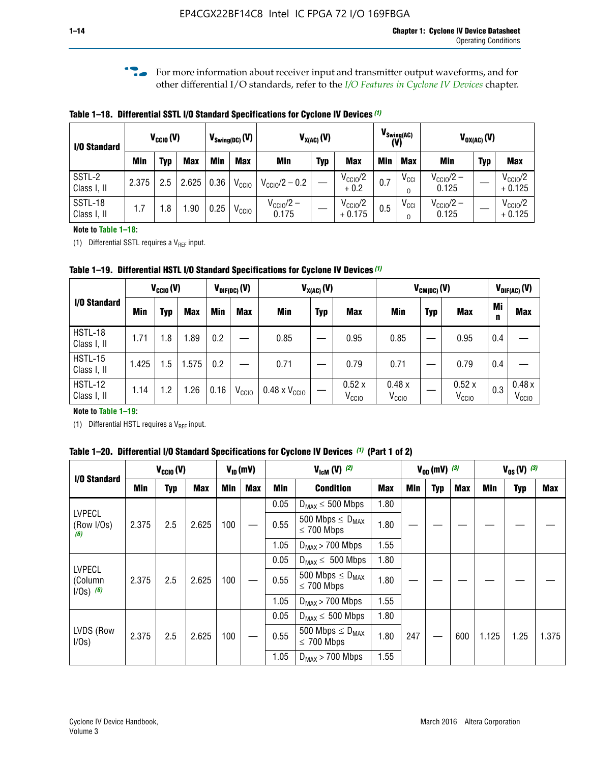**f For more information about receiver input and transmitter output waveforms, and for** other differential I/O standards, refer to the *[I/O Features in Cyclone IV Devices](http://www.altera.com/literature/hb/cyclone-iv/cyiv-51006.pdf)* chapter*.*

**Table 1–18. Differential SSTL I/O Standard Specifications for Cyclone IV Devices** *(1)*

| I/O Standard           |       | $V_{CCl0}(V)$ |            | $V_{\text{Swing(DC)}}(V)$ |                   |                                | $V_{X(AC)}(V)$ |                                 |            | $V_{\text{Swing(AC)}}$<br>(V) | $V_{OX(AC)}(V)$                |            |                                 |
|------------------------|-------|---------------|------------|---------------------------|-------------------|--------------------------------|----------------|---------------------------------|------------|-------------------------------|--------------------------------|------------|---------------------------------|
|                        | Min   | Typ           | <b>Max</b> | Min                       | <b>Max</b>        | <b>Min</b>                     | <b>Typ</b>     | <b>Max</b>                      | <b>Min</b> | <b>Max</b>                    | Min                            | <b>Typ</b> | <b>Max</b>                      |
| SSTL-2<br>Class I, II  | 2.375 | 2.5           | 2.625      | 0.36                      | V <sub>CCIO</sub> | $V_{\text{CC10}}/2 - 0.2$      |                | $V_{\text{CC10}}/2$<br>$+0.2$   | 0.7        | $V_{\rm CCI}$                 | $V_{\text{CC10}}/2 -$<br>0.125 |            | $V_{\text{CC10}}/2$<br>$+0.125$ |
| SSTL-18<br>Class I, II | 1.7   | .8            | .90        | 0.25                      | V <sub>CCIO</sub> | $V_{\text{CC10}}/2 -$<br>0.175 |                | $V_{\text{CC10}}/2$<br>$+0.175$ | 0.5        | $V_{\rm CCI}$                 | $V_{\text{CC10}}/2 -$<br>0.125 |            | $V_{\text{CC10}}/2$<br>$+0.125$ |

### **Note to Table 1–18:**

(1) Differential SSTL requires a  $V_{REF}$  input.

**Table 1–19. Differential HSTL I/O Standard Specifications for Cyclone IV Devices** *(1)*

|                               |       | $V_{CClO}(V)$ |            |         | $V_{\text{DIF(DC)}}(V)$ | $V_{X(AC)}(V)$                |            |                            | $V_{CM(DC)}(V)$            |            |                            | $V_{\text{DIF(AC)}}(V)$ |                            |  |
|-------------------------------|-------|---------------|------------|---------|-------------------------|-------------------------------|------------|----------------------------|----------------------------|------------|----------------------------|-------------------------|----------------------------|--|
| I/O Standard                  | Min   | Typ           | <b>Max</b> | Min     | <b>Max</b>              | Min                           | <b>Typ</b> | <b>Max</b>                 | Min                        | <b>Typ</b> | <b>Max</b>                 | Mi<br>n                 | <b>Max</b>                 |  |
| HSTL-18<br>Class I, II        | 1.71  | 1.8           | .89        | 0.2     |                         | 0.85                          |            | 0.95                       | 0.85                       |            | 0.95                       | 0.4                     |                            |  |
| <b>HSTL-15</b><br>Class I, II | 1.425 | 1.5           | .575       | $0.2\,$ |                         | 0.71                          |            | 0.79                       | 0.71                       |            | 0.79                       | 0.4                     |                            |  |
| <b>HSTL-12</b><br>Class I, II | 1.14  | 1.2           | 1.26       | 0.16    | V <sub>CCIO</sub>       | $0.48 \times V_{\text{CC10}}$ |            | 0.52x<br>V <sub>CCIO</sub> | 0.48x<br>V <sub>CCIO</sub> |            | 0.52x<br>V <sub>CCIO</sub> | 0.3                     | 0.48x<br>V <sub>CCIO</sub> |  |

## **Note to Table 1–19:**

(1) Differential HSTL requires a  $V_{REF}$  input.

**Table 1–20. Differential I/O Standard Specifications for Cyclone IV Devices** *(1)* **(Part 1 of 2)**

| I/O Standard                            | $V_{CCl0} (V)$ |     |            | $V_{ID}$ (mV)                                |            |      | $V_{\text{lcm}}(V)^{(2)}$                           |            |     | $V_{0D}$ (mV) $(3)$ |     |       | $V_{0S} (V)^{(3)}$ |       |  |
|-----------------------------------------|----------------|-----|------------|----------------------------------------------|------------|------|-----------------------------------------------------|------------|-----|---------------------|-----|-------|--------------------|-------|--|
|                                         | Min            | Typ | <b>Max</b> | <b>Min</b>                                   | <b>Max</b> | Min  | <b>Condition</b>                                    | <b>Max</b> | Min | Typ                 | Max | Min   | <b>Typ</b>         | Max   |  |
|                                         |                |     |            |                                              |            | 0.05 | $D_{MAX} \leq 500$ Mbps                             | 1.80       |     |                     |     |       |                    |       |  |
| <b>LVPECL</b><br>(Row I/Os)<br>(6)      | 2.375          | 2.5 | 2.625      | 100                                          |            | 0.55 | 500 Mbps $\leq$ D <sub>MAX</sub><br>$\leq$ 700 Mbps | 1.80       |     |                     |     |       |                    |       |  |
|                                         |                |     |            |                                              |            | 1.05 | $D_{MAX}$ > 700 Mbps                                |            |     |                     |     |       |                    |       |  |
|                                         |                |     |            |                                              |            | 0.05 | $D_{MAX} \leq 500$ Mbps                             | 1.80       |     |                     |     |       |                    |       |  |
| <b>LVPECL</b><br>(Column<br>$1/Os)$ (6) | 2.375          | 2.5 | 2.625      | 100                                          |            | 0.55 | 500 Mbps $\leq D_{MAX}$<br>$\leq$ 700 Mbps          | 1.80       |     |                     |     |       |                    |       |  |
|                                         |                |     |            |                                              |            | 1.05 | $D_{MAX}$ > 700 Mbps                                | 1.55       |     |                     |     |       |                    |       |  |
|                                         |                |     |            |                                              |            | 0.05 | $D_{MAX} \leq 500$ Mbps                             | 1.80       |     |                     |     |       |                    |       |  |
| LVDS (Row<br>I/Os)                      | 2.375          | 2.5 | 2.625      | 100                                          |            | 0.55 | 500 Mbps $\leq D_{MAX}$<br>$\leq 700$ Mbps          |            | 247 |                     | 600 | 1.125 | 1.25               | 1.375 |  |
|                                         |                |     |            | 1.80<br>1.05<br>1.55<br>$D_{MAX}$ > 700 Mbps |            |      |                                                     |            |     |                     |     |       |                    |       |  |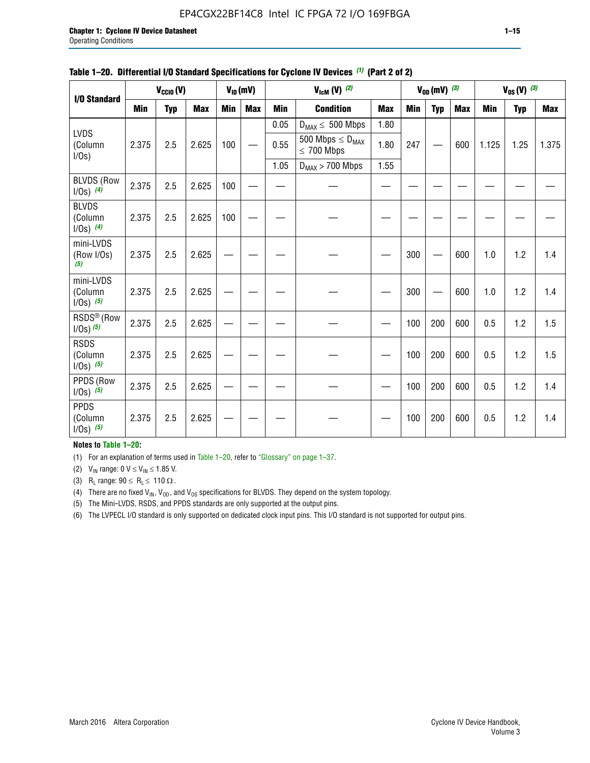# EP4CGX22BF14C8 Intel IC FPGA 72 I/O 169FBGA

|                                          |            | $V_{\text{CCIO}}(V)$ |            |     | $V_{ID}(mV)$ |            | $V_{\text{ICM}}(V)$ (2)                    |            |     | $V_{OD}$ (mV) $(3)$ |            |            | $V_{0S} (V)$ (3) |            |
|------------------------------------------|------------|----------------------|------------|-----|--------------|------------|--------------------------------------------|------------|-----|---------------------|------------|------------|------------------|------------|
| I/O Standard                             |            |                      |            |     |              |            |                                            |            |     |                     |            |            |                  |            |
|                                          | <b>Min</b> | <b>Typ</b>           | <b>Max</b> | Min | <b>Max</b>   | <b>Min</b> | <b>Condition</b>                           | <b>Max</b> | Min | <b>Typ</b>          | <b>Max</b> | <b>Min</b> | <b>Typ</b>       | <b>Max</b> |
|                                          |            |                      |            |     |              | 0.05       | $D_{MAX} \leq 500$ Mbps                    | 1.80       |     |                     |            |            |                  |            |
| <b>LVDS</b><br>(Column<br>I/Os)          | 2.375      | 2.5                  | 2.625      | 100 |              | 0.55       | 500 Mbps $\leq D_{MAX}$<br>$\leq 700$ Mbps | 1.80       | 247 |                     | 600        | 1.125      | 1.25             | 1.375      |
|                                          |            |                      |            |     |              | 1.05       | $D_{MAX}$ > 700 Mbps                       | 1.55       |     |                     |            |            |                  |            |
| <b>BLVDS (Row</b><br>$1/0s)$ (4)         | 2.375      | 2.5                  | 2.625      | 100 |              |            |                                            |            |     |                     |            |            |                  |            |
| <b>BLVDS</b><br>(Column<br>$1/0s)$ (4)   | 2.375      | 2.5                  | 2.625      | 100 |              |            |                                            |            |     |                     |            |            |                  |            |
| mini-LVDS<br>(Row I/Os)<br>(5)           | 2.375      | 2.5                  | 2.625      |     |              |            |                                            |            | 300 |                     | 600        | 1.0        | 1.2              | 1.4        |
| mini-LVDS<br>(Column<br>$1/0s)$ (5)      | 2.375      | 2.5                  | 2.625      |     |              |            |                                            |            | 300 |                     | 600        | 1.0        | 1.2              | 1.4        |
| RSDS <sup>®</sup> (Row<br>$1/0s$ ) $(5)$ | 2.375      | 2.5                  | 2.625      |     |              |            |                                            |            | 100 | 200                 | 600        | 0.5        | 1.2              | 1.5        |
| <b>RSDS</b><br>(Column<br>$1/Os)$ (5)    | 2.375      | 2.5                  | 2.625      |     |              |            |                                            |            | 100 | 200                 | 600        | 0.5        | 1.2              | 1.5        |
| PPDS (Row<br>$1/0s)$ (5)                 | 2.375      | 2.5                  | 2.625      |     |              |            |                                            |            | 100 | 200                 | 600        | 0.5        | 1.2              | 1.4        |
| <b>PPDS</b><br>(Column<br>$1/0s)$ (5)    | 2.375      | 2.5                  | 2.625      |     |              |            |                                            |            | 100 | 200                 | 600        | 0.5        | 1.2              | 1.4        |

### **Table 1–20. Differential I/O Standard Specifications for Cyclone IV Devices** *(1)* **(Part 2 of 2)**

# **Notes to Table 1–20:**

(1) For an explanation of terms used in Table 1–20, refer to "Glossary" on page 1–37.

(2)  $V_{IN}$  range: 0  $V \le V_{IN} \le 1.85$  V.

(3) R<sub>L</sub> range:  $90 \le R_L \le 110 \Omega$ .

(4) There are no fixed  $V_{IN}$ ,  $V_{OD}$ , and  $V_{OS}$  specifications for BLVDS. They depend on the system topology.

(5) The Mini-LVDS, RSDS, and PPDS standards are only supported at the output pins.

(6) The LVPECL I/O standard is only supported on dedicated clock input pins. This I/O standard is not supported for output pins.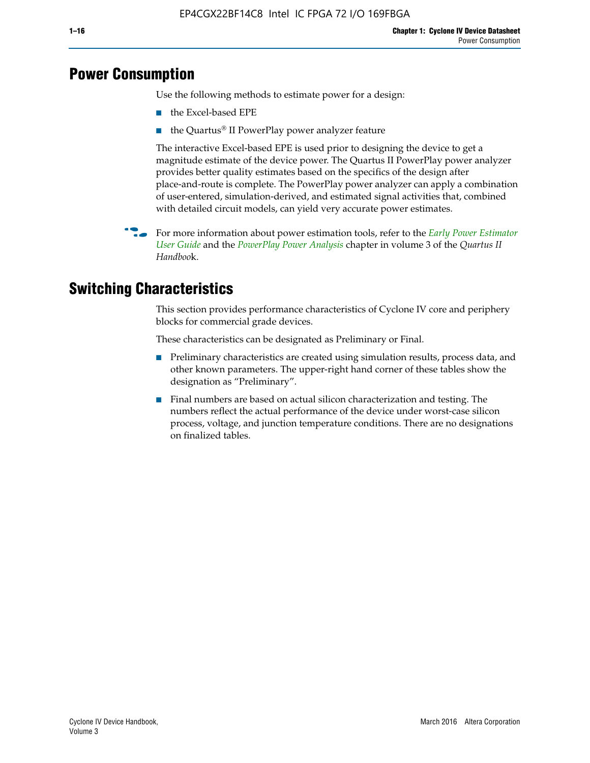# **Power Consumption**

Use the following methods to estimate power for a design:

- the Excel-based EPE
- the Quartus® II PowerPlay power analyzer feature

The interactive Excel-based EPE is used prior to designing the device to get a magnitude estimate of the device power. The Quartus II PowerPlay power analyzer provides better quality estimates based on the specifics of the design after place-and-route is complete. The PowerPlay power analyzer can apply a combination of user-entered, simulation-derived, and estimated signal activities that, combined with detailed circuit models, can yield very accurate power estimates.

**For more information about power estimation tools, refer to the** *Early Power Estimator* **<b>For a** *[User Guide](http://www.altera.com/literature/ug/ug_epe.pdf
)* and the *[PowerPlay Power Analysis](http://www.altera.com/literature/hb/qts/qts_qii53013.pdf)* chapter in volume 3 of the *Quartus II Handboo*k.

# **Switching Characteristics**

This section provides performance characteristics of Cyclone IV core and periphery blocks for commercial grade devices.

These characteristics can be designated as Preliminary or Final.

- Preliminary characteristics are created using simulation results, process data, and other known parameters. The upper-right hand corner of these tables show the designation as "Preliminary".
- Final numbers are based on actual silicon characterization and testing. The numbers reflect the actual performance of the device under worst-case silicon process, voltage, and junction temperature conditions. There are no designations on finalized tables.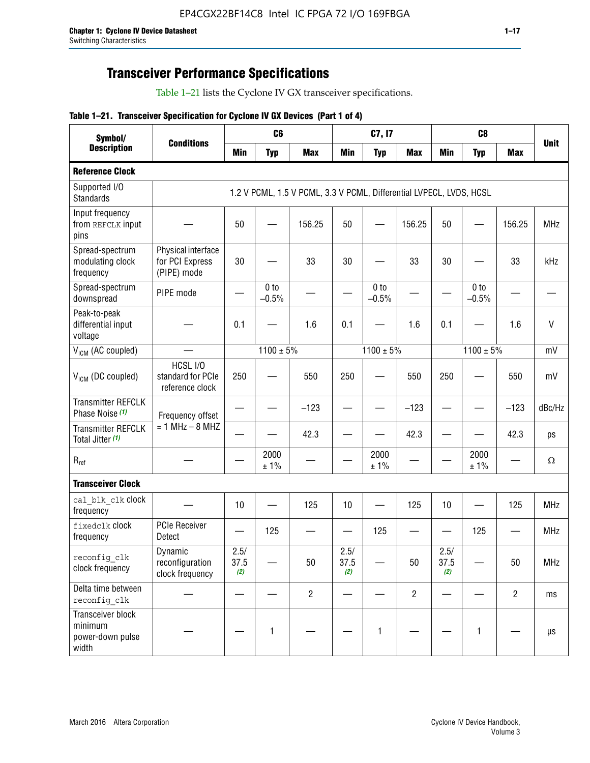# **Transceiver Performance Specifications**

Table 1–21 lists the Cyclone IV GX transceiver specifications.

# **Table 1–21. Transceiver Specification for Cyclone IV GX Devices (Part 1 of 4)**

| Symbol/<br><b>Description</b>                             |                                                      |                     | C <sub>6</sub>             |                                                                     |                     | C7, I7                     |                                | C <sub>8</sub>      |                            |                |              |
|-----------------------------------------------------------|------------------------------------------------------|---------------------|----------------------------|---------------------------------------------------------------------|---------------------|----------------------------|--------------------------------|---------------------|----------------------------|----------------|--------------|
|                                                           | <b>Conditions</b>                                    | <b>Min</b>          | <b>Typ</b>                 | <b>Max</b>                                                          | <b>Min</b>          | <b>Typ</b>                 | <b>Max</b>                     | <b>Min</b>          | <b>Typ</b>                 | <b>Max</b>     | <b>Unit</b>  |
| <b>Reference Clock</b>                                    |                                                      |                     |                            |                                                                     |                     |                            |                                |                     |                            |                |              |
| Supported I/O<br><b>Standards</b>                         |                                                      |                     |                            | 1.2 V PCML, 1.5 V PCML, 3.3 V PCML, Differential LVPECL, LVDS, HCSL |                     |                            |                                |                     |                            |                |              |
| Input frequency<br>from REFCLK input<br>pins              |                                                      | 50                  |                            | 156.25                                                              | 50                  |                            | 156.25                         | 50                  | —                          | 156.25         | <b>MHz</b>   |
| Spread-spectrum<br>modulating clock<br>frequency          | Physical interface<br>for PCI Express<br>(PIPE) mode | 30                  |                            | 33                                                                  | 30                  |                            | 33                             | 30                  |                            | 33             | kHz          |
| Spread-spectrum<br>downspread                             | PIPE mode                                            |                     | 0 <sub>to</sub><br>$-0.5%$ |                                                                     |                     | 0 <sub>to</sub><br>$-0.5%$ |                                |                     | 0 <sub>to</sub><br>$-0.5%$ |                |              |
| Peak-to-peak<br>differential input<br>voltage             |                                                      | 0.1                 |                            | 1.6                                                                 | 0.1                 |                            | 1.6                            | 0.1                 |                            | 1.6            | $\mathsf{V}$ |
| V <sub>ICM</sub> (AC coupled)                             |                                                      |                     | $1100 \pm 5\%$             |                                                                     |                     | $1100 \pm 5\%$             |                                |                     | $1100 \pm 5\%$             |                | mV           |
| V <sub>ICM</sub> (DC coupled)                             | HCSL I/O<br>standard for PCIe<br>reference clock     | 250                 |                            | 550                                                                 | 250                 |                            | 550                            | 250                 |                            | 550            | mV           |
| <b>Transmitter REFCLK</b><br>Phase Noise (1)              | Frequency offset                                     |                     |                            | $-123$                                                              |                     |                            | $-123$                         |                     |                            | $-123$         | dBc/Hz       |
| <b>Transmitter REFCLK</b><br>Total Jitter (1)             | $= 1$ MHz $- 8$ MHZ                                  |                     |                            | 42.3                                                                |                     |                            | 42.3                           |                     |                            | 42.3           | ps           |
| $R_{ref}$                                                 |                                                      |                     | 2000<br>± 1%               |                                                                     |                     | 2000<br>± 1%               |                                |                     | 2000<br>± 1%               |                | $\Omega$     |
| <b>Transceiver Clock</b>                                  |                                                      |                     |                            |                                                                     |                     |                            |                                |                     |                            |                |              |
| cal blk clk clock<br>frequency                            |                                                      | 10                  |                            | 125                                                                 | 10                  |                            | 125                            | 10                  |                            | 125            | <b>MHz</b>   |
| fixedclk Clock<br>frequency                               | <b>PCIe Receiver</b><br>Detect                       |                     | 125                        |                                                                     |                     | 125                        | $\qquad \qquad \longleftarrow$ |                     | 125                        |                | <b>MHz</b>   |
| reconfig clk<br>clock frequency                           | Dynamic<br>reconfiguration<br>clock frequency        | 2.5/<br>37.5<br>(2) |                            | 50                                                                  | 2.5/<br>37.5<br>(2) |                            | 50                             | 2.5/<br>37.5<br>(2) |                            | 50             | <b>MHz</b>   |
| Delta time between<br>reconfig clk                        |                                                      |                     |                            | $\overline{c}$                                                      |                     |                            | $\overline{c}$                 |                     |                            | $\overline{2}$ | ms           |
| Transceiver block<br>minimum<br>power-down pulse<br>width |                                                      |                     | 1                          |                                                                     |                     | 1                          |                                |                     | $\mathbf{1}$               |                | $\mu s$      |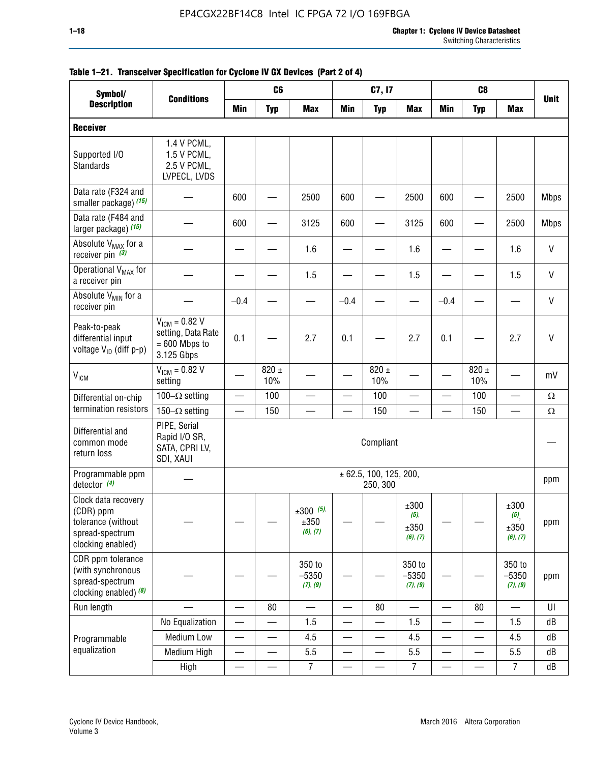| Symbol/                                                                                        |                                                                           |                          | C <sub>6</sub>   |                                 |                          | C7, I7                             |                                     |                          | C <sub>8</sub>           |                                                |              |
|------------------------------------------------------------------------------------------------|---------------------------------------------------------------------------|--------------------------|------------------|---------------------------------|--------------------------|------------------------------------|-------------------------------------|--------------------------|--------------------------|------------------------------------------------|--------------|
| <b>Description</b>                                                                             | <b>Conditions</b>                                                         | Min                      | <b>Typ</b>       | <b>Max</b>                      | Min                      | <b>Typ</b>                         | <b>Max</b>                          | <b>Min</b>               | <b>Typ</b>               | <b>Max</b>                                     | <b>Unit</b>  |
| <b>Receiver</b>                                                                                |                                                                           |                          |                  |                                 |                          |                                    |                                     |                          |                          |                                                |              |
| Supported I/O<br>Standards                                                                     | 1.4 V PCML,<br>1.5 V PCML,<br>2.5 V PCML,<br>LVPECL, LVDS                 |                          |                  |                                 |                          |                                    |                                     |                          |                          |                                                |              |
| Data rate (F324 and<br>smaller package) (15)                                                   |                                                                           | 600                      |                  | 2500                            | 600                      |                                    | 2500                                | 600                      |                          | 2500                                           | <b>Mbps</b>  |
| Data rate (F484 and<br>larger package) (15)                                                    |                                                                           | 600                      |                  | 3125                            | 600                      |                                    | 3125                                | 600                      | —                        | 2500                                           | <b>Mbps</b>  |
| Absolute V <sub>MAX</sub> for a<br>receiver pin $(3)$                                          |                                                                           |                          |                  | 1.6                             |                          |                                    | 1.6                                 |                          |                          | 1.6                                            | $\mathsf{V}$ |
| Operational V <sub>MAX</sub> for<br>a receiver pin                                             |                                                                           |                          |                  | 1.5                             |                          |                                    | 1.5                                 |                          |                          | 1.5                                            | $\mathsf{V}$ |
| Absolute V <sub>MIN</sub> for a<br>receiver pin                                                |                                                                           | $-0.4$                   |                  |                                 | $-0.4$                   |                                    |                                     | $-0.4$                   |                          |                                                | $\mathsf{V}$ |
| Peak-to-peak<br>differential input<br>voltage V <sub>ID</sub> (diff p-p)                       | $V_{ICM} = 0.82 V$<br>setting, Data Rate<br>$= 600$ Mbps to<br>3.125 Gbps | 0.1                      |                  | 2.7                             | 0.1                      |                                    | 2.7                                 | 0.1                      |                          | 2.7                                            | $\mathsf{V}$ |
| $V_{IGM}$                                                                                      | $V_{IGM} = 0.82 V$<br>setting                                             |                          | $820 \pm$<br>10% |                                 |                          | 820 $\pm$<br>10%                   |                                     |                          | $820 \pm$<br>10%         |                                                | mV           |
| Differential on-chip                                                                           | 100 $-\Omega$ setting                                                     | $\overline{\phantom{0}}$ | 100              |                                 | $\overline{\phantom{m}}$ | 100                                |                                     |                          | 100                      | $\overline{\phantom{0}}$                       | $\Omega$     |
| termination resistors                                                                          | 150 $-\Omega$ setting                                                     |                          | 150              |                                 |                          | 150                                |                                     |                          | 150                      |                                                | $\Omega$     |
| Differential and<br>common mode<br>return loss                                                 | PIPE, Serial<br>Rapid I/O SR,<br>SATA, CPRI LV,<br>SDI, XAUI              |                          |                  |                                 |                          | Compliant                          |                                     |                          |                          |                                                |              |
| Programmable ppm<br>detector $(4)$                                                             |                                                                           |                          |                  |                                 |                          | ± 62.5, 100, 125, 200,<br>250, 300 |                                     |                          |                          |                                                | ppm          |
| Clock data recovery<br>(CDR) ppm<br>tolerance (without<br>spread-spectrum<br>clocking enabled) |                                                                           |                          |                  | $±300$ (5),<br>±350<br>(6), (7) |                          |                                    | ±300<br>$(5)$ ,<br>±350<br>(6), (7) |                          |                          | ±300<br>$(5)$ <sub>,</sub><br>±350<br>(6), (7) | ppm          |
| CDR ppm tolerance<br>(with synchronous<br>spread-spectrum<br>clocking enabled) (8)             |                                                                           |                          |                  | 350 to<br>$-5350$<br>(7), (9)   |                          |                                    | 350 to<br>$-5350$<br>(7), (9)       |                          |                          | 350 to<br>$-5350$<br>(7), (9)                  | ppm          |
| Run length                                                                                     |                                                                           |                          | 80               | $\overline{\phantom{0}}$        |                          | 80                                 | $\overline{\phantom{0}}$            |                          | 80                       |                                                | UI           |
|                                                                                                | No Equalization                                                           | $\overline{\phantom{0}}$ |                  | 1.5                             |                          | $\overline{\phantom{0}}$           | 1.5                                 | $\overline{\phantom{0}}$ | —                        | 1.5                                            | dB           |
| Programmable                                                                                   | Medium Low                                                                |                          |                  | 4.5                             |                          |                                    | 4.5                                 |                          |                          | 4.5                                            | dB           |
| equalization                                                                                   | Medium High                                                               | $\qquad \qquad$          | —                | 5.5                             | —                        |                                    | 5.5                                 | —<br>—                   | $\overline{\phantom{0}}$ | 5.5                                            | dB           |
|                                                                                                | High                                                                      |                          |                  | $\overline{7}$                  | —<br>——                  |                                    | $\overline{7}$                      |                          |                          | $\overline{7}$                                 | dB           |

# **Table 1–21. Transceiver Specification for Cyclone IV GX Devices (Part 2 of 4)**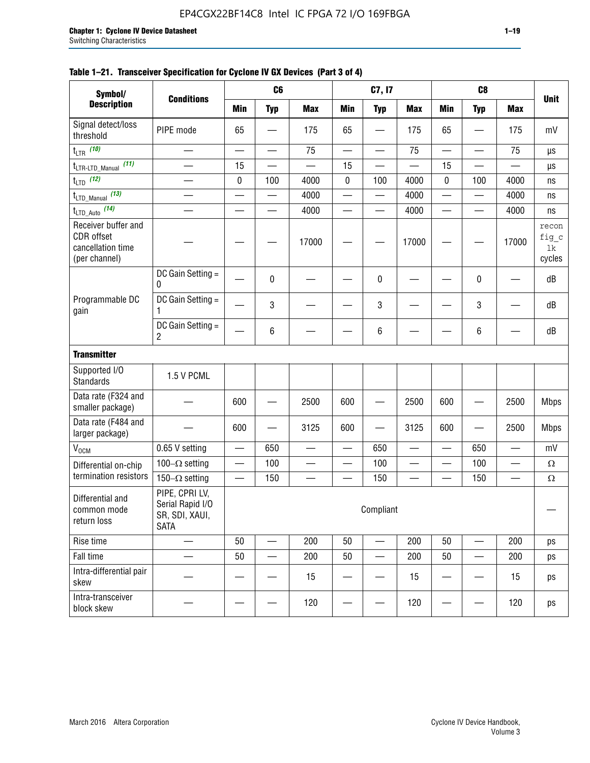| Symbol/                                                                 |                                                                     |           | C6                       |                          |                          | C7, I7                   |            |                          | C <sub>8</sub>  |            |                                |
|-------------------------------------------------------------------------|---------------------------------------------------------------------|-----------|--------------------------|--------------------------|--------------------------|--------------------------|------------|--------------------------|-----------------|------------|--------------------------------|
| <b>Description</b>                                                      | <b>Conditions</b>                                                   | Min       | <b>Typ</b>               | <b>Max</b>               | <b>Min</b>               | <b>Typ</b>               | <b>Max</b> | <b>Min</b>               | <b>Typ</b>      | <b>Max</b> | <b>Unit</b>                    |
| Signal detect/loss<br>threshold                                         | PIPE mode                                                           | 65        |                          | 175                      | 65                       |                          | 175        | 65                       |                 | 175        | mV                             |
| $t_{LTR}$ (10)                                                          | $\overline{\phantom{a}}$                                            | $\sim$    | $\equiv$                 | 75                       | $\overline{\phantom{0}}$ | $\overline{\phantom{0}}$ | 75         | $\overline{\phantom{0}}$ | $\equiv$        | 75         | μs                             |
| (11)<br>$t_{\text{LTR-LTD\_Manual}}$                                    |                                                                     | 15        |                          |                          | 15                       |                          |            | 15                       |                 |            | μs                             |
| $t_{LTD}$ (12)                                                          |                                                                     | 0         | 100                      | 4000                     | $\pmb{0}$                | 100                      | 4000       | 0                        | 100             | 4000       | ns                             |
| $t_{\text{LTD\_Manual}}$ (13)                                           | $\overline{\phantom{0}}$                                            | —         | $\overline{\phantom{0}}$ | 4000                     | $\overline{\phantom{0}}$ |                          | 4000       | $\overline{\phantom{0}}$ | $\qquad \qquad$ | 4000       | ns                             |
| $t_{\text{LTD\_Auto}}$ (14)                                             |                                                                     |           | $\overline{\phantom{0}}$ | 4000                     | —                        | $\overline{\phantom{0}}$ | 4000       | $\overline{\phantom{0}}$ |                 | 4000       | ns                             |
| Receiver buffer and<br>CDR offset<br>cancellation time<br>(per channel) |                                                                     |           |                          | 17000                    |                          |                          | 17000      |                          |                 | 17000      | recon<br>fig_c<br>1k<br>cycles |
|                                                                         | DC Gain Setting =<br>0                                              |           | $\mathbf 0$              |                          |                          | 0                        |            |                          | 0               |            | dB                             |
| Programmable DC<br>gain                                                 | DC Gain Setting $=$<br>1                                            |           | 3                        |                          |                          | 3                        |            |                          | 3               |            | dB                             |
|                                                                         | DC Gain Setting =<br>$\overline{c}$                                 |           | $\,6\,$                  |                          |                          | 6                        |            |                          | 6               |            | dB                             |
| <b>Transmitter</b>                                                      |                                                                     |           |                          |                          |                          |                          |            |                          |                 |            |                                |
| Supported I/O<br>Standards                                              | 1.5 V PCML                                                          |           |                          |                          |                          |                          |            |                          |                 |            |                                |
| Data rate (F324 and<br>smaller package)                                 |                                                                     | 600       |                          | 2500                     | 600                      |                          | 2500       | 600                      |                 | 2500       | <b>Mbps</b>                    |
| Data rate (F484 and<br>larger package)                                  |                                                                     | 600       |                          | 3125                     | 600                      |                          | 3125       | 600                      |                 | 2500       | <b>Mbps</b>                    |
| $\rm V_{\rm OCM}$                                                       | 0.65 V setting                                                      | —         | 650                      |                          |                          | 650                      |            | $\overline{\phantom{0}}$ | 650             | —          | mV                             |
| Differential on-chip                                                    | 100 $-\Omega$ setting                                               |           | 100                      | $\overline{\phantom{0}}$ |                          | 100                      |            | $\overline{\phantom{0}}$ | 100             | —          | $\Omega$                       |
| termination resistors                                                   | 150 $-\Omega$ setting                                               |           | 150                      |                          |                          | 150                      |            |                          | 150             |            | $\Omega$                       |
| Differential and<br>common mode<br>return loss                          | PIPE, CPRI LV,<br>Serial Rapid I/O<br>SR, SDI, XAUI,<br><b>SATA</b> | Compliant |                          |                          |                          |                          |            |                          |                 |            |                                |
| Rise time                                                               | $\qquad \qquad$                                                     | 50        | $\overline{\phantom{0}}$ | 200                      | 50                       | $\overline{\phantom{0}}$ | 200        | 50                       |                 | 200        | ps                             |
| Fall time                                                               |                                                                     | 50        |                          | 200                      | 50                       |                          | 200        | 50                       |                 | 200        | ps                             |
| Intra-differential pair<br>skew                                         |                                                                     |           |                          | 15                       |                          |                          | 15         |                          |                 | 15         | ps                             |
| Intra-transceiver<br>block skew                                         |                                                                     |           |                          | 120                      |                          |                          | 120        |                          |                 | 120        | ps                             |

# **Table 1–21. Transceiver Specification for Cyclone IV GX Devices (Part 3 of 4)**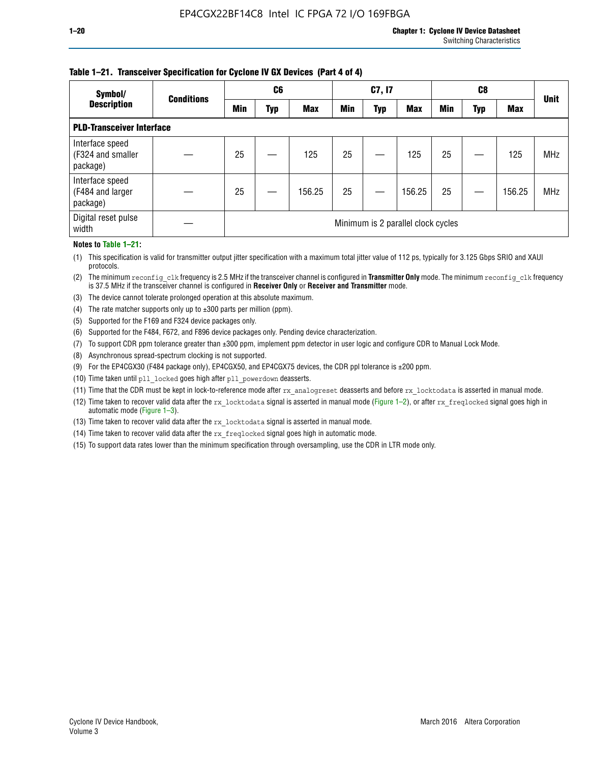### **Table 1–21. Transceiver Specification for Cyclone IV GX Devices (Part 4 of 4)**

| Symbol/                                          | <b>Conditions</b> | C <sub>6</sub>                     |     |            | C7, I7     |     |            | C8         |            |            |             |
|--------------------------------------------------|-------------------|------------------------------------|-----|------------|------------|-----|------------|------------|------------|------------|-------------|
| <b>Description</b>                               |                   | <b>Min</b>                         | Typ | <b>Max</b> | <b>Min</b> | Typ | <b>Max</b> | <b>Min</b> | <b>Typ</b> | <b>Max</b> | <b>Unit</b> |
| <b>PLD-Transceiver Interface</b>                 |                   |                                    |     |            |            |     |            |            |            |            |             |
| Interface speed<br>(F324 and smaller<br>package) |                   | 25                                 |     | 125        | 25         |     | 125        | 25         |            | 125        | <b>MHz</b>  |
| Interface speed<br>(F484 and larger<br>package)  |                   | 25                                 |     | 156.25     | 25         |     | 156.25     | 25         |            | 156.25     | <b>MHz</b>  |
| Digital reset pulse<br>width                     |                   | Minimum is 2 parallel clock cycles |     |            |            |     |            |            |            |            |             |

#### **Notes to Table 1–21:**

(1) This specification is valid for transmitter output jitter specification with a maximum total jitter value of 112 ps, typically for 3.125 Gbps SRIO and XAUI protocols.

(2) The minimum reconfig\_clk frequency is 2.5 MHz if the transceiver channel is configured in **Transmitter Only** mode. The minimum reconfig\_clk frequency is 37.5 MHz if the transceiver channel is configured in **Receiver Only** or **Receiver and Transmitter** mode.

(3) The device cannot tolerate prolonged operation at this absolute maximum.

- (4) The rate matcher supports only up to  $\pm 300$  parts per million (ppm).
- (5) Supported for the F169 and F324 device packages only.
- (6) Supported for the F484, F672, and F896 device packages only. Pending device characterization.
- (7) To support CDR ppm tolerance greater than ±300 ppm, implement ppm detector in user logic and configure CDR to Manual Lock Mode.
- (8) Asynchronous spread-spectrum clocking is not supported.
- (9) For the EP4CGX30 (F484 package only), EP4CGX50, and EP4CGX75 devices, the CDR ppl tolerance is ±200 ppm.
- (10) Time taken until pll\_locked goes high after pll\_powerdown deasserts.
- (11) Time that the CDR must be kept in lock-to-reference mode after rx analogreset deasserts and before rx locktodata is asserted in manual mode.

(12) Time taken to recover valid data after the rx locktodata signal is asserted in manual mode (Figure 1–2), or after rx freqlocked signal goes high in automatic mode (Figure 1–3).

(13) Time taken to recover valid data after the rx locktodata signal is asserted in manual mode.

- (14) Time taken to recover valid data after the rx freqlocked signal goes high in automatic mode.
- (15) To support data rates lower than the minimum specification through oversampling, use the CDR in LTR mode only.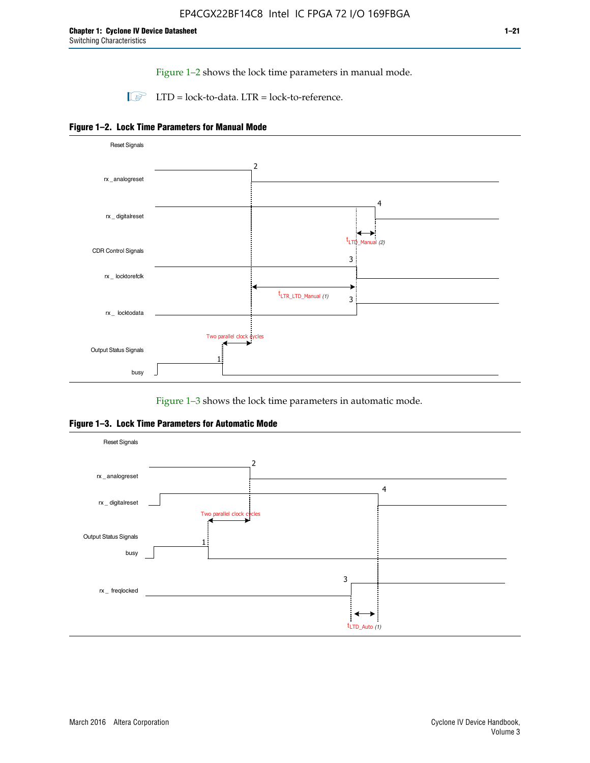Figure 1–2 shows the lock time parameters in manual mode.

 $\Box$  LTD = lock-to-data. LTR = lock-to-reference.





Figure 1–3 shows the lock time parameters in automatic mode.

**Figure 1–3. Lock Time Parameters for Automatic Mode**

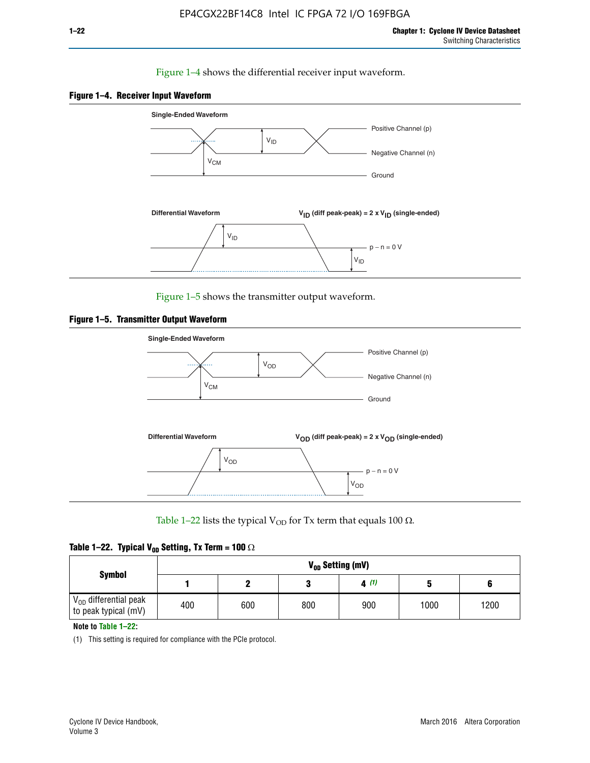# Figure 1–4 shows the differential receiver input waveform.





Figure 1–5 shows the transmitter output waveform.





Table 1–22 lists the typical V<sub>OD</sub> for Tx term that equals 100  $\Omega$ .

|  |  | Table 1–22. Typical V <sub>0D</sub> Setting, Tx Term = 100 $\Omega$ |  |  |
|--|--|---------------------------------------------------------------------|--|--|
|--|--|---------------------------------------------------------------------|--|--|

|                                                        |     |     |     | V <sub>on</sub> Setting (mV) |      |      |
|--------------------------------------------------------|-----|-----|-----|------------------------------|------|------|
| <b>Symbol</b>                                          |     |     |     | 4(1)                         |      |      |
| $\rm V_{OD}$ differential peak<br>to peak typical (mV) | 400 | 600 | 800 | 900                          | 1000 | 1200 |

**Note to Table 1–22:**

(1) This setting is required for compliance with the PCIe protocol.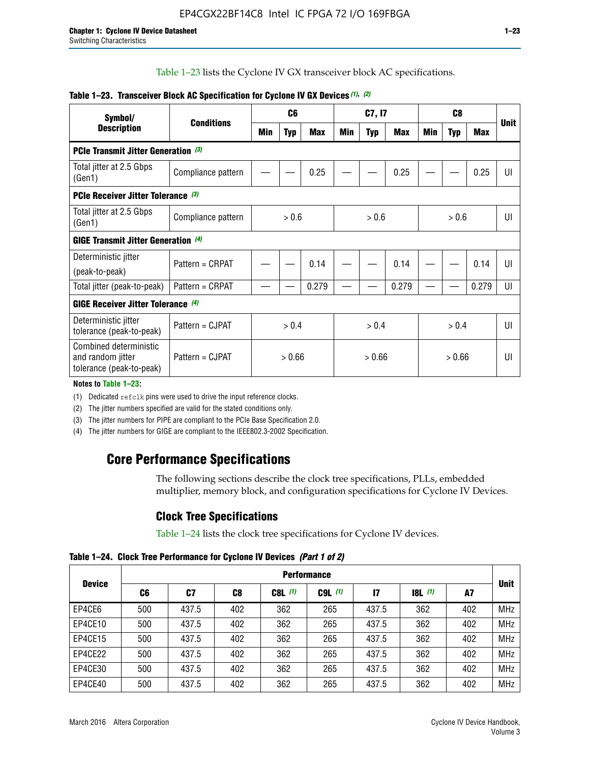Table 1–23 lists the Cyclone IV GX transceiver block AC specifications.

| Symbol/                                                                                    |                    |            | C6         |            |        | C7, I7     |            |        | C8         |            |     |
|--------------------------------------------------------------------------------------------|--------------------|------------|------------|------------|--------|------------|------------|--------|------------|------------|-----|
| <b>Description</b>                                                                         | <b>Conditions</b>  | <b>Min</b> | <b>Typ</b> | <b>Max</b> | Min    | <b>Typ</b> | <b>Max</b> | Min    | <b>Typ</b> | <b>Max</b> | Uni |
| PCIe Transmit Jitter Generation (3)                                                        |                    |            |            |            |        |            |            |        |            |            |     |
| Total jitter at 2.5 Gbps<br>(Gen1)                                                         | Compliance pattern |            |            | 0.25       |        |            | 0.25       |        |            | 0.25       | UI  |
| <b>PCIe Receiver Jitter Tolerance</b> (3)                                                  |                    |            |            |            |        |            |            |        |            |            |     |
| Total jitter at 2.5 Gbps<br>(Gen1)                                                         | Compliance pattern |            | > 0.6      |            |        | > 0.6      |            |        | > 0.6      |            | UI  |
| <b>GIGE Transmit Jitter Generation (4)</b>                                                 |                    |            |            |            |        |            |            |        |            |            |     |
| Deterministic jitter                                                                       | Pattern = CRPAT    |            |            | 0.14       |        |            | 0.14       |        |            | 0.14       | UI  |
| (peak-to-peak)                                                                             |                    |            |            |            |        |            |            |        |            |            |     |
| Total jitter (peak-to-peak)                                                                | Pattern = CRPAT    |            |            | 0.279      |        |            | 0.279      |        |            | 0.279      | UI  |
| <b>GIGE Receiver Jitter Tolerance</b> (4)                                                  |                    |            |            |            |        |            |            |        |            |            |     |
| Deterministic jitter<br>tolerance (peak-to-peak)                                           | Pattern = CJPAT    |            | > 0.4      |            |        | > 0.4      |            |        | > 0.4      |            | UI  |
| Combined deterministic<br>Pattern = CJPAT<br>and random jitter<br>tolerance (peak-to-peak) |                    | > 0.66     |            |            | > 0.66 |            |            | > 0.66 |            |            | UI  |

# **Table 1–23. Transceiver Block AC Specification for Cyclone IV GX Devices** *(1)***,** *(2)*

#### **Notes to Table 1–23:**

(1) Dedicated refclk pins were used to drive the input reference clocks.

(2) The jitter numbers specified are valid for the stated conditions only.

(3) The jitter numbers for PIPE are compliant to the PCIe Base Specification 2.0.

(4) The jitter numbers for GIGE are compliant to the IEEE802.3-2002 Specification.

# **Core Performance Specifications**

The following sections describe the clock tree specifications, PLLs, embedded multiplier, memory block, and configuration specifications for Cyclone IV Devices.

# **Clock Tree Specifications**

Table 1–24 lists the clock tree specifications for Cyclone IV devices.

**Table 1–24. Clock Tree Performance for Cyclone IV Devices** *(Part 1 of 2)*

|               | <b>Performance</b> |       |     |           |             |       |       |     |             |  |  |  |
|---------------|--------------------|-------|-----|-----------|-------------|-------|-------|-----|-------------|--|--|--|
| <b>Device</b> | C6                 | C7    | C8  | $C8L$ (1) | $C9L$ $(1)$ | 17    | 8L(1) | A7  | <b>Unit</b> |  |  |  |
| EP4CE6        | 500                | 437.5 | 402 | 362       | 265         | 437.5 | 362   | 402 | <b>MHz</b>  |  |  |  |
| EP4CE10       | 500                | 437.5 | 402 | 362       | 265         | 437.5 | 362   | 402 | <b>MHz</b>  |  |  |  |
| EP4CE15       | 500                | 437.5 | 402 | 362       | 265         | 437.5 | 362   | 402 | <b>MHz</b>  |  |  |  |
| EP4CE22       | 500                | 437.5 | 402 | 362       | 265         | 437.5 | 362   | 402 | <b>MHz</b>  |  |  |  |
| EP4CE30       | 500                | 437.5 | 402 | 362       | 265         | 437.5 | 362   | 402 | <b>MHz</b>  |  |  |  |
| EP4CE40       | 500                | 437.5 | 402 | 362       | 265         | 437.5 | 362   | 402 | <b>MHz</b>  |  |  |  |

**Unit**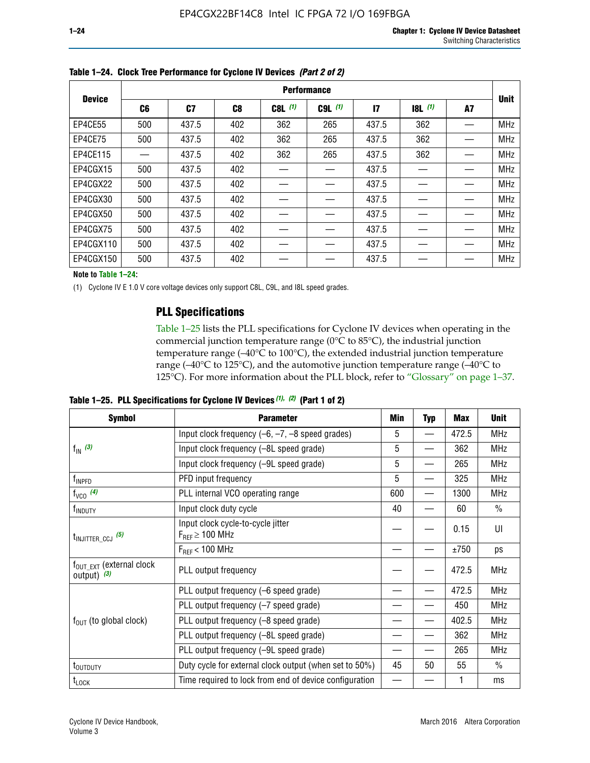|               |                | <b>Performance</b> |                |           |             |                 |       |    |             |  |  |  |  |  |  |
|---------------|----------------|--------------------|----------------|-----------|-------------|-----------------|-------|----|-------------|--|--|--|--|--|--|
| <b>Device</b> | C <sub>6</sub> | C7                 | C <sub>8</sub> | $C8L$ (1) | $C9L$ $(1)$ | $\overline{17}$ | 8L(1) | A7 | <b>Unit</b> |  |  |  |  |  |  |
| EP4CE55       | 500            | 437.5              | 402            | 362       | 265         | 437.5           | 362   |    | <b>MHz</b>  |  |  |  |  |  |  |
| EP4CE75       | 500            | 437.5              | 402            | 362       | 265         | 437.5           | 362   |    | <b>MHz</b>  |  |  |  |  |  |  |
| EP4CE115      |                | 437.5              | 402            | 362       | 265         | 437.5           | 362   |    | <b>MHz</b>  |  |  |  |  |  |  |
| EP4CGX15      | 500            | 437.5              | 402            |           |             | 437.5           |       |    | <b>MHz</b>  |  |  |  |  |  |  |
| EP4CGX22      | 500            | 437.5              | 402            |           |             | 437.5           |       |    | <b>MHz</b>  |  |  |  |  |  |  |
| EP4CGX30      | 500            | 437.5              | 402            |           |             | 437.5           |       |    | <b>MHz</b>  |  |  |  |  |  |  |
| EP4CGX50      | 500            | 437.5              | 402            |           |             | 437.5           |       |    | <b>MHz</b>  |  |  |  |  |  |  |
| EP4CGX75      | 500            | 437.5              | 402            |           |             | 437.5           |       |    | <b>MHz</b>  |  |  |  |  |  |  |
| EP4CGX110     | 500            | 437.5              | 402            |           |             | 437.5           |       |    | <b>MHz</b>  |  |  |  |  |  |  |
| EP4CGX150     | 500            | 437.5              | 402            |           |             | 437.5           |       |    | <b>MHz</b>  |  |  |  |  |  |  |

**Table 1–24. Clock Tree Performance for Cyclone IV Devices** *(Part 2 of 2)*

**Note to Table 1–24:**

(1) Cyclone IV E 1.0 V core voltage devices only support C8L, C9L, and I8L speed grades.

# **PLL Specifications**

Table 1–25 lists the PLL specifications for Cyclone IV devices when operating in the commercial junction temperature range (0°C to 85°C), the industrial junction temperature range (–40°C to 100°C), the extended industrial junction temperature range (–40°C to 125°C), and the automotive junction temperature range (–40°C to 125°C). For more information about the PLL block, refer to "Glossary" on page 1–37.

|  |  | Table 1–25. PLL Specifications for Cyclone IV Devices $(1)$ , $(2)$ (Part 1 of 2) |  |
|--|--|-----------------------------------------------------------------------------------|--|
|--|--|-----------------------------------------------------------------------------------|--|

| <b>Symbol</b>                                          | <b>Parameter</b>                                            | Min<br><b>Max</b><br><b>Typ</b><br>5<br>472.5<br>$\qquad \qquad$<br>5<br>362<br>5<br>265<br>5<br>325<br>$\overline{\phantom{0}}$<br>600<br>1300<br>40<br>60<br>0.15<br>±750<br>472.5<br>472.5<br>450<br>402.5<br>362 |    | <b>Unit</b> |               |
|--------------------------------------------------------|-------------------------------------------------------------|----------------------------------------------------------------------------------------------------------------------------------------------------------------------------------------------------------------------|----|-------------|---------------|
|                                                        | Input clock frequency $(-6, -7, -8)$ speed grades)          |                                                                                                                                                                                                                      |    |             | <b>MHz</b>    |
| $f_{\text{IN}}(3)$                                     | Input clock frequency (-8L speed grade)                     |                                                                                                                                                                                                                      |    |             | <b>MHz</b>    |
|                                                        | Input clock frequency (-9L speed grade)                     |                                                                                                                                                                                                                      |    |             | <b>MHz</b>    |
| f <sub>INPFD</sub>                                     | PFD input frequency                                         |                                                                                                                                                                                                                      |    |             | <b>MHz</b>    |
| $f_{VCO}$ (4)                                          | PLL internal VCO operating range                            |                                                                                                                                                                                                                      |    |             | <b>MHz</b>    |
| f <sub>INDUTY</sub>                                    | Input clock duty cycle                                      |                                                                                                                                                                                                                      |    |             | $\frac{0}{0}$ |
| $t_{\text{INJITTER\_CCJ}}$ (5)                         | Input clock cycle-to-cycle jitter<br>$F_{REF} \geq 100$ MHz |                                                                                                                                                                                                                      |    |             | UI            |
|                                                        | $F_{RFF}$ < 100 MHz                                         |                                                                                                                                                                                                                      |    |             | ps            |
| $f_{\text{OUT\_EXT}}$ (external clock<br>output) $(3)$ | PLL output frequency                                        |                                                                                                                                                                                                                      |    |             | <b>MHz</b>    |
|                                                        | PLL output frequency (-6 speed grade)                       |                                                                                                                                                                                                                      |    |             | <b>MHz</b>    |
|                                                        | PLL output frequency (-7 speed grade)                       |                                                                                                                                                                                                                      |    |             | <b>MHz</b>    |
| $f_{OUT}$ (to global clock)                            | PLL output frequency (-8 speed grade)                       |                                                                                                                                                                                                                      |    |             | <b>MHz</b>    |
|                                                        | PLL output frequency (-8L speed grade)                      |                                                                                                                                                                                                                      |    |             | <b>MHz</b>    |
|                                                        | PLL output frequency (-9L speed grade)                      |                                                                                                                                                                                                                      |    | 265         | <b>MHz</b>    |
| t <sub>outduty</sub>                                   | Duty cycle for external clock output (when set to 50%)      | 45                                                                                                                                                                                                                   | 50 | 55          | $\frac{0}{0}$ |
| $t_{\text{LOCK}}$                                      | Time required to lock from end of device configuration      |                                                                                                                                                                                                                      |    |             | ms            |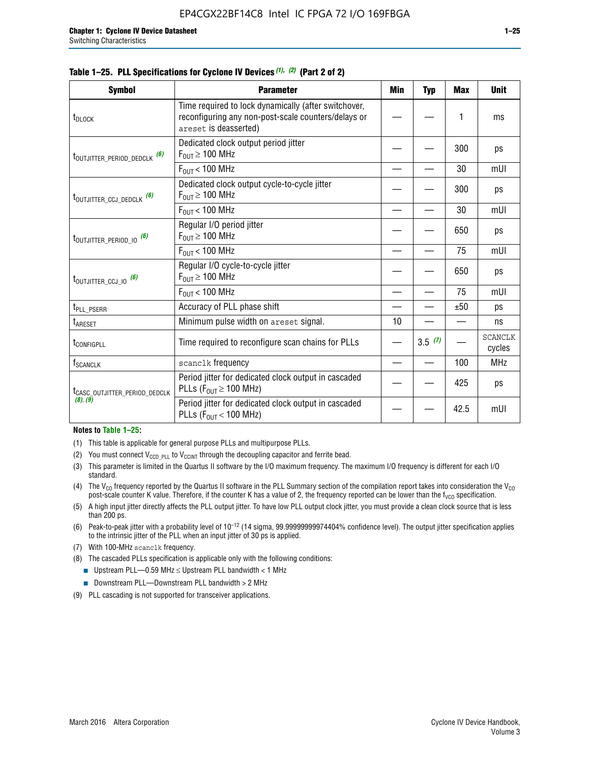|  |  | Table 1–25. PLL Specifications for Cyclone IV Devices (1), (2) (Part 2 of 2) |  |
|--|--|------------------------------------------------------------------------------|--|
|--|--|------------------------------------------------------------------------------|--|

| <b>Symbol</b>                             | <b>Parameter</b>                                                                                                                     | Min | <b>Typ</b> | <b>Max</b> | <b>Unit</b>              |
|-------------------------------------------|--------------------------------------------------------------------------------------------------------------------------------------|-----|------------|------------|--------------------------|
| t <sub>DLOCK</sub>                        | Time required to lock dynamically (after switchover,<br>reconfiguring any non-post-scale counters/delays or<br>areset is deasserted) |     |            | 1          | ms                       |
| t <sub>outjitter_period_dedclk</sub> (6)  | Dedicated clock output period jitter<br>$F_{OUT} \geq 100$ MHz                                                                       |     |            | 300        | ps                       |
|                                           | $F_{\text{OUT}}$ < 100 MHz                                                                                                           |     |            | 30         | mUI                      |
| t <sub>outjitter_ccj_dedclk</sub> (6)     | Dedicated clock output cycle-to-cycle jitter<br>$F_{OUT} \geq 100$ MHz                                                               |     |            | 300        | ps                       |
|                                           | $F_{OUT}$ < 100 MHz                                                                                                                  |     |            | 30         | mUI                      |
| t <sub>outjitter_period_io</sub> (6)      | Regular I/O period jitter<br>$F_{\text{OUT}} \geq 100 \text{ MHz}$                                                                   |     |            | 650        | ps                       |
|                                           | $F_{\text{OUT}}$ < 100 MHz                                                                                                           |     |            | 75         | mUI                      |
| t <sub>outjitter_ccj_io</sub> (6)         | Regular I/O cycle-to-cycle jitter<br>$F_{OUT} \geq 100$ MHz                                                                          |     |            | 650        | ps                       |
|                                           | $F_{\text{OUT}}$ < 100 MHz                                                                                                           |     |            | 75         | mUI                      |
| t <sub>PLL_PSERR</sub>                    | Accuracy of PLL phase shift                                                                                                          |     |            | ±50        | ps                       |
| t <sub>ARESET</sub>                       | Minimum pulse width on areset signal.                                                                                                | 10  |            |            | ns                       |
| t <sub>configpll</sub>                    | Time required to reconfigure scan chains for PLLs                                                                                    |     | 3.5(7)     |            | <b>SCANCLK</b><br>cycles |
| $f_{\text{SCANCLK}}$                      | scanclk frequency                                                                                                                    |     |            | 100        | <b>MHz</b>               |
| t <sub>CASC_OUTJITTER_PERIOD_DEDCLK</sub> | Period jitter for dedicated clock output in cascaded<br>PLLs ( $F_{OUT} \ge 100$ MHz)                                                |     |            | 425        | ps                       |
| (8), (9)                                  | Period jitter for dedicated clock output in cascaded<br>PLLs ( $F_{OUT}$ < 100 MHz)                                                  |     |            | 42.5       | mUI                      |

#### **Notes to Table 1–25:**

- (1) This table is applicable for general purpose PLLs and multipurpose PLLs.
- (2) You must connect  $V_{CCD-PLL}$  to  $V_{CCINT}$  through the decoupling capacitor and ferrite bead.
- (3) This parameter is limited in the Quartus II software by the I/O maximum frequency. The maximum I/O frequency is different for each I/O standard.
- (4) The  $V_{CO}$  frequency reported by the Quartus II software in the PLL Summary section of the compilation report takes into consideration the  $V_{CO}$ post-scale counter K value. Therefore, if the counter K has a value of 2, the frequency reported can be lower than the f<sub>VCO</sub> specification.
- (5) A high input jitter directly affects the PLL output jitter. To have low PLL output clock jitter, you must provide a clean clock source that is less than 200 ps.
- (6) Peak-to-peak jitter with a probability level of 10–12 (14 sigma, 99.99999999974404% confidence level). The output jitter specification applies to the intrinsic jitter of the PLL when an input jitter of 30 ps is applied.
- (7) With 100-MHz scanclk frequency.
- (8) The cascaded PLLs specification is applicable only with the following conditions:
	- **■** Upstream PLL—0.59 MHz  $\leq$  Upstream PLL bandwidth  $<$  1 MHz
	- Downstream PLL—Downstream PLL bandwidth > 2 MHz
- (9) PLL cascading is not supported for transceiver applications.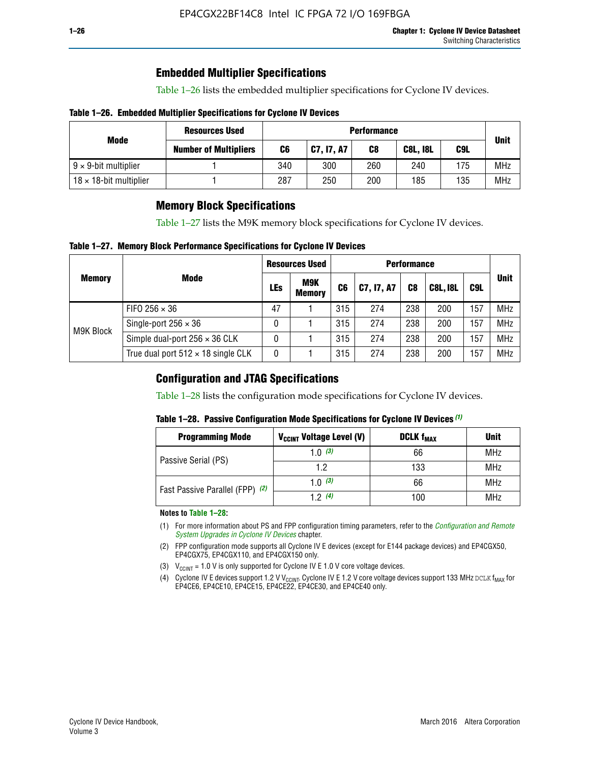# **Embedded Multiplier Specifications**

Table 1–26 lists the embedded multiplier specifications for Cyclone IV devices.

## **Table 1–26. Embedded Multiplier Specifications for Cyclone IV Devices**

|                                | <b>Resources Used</b>        |     | <b>Performance</b> |     |                 |     |             |  |  |  |  |  |  |
|--------------------------------|------------------------------|-----|--------------------|-----|-----------------|-----|-------------|--|--|--|--|--|--|
| Mode                           | <b>Number of Multipliers</b> | C6  | C7, I7, A7         | C8  | <b>C8L, I8L</b> | C9L | <b>Unit</b> |  |  |  |  |  |  |
| $9 \times 9$ -bit multiplier   |                              | 340 | 300                | 260 | 240             | 175 | <b>MHz</b>  |  |  |  |  |  |  |
| $18 \times 18$ -bit multiplier |                              | 287 | 250                | 200 | 185             | 135 | <b>MHz</b>  |  |  |  |  |  |  |

# **Memory Block Specifications**

Table 1–27 lists the M9K memory block specifications for Cyclone IV devices.

## **Table 1–27. Memory Block Performance Specifications for Cyclone IV Devices**

|               |                                           |     | <b>Resources Used</b>       |                |            |                |                 |     |             |
|---------------|-------------------------------------------|-----|-----------------------------|----------------|------------|----------------|-----------------|-----|-------------|
| <b>Memory</b> | <b>Mode</b>                               | LEs | <b>M9K</b><br><b>Memory</b> | C <sub>6</sub> | C7, I7, A7 | C <sub>8</sub> | <b>C8L, I8L</b> | C9L | <b>Unit</b> |
|               | FIFO 256 $\times$ 36                      | 47  |                             | 315            | 274        | 238            | 200             | 157 | <b>MHz</b>  |
| M9K Block     | Single-port $256 \times 36$               | 0   |                             | 315            | 274        | 238            | 200             | 157 | <b>MHz</b>  |
|               | Simple dual-port $256 \times 36$ CLK      | 0   |                             | 315            | 274        | 238            | 200             | 157 | <b>MHz</b>  |
|               | True dual port $512 \times 18$ single CLK | 0   |                             | 315            | 274        | 238            | 200             | 157 | <b>MHz</b>  |

# **Configuration and JTAG Specifications**

Table 1–28 lists the configuration mode specifications for Cyclone IV devices.

## **Table 1–28. Passive Configuration Mode Specifications for Cyclone IV Devices** *(1)*

| <b>Programming Mode</b>         | V <sub>CCINT</sub> Voltage Level (V) | <b>DCLK f<sub>MAX</sub></b> | <b>Unit</b> |
|---------------------------------|--------------------------------------|-----------------------------|-------------|
| Passive Serial (PS)             | 1.0 $(3)$                            | 66                          | MHz         |
|                                 | 1.2                                  | 133                         | MHz         |
| Fast Passive Parallel (FPP) (2) | 1.0 $(3)$                            | 66                          | <b>MHz</b>  |
|                                 | 12(4)                                | 100                         | <b>MHz</b>  |

#### **Notes to Table 1–28:**

- (1) For more information about PS and FPP configuration timing parameters, refer to the *[Configuration and Remote](http://www.altera.com/literature/hb/cyclone-iv/cyiv-51008.pdf)  [System Upgrades in Cyclone IV Devices](http://www.altera.com/literature/hb/cyclone-iv/cyiv-51008.pdf)* chapter.
- (2) FPP configuration mode supports all Cyclone IV E devices (except for E144 package devices) and EP4CGX50, EP4CGX75, EP4CGX110, and EP4CGX150 only.
- (3)  $V_{CCMT}$  = 1.0 V is only supported for Cyclone IV E 1.0 V core voltage devices.
- (4) Cyclone IV E devices support 1.2 V V<sub>CCINT</sub>. Cyclone IV E 1.2 V core voltage devices support 133 MHz DCLK f<sub>MAX</sub> for EP4CE6, EP4CE10, EP4CE15, EP4CE22, EP4CE30, and EP4CE40 only.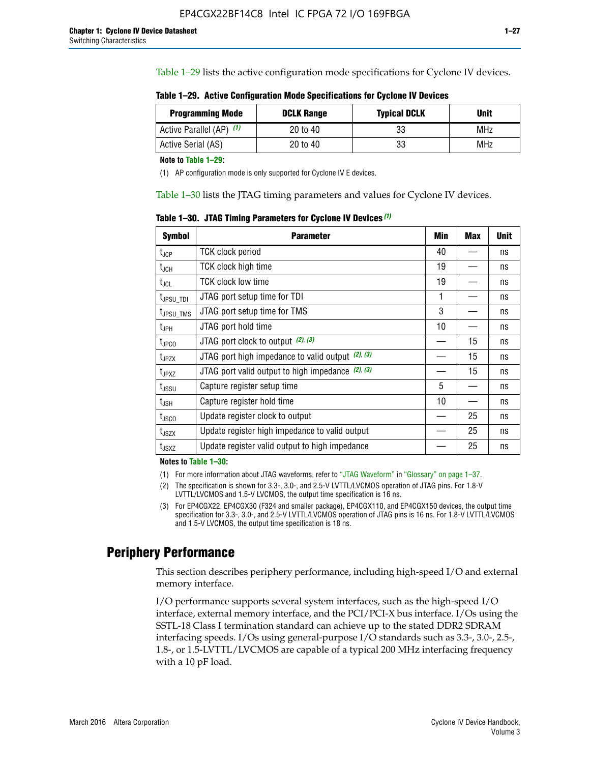Table 1–29 lists the active configuration mode specifications for Cyclone IV devices.

**Table 1–29. Active Configuration Mode Specifications for Cyclone IV Devices**

| <b>Programming Mode</b>  | <b>DCLK Range</b> | <b>Typical DCLK</b> | <b>Unit</b> |
|--------------------------|-------------------|---------------------|-------------|
| Active Parallel (AP) (1) | 20 to 40          | 33                  | MHz         |
| Active Serial (AS)       | 20 to 40          | 33                  | MHz         |

**Note to Table 1–29:**

(1) AP configuration mode is only supported for Cyclone IV E devices.

Table 1–30 lists the JTAG timing parameters and values for Cyclone IV devices.

**Table 1–30. JTAG Timing Parameters for Cyclone IV Devices** *(1)*

| <b>Symbol</b>                | <b>Parameter</b>                                       | Min | <b>Max</b> | <b>Unit</b> |
|------------------------------|--------------------------------------------------------|-----|------------|-------------|
| $t_{JCP}$                    | <b>TCK clock period</b>                                | 40  |            | ns          |
| t <sub>JCH</sub>             | <b>TCK clock high time</b>                             | 19  |            | ns          |
| $t_{JCL}$                    | TCK clock low time                                     | 19  |            | ns          |
| t <sub>JPSU_TDI</sub>        | JTAG port setup time for TDI                           | 1   |            | ns          |
| t <sub>JPSU_TMS</sub>        | JTAG port setup time for TMS                           | 3   |            | ns          |
| t <sub>JPH</sub>             | JTAG port hold time                                    | 10  |            | ns          |
| t <sub>JPCO</sub>            | JTAG port clock to output $(2)$ , $(3)$                |     | 15         | ns          |
| $t_{JPZX}$                   | JTAG port high impedance to valid output $(2)$ , $(3)$ |     | 15         | ns          |
| t <sub>JPXZ</sub>            | JTAG port valid output to high impedance $(2)$ , $(3)$ |     | 15         | ns          |
| $t_{\rm JSSU}$               | Capture register setup time                            | 5   |            | ns          |
| $\mathsf{t}_{\mathsf{JSH}}$  | Capture register hold time                             | 10  |            | ns          |
| t <sub>usco</sub>            | Update register clock to output                        |     | 25         | ns          |
| $t_{\footnotesize \rm JSZX}$ | Update register high impedance to valid output         |     | 25         | ns          |
| t <sub>JSXZ</sub>            | Update register valid output to high impedance         |     | 25         | ns          |

**Notes to Table 1–30:**

(1) For more information about JTAG waveforms, refer to "JTAG Waveform" in "Glossary" on page 1–37.

(2) The specification is shown for 3.3-, 3.0-, and 2.5-V LVTTL/LVCMOS operation of JTAG pins. For 1.8-V LVTTL/LVCMOS and 1.5-V LVCMOS, the output time specification is 16 ns.

(3) For EP4CGX22, EP4CGX30 (F324 and smaller package), EP4CGX110, and EP4CGX150 devices, the output time specification for 3.3-, 3.0-, and 2.5-V LVTTL/LVCMOS operation of JTAG pins is 16 ns. For 1.8-V LVTTL/LVCMOS and 1.5-V LVCMOS, the output time specification is 18 ns.

# **Periphery Performance**

This section describes periphery performance, including high-speed I/O and external memory interface.

I/O performance supports several system interfaces, such as the high-speed I/O interface, external memory interface, and the PCI/PCI-X bus interface. I/Os using the SSTL-18 Class I termination standard can achieve up to the stated DDR2 SDRAM interfacing speeds. I/Os using general-purpose I/O standards such as 3.3-, 3.0-, 2.5-, 1.8-, or 1.5-LVTTL/LVCMOS are capable of a typical 200 MHz interfacing frequency with a 10 pF load.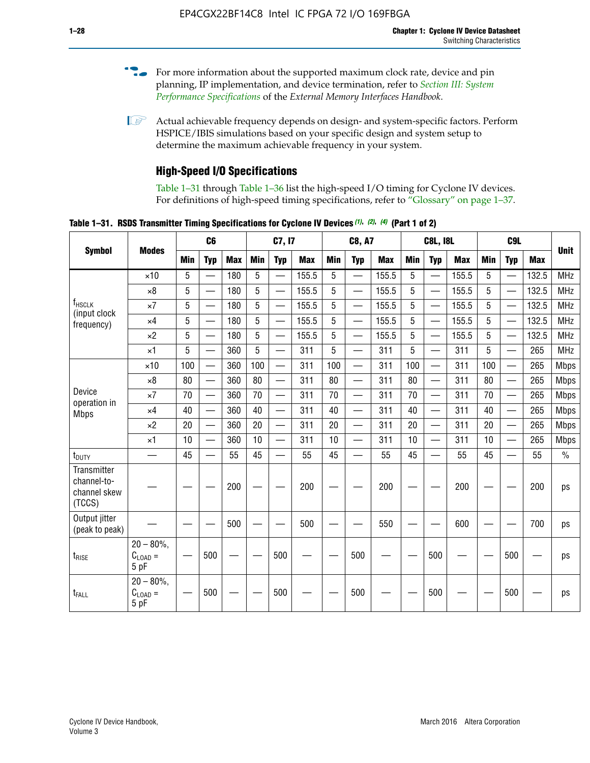- For more information about the supported maximum clock rate, device and pin planning, IP implementation, and device termination, refer to *[Section III: System](http://www.altera.com/literature/hb/external-memory/emi_intro_specs.pdf)  [Performance Specifications](http://www.altera.com/literature/hb/external-memory/emi_intro_specs.pdf)* of the *External Memory Interfaces Handbook*.
- **1 Actual achievable frequency depends on design- and system-specific factors. Perform** HSPICE/IBIS simulations based on your specific design and system setup to determine the maximum achievable frequency in your system.

# **High-Speed I/O Specifications**

Table 1–31 through Table 1–36 list the high-speed I/O timing for Cyclone IV devices. For definitions of high-speed timing specifications, refer to "Glossary" on page 1–37.

**Table 1–31. RSDS Transmitter Timing Specifications for Cyclone IV Devices** *(1)***,** *(2)***,** *(4)* **(Part 1 of 2)**

|                                                             |                                     |     | C <sub>6</sub>           |            | C7, I7     |                          |            |            | <b>C8, A7</b>            |            |     | <b>C8L, I8L</b>          |            |            | <b>Unit</b>              |            |               |
|-------------------------------------------------------------|-------------------------------------|-----|--------------------------|------------|------------|--------------------------|------------|------------|--------------------------|------------|-----|--------------------------|------------|------------|--------------------------|------------|---------------|
| <b>Symbol</b>                                               | <b>Modes</b>                        | Min | <b>Typ</b>               | <b>Max</b> | <b>Min</b> | <b>Typ</b>               | <b>Max</b> | <b>Min</b> | <b>Typ</b>               | <b>Max</b> | Min | <b>Typ</b>               | <b>Max</b> | <b>Min</b> | <b>Typ</b>               | <b>Max</b> |               |
|                                                             | $\times$ 10                         | 5   |                          | 180        | 5          |                          | 155.5      | 5          | $\overline{\phantom{0}}$ | 155.5      | 5   |                          | 155.5      | 5          |                          | 132.5      | <b>MHz</b>    |
|                                                             | $\times 8$                          | 5   |                          | 180        | 5          | $\overline{\phantom{0}}$ | 155.5      | 5          | $\overline{\phantom{0}}$ | 155.5      | 5   | $\overline{\phantom{0}}$ | 155.5      | 5          | $\overline{\phantom{0}}$ | 132.5      | <b>MHz</b>    |
| f <sub>HSCLK</sub><br>(input clock                          | $\times 7$                          | 5   | —                        | 180        | 5          | $\overline{\phantom{0}}$ | 155.5      | 5          | $\overline{\phantom{0}}$ | 155.5      | 5   | $\overline{\phantom{0}}$ | 155.5      | 5          | —                        | 132.5      | <b>MHz</b>    |
| frequency)                                                  | $\times$ 4                          | 5   |                          | 180        | 5          | ÷,                       | 155.5      | 5          | $\overline{\phantom{0}}$ | 155.5      | 5   | $\overline{\phantom{0}}$ | 155.5      | 5          | $\overline{\phantom{0}}$ | 132.5      | <b>MHz</b>    |
|                                                             | $\times 2$                          | 5   |                          | 180        | 5          | $\overline{\phantom{0}}$ | 155.5      | 5          | $\overline{\phantom{0}}$ | 155.5      | 5   | $\overline{\phantom{0}}$ | 155.5      | 5          | —                        | 132.5      | <b>MHz</b>    |
|                                                             | $\times$ 1                          | 5   |                          | 360        | 5          |                          | 311        | 5          | $\overline{\phantom{0}}$ | 311        | 5   | $\overline{\phantom{0}}$ | 311        | 5          | $\overline{\phantom{0}}$ | 265        | <b>MHz</b>    |
|                                                             | $\times$ 10                         | 100 | $\overline{\phantom{0}}$ | 360        | 100        |                          | 311        | 100        | $\overline{\phantom{0}}$ | 311        | 100 | $\overline{\phantom{0}}$ | 311        | 100        | $\equiv$                 | 265        | <b>Mbps</b>   |
|                                                             | $\times 8$                          | 80  | $\qquad \qquad -$        | 360        | 80         |                          | 311        | 80         | $\overline{\phantom{0}}$ | 311        | 80  | $\qquad \qquad -$        | 311        | 80         | $\overline{\phantom{0}}$ | 265        | <b>Mbps</b>   |
| Device<br>operation in                                      | $\times 7$                          | 70  | $\overline{\phantom{0}}$ | 360        | 70         | $\overline{\phantom{0}}$ | 311        | 70         | $\overline{\phantom{0}}$ | 311        | 70  |                          | 311        | 70         | $\overline{\phantom{0}}$ | 265        | <b>Mbps</b>   |
| <b>Mbps</b>                                                 | $\times$ 4                          | 40  | $\qquad \qquad$          | 360        | 40         |                          | 311        | 40         | $\overline{\phantom{0}}$ | 311        | 40  |                          | 311        | 40         | $\overline{\phantom{0}}$ | 265        | <b>Mbps</b>   |
|                                                             | $\times 2$                          | 20  | $\qquad \qquad -$        | 360        | 20         | $\equiv$                 | 311        | 20         | $\overline{\phantom{0}}$ | 311        | 20  |                          | 311        | 20         | $\overline{\phantom{0}}$ | 265        | <b>Mbps</b>   |
|                                                             | $\times$ 1                          | 10  | $\overline{\phantom{0}}$ | 360        | 10         |                          | 311        | 10         | $\overline{\phantom{0}}$ | 311        | 10  |                          | 311        | 10         |                          | 265        | <b>Mbps</b>   |
| t <sub>DUTY</sub>                                           | $\overline{\phantom{0}}$            | 45  | $\overline{\phantom{0}}$ | 55         | 45         |                          | 55         | 45         | $\overline{\phantom{0}}$ | 55         | 45  | $\equiv$                 | 55         | 45         |                          | 55         | $\frac{0}{0}$ |
| <b>Transmitter</b><br>channel-to-<br>channel skew<br>(TCCS) |                                     |     |                          | 200        |            |                          | 200        |            |                          | 200        |     |                          | 200        |            |                          | 200        | ps            |
| Output jitter<br>(peak to peak)                             |                                     |     |                          | 500        |            |                          | 500        |            |                          | 550        |     |                          | 600        |            |                          | 700        | ps            |
| t <sub>rise</sub>                                           | $20 - 80\%$<br>$C_{LOAD} =$<br>5 pF |     | 500                      |            |            | 500                      |            |            | 500                      |            |     | 500                      |            |            | 500                      |            | ps            |
| t <sub>FALL</sub>                                           | $20 - 80\%$<br>$C_{LOAD} =$<br>5 pF |     | 500                      |            |            | 500                      |            |            | 500                      |            |     | 500                      |            |            | 500                      |            | ps            |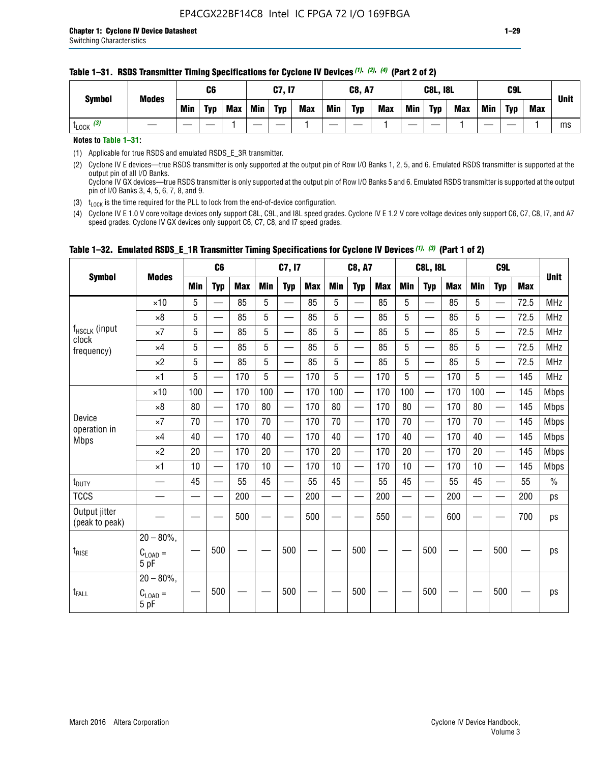#### **Table 1–31. RSDS Transmitter Timing Specifications for Cyclone IV Devices** *(1)***,** *(2)***,** *(4)* **(Part 2 of 2)**

**Notes to Table 1–31:**

(1) Applicable for true RSDS and emulated RSDS\_E\_3R transmitter.

(2) Cyclone IV E devices—true RSDS transmitter is only supported at the output pin of Row I/O Banks 1, 2, 5, and 6. Emulated RSDS transmitter is supported at the output pin of all I/O Banks. Cyclone IV GX devices—true RSDS transmitter is only supported at the output pin of Row I/O Banks 5 and 6. Emulated RSDS transmitter is supported at the output

pin of I/O Banks 3, 4, 5, 6, 7, 8, and 9.

(3)  $t_{\text{LOCK}}$  is the time required for the PLL to lock from the end-of-device configuration.

(4) Cyclone IV E 1.0 V core voltage devices only support C8L, C9L, and I8L speed grades. Cyclone IV E 1.2 V core voltage devices only support C6, C7, C8, I7, and A7 speed grades. Cyclone IV GX devices only support C6, C7, C8, and I7 speed grades.

|                                 |                                       |     | C <sub>6</sub>           |            |            | C7, I7                   |            |                          | <b>C8, A7</b>                             |            |     | <b>C8L, I8L</b>          |            |     |                                           | <b>Unit</b> |               |
|---------------------------------|---------------------------------------|-----|--------------------------|------------|------------|--------------------------|------------|--------------------------|-------------------------------------------|------------|-----|--------------------------|------------|-----|-------------------------------------------|-------------|---------------|
| <b>Symbol</b>                   | <b>Modes</b>                          | Min | <b>Typ</b>               | <b>Max</b> | <b>Min</b> | <b>Typ</b>               | <b>Max</b> | Min                      | <b>Typ</b>                                | <b>Max</b> | Min | <b>Typ</b>               | <b>Max</b> | Min | <b>Typ</b>                                | <b>Max</b>  |               |
|                                 | $\times$ 10                           | 5   |                          | 85         | 5          |                          | 85         | 5                        |                                           | 85         | 5   |                          | 85         | 5   |                                           | 72.5        | <b>MHz</b>    |
|                                 | $\times 8$                            | 5   | —                        | 85         | 5          | $\qquad \qquad$          | 85         | 5                        | $\overline{\phantom{0}}$                  | 85         | 5   | $\overline{\phantom{0}}$ | 85         | 5   |                                           | 72.5        | <b>MHz</b>    |
| f <sub>HSCLK</sub> (input       | $\times 7$                            | 5   | —                        | 85         | 5          |                          | 85         | 5                        | $\equiv$                                  | 85         | 5   | —                        | 85         | 5   | $\overbrace{\phantom{aaaaa}}$             | 72.5        | <b>MHz</b>    |
| clock<br>frequency)             | $\times$ 4                            | 5   | $\overline{\phantom{0}}$ | 85         | 5          |                          | 85         | 5                        | $\overline{\phantom{0}}$                  | 85         | 5   | $\overline{\phantom{0}}$ | 85         | 5   | $\overline{\phantom{0}}$                  | 72.5        | <b>MHz</b>    |
|                                 | $\times 2$                            | 5   | $\overline{\phantom{0}}$ | 85         | 5          |                          | 85         | 5                        | $\qquad \qquad \overline{\qquad \qquad }$ | 85         | 5   | —                        | 85         | 5   | $\qquad \qquad \overline{\qquad \qquad }$ | 72.5        | <b>MHz</b>    |
|                                 | $\times$ 1                            | 5   |                          | 170        | 5          |                          | 170        | 5                        | $\overline{\phantom{0}}$                  | 170        | 5   | $\overline{\phantom{0}}$ | 170        | 5   |                                           | 145         | <b>MHz</b>    |
|                                 | $\times$ 10                           | 100 | $\overline{\phantom{0}}$ | 170        | 100        | $\overline{\phantom{0}}$ | 170        | 100                      | $\overline{\phantom{0}}$                  | 170        | 100 | $\overline{\phantom{0}}$ | 170        | 100 |                                           | 145         | <b>Mbps</b>   |
| Device                          | $\times 8$                            | 80  |                          | 170        | 80         | $\overline{\phantom{m}}$ | 170        | 80                       | $\overline{\phantom{0}}$                  | 170        | 80  | $\overline{\phantom{0}}$ | 170        | 80  |                                           | 145         | <b>Mbps</b>   |
|                                 | $\times 7$                            | 70  | $\overline{\phantom{0}}$ | 170        | 70         |                          | 170        | 70                       | $\overline{\phantom{0}}$                  | 170        | 70  | —                        | 170        | 70  |                                           | 145         | <b>Mbps</b>   |
| operation in<br><b>Mbps</b>     | $\times$ 4                            | 40  | $\qquad \qquad$          | 170        | 40         | $\overline{\phantom{m}}$ | 170        | 40                       | $\overline{\phantom{0}}$                  | 170        | 40  | $\overline{\phantom{0}}$ | 170        | 40  |                                           | 145         | <b>Mbps</b>   |
|                                 | $\times 2$                            | 20  | $\overline{\phantom{0}}$ | 170        | 20         | $\overline{\phantom{0}}$ | 170        | 20                       | $\overline{\phantom{0}}$                  | 170        | 20  | $\overline{\phantom{0}}$ | 170        | 20  | $\overline{\phantom{0}}$                  | 145         | <b>Mbps</b>   |
|                                 | $\times$ 1                            | 10  |                          | 170        | 10         |                          | 170        | 10                       | $\equiv$                                  | 170        | 10  | $\overline{\phantom{0}}$ | 170        | 10  |                                           | 145         | <b>Mbps</b>   |
| $t_{\text{DUTY}}$               |                                       | 45  | $\equiv$                 | 55         | 45         | $\overline{\phantom{0}}$ | 55         | 45                       | $\equiv$                                  | 55         | 45  | $\overline{\phantom{0}}$ | 55         | 45  |                                           | 55          | $\frac{0}{0}$ |
| <b>TCCS</b>                     |                                       |     |                          | 200        |            |                          | 200        | $\overline{\phantom{0}}$ |                                           | 200        |     | $\sim$                   | 200        |     |                                           | 200         | ps            |
| Output jitter<br>(peak to peak) |                                       |     |                          | 500        |            |                          | 500        |                          |                                           | 550        |     |                          | 600        |     |                                           | 700         | ps            |
| $t_{RISE}$                      | $20 - 80\%$ ,<br>$C_{LOAD} =$<br>5 pF |     | 500                      |            |            | 500                      |            |                          | 500                                       |            |     | 500                      |            |     | 500                                       |             | ps            |
| t <sub>FALL</sub>               | $20 - 80\%$ .<br>$C_{LOAD} =$<br>5 pF |     | 500                      |            |            | 500                      |            |                          | 500                                       |            |     | 500                      |            |     | 500                                       |             | ps            |

# **Table 1–32. Emulated RSDS\_E\_1R Transmitter Timing Specifications for Cyclone IV Devices** *(1), (3)* **(Part 1 of 2)**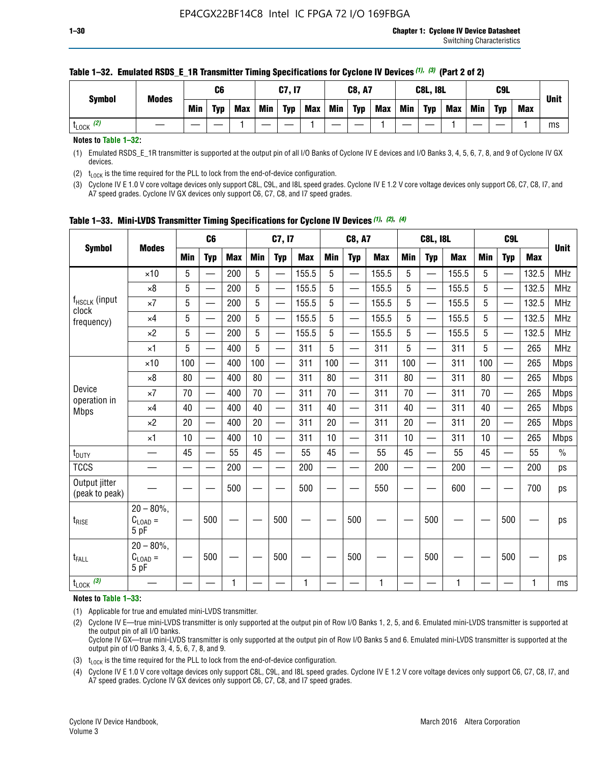| <b>Symbol</b>        | C6<br><b>Modes</b> |     |            | C7, I7     |            | <b>C8, A7</b> |     | <b>C8L, I8L</b> |            |     | C <sub>9</sub> L |     |     | <b>Unit</b> |     |    |
|----------------------|--------------------|-----|------------|------------|------------|---------------|-----|-----------------|------------|-----|------------------|-----|-----|-------------|-----|----|
|                      | <b>Min</b>         | Typ | <b>Max</b> | <b>Min</b> | <b>Typ</b> | <b>Max</b>    | Min | <b>Typ</b>      | <b>Max</b> | Min | <b>Typ</b>       | Max | Min | <b>Typ</b>  | Max |    |
| (2)<br><b>L</b> LOCK |                    |     |            |            |            |               |     |                 |            |     |                  |     |     |             |     | ms |

### **Table 1–32. Emulated RSDS\_E\_1R Transmitter Timing Specifications for Cyclone IV Devices** *(1), (3)* **(Part 2 of 2)**

**Notes to Table 1–32:**

(1) Emulated RSDS\_E\_1R transmitter is supported at the output pin of all I/O Banks of Cyclone IV E devices and I/O Banks 3, 4, 5, 6, 7, 8, and 9 of Cyclone IV GX devices.

(2)  $t_{\text{LOCK}}$  is the time required for the PLL to lock from the end-of-device configuration.

(3) Cyclone IV E 1.0 V core voltage devices only support C8L, C9L, and I8L speed grades. Cyclone IV E 1.2 V core voltage devices only support C6, C7, C8, I7, and A7 speed grades. Cyclone IV GX devices only support C6, C7, C8, and I7 speed grades.

|                                    |                                            |            | C <sub>6</sub>                                |            |                          | C7, I7                   |            |            | <b>C8, A7</b>            |              |                          | <b>C8L, I8L</b>          |            |            | C <sub>9</sub> L |            |               |
|------------------------------------|--------------------------------------------|------------|-----------------------------------------------|------------|--------------------------|--------------------------|------------|------------|--------------------------|--------------|--------------------------|--------------------------|------------|------------|------------------|------------|---------------|
| <b>Symbol</b>                      | <b>Modes</b>                               | <b>Min</b> | <b>Typ</b>                                    | <b>Max</b> | <b>Min</b>               | <b>Typ</b>               | <b>Max</b> | <b>Min</b> | <b>Typ</b>               | <b>Max</b>   | <b>Min</b>               | <b>Typ</b>               | <b>Max</b> | <b>Min</b> | <b>Typ</b>       | <b>Max</b> | <b>Unit</b>   |
|                                    | $\times$ 10                                | 5          | —<br>—                                        | 200        | 5                        | —                        | 155.5      | 5          | ÷,                       | 155.5        | 5                        | $\overline{\phantom{0}}$ | 155.5      | 5          |                  | 132.5      | <b>MHz</b>    |
|                                    | $\times 8$                                 | 5          | $\overline{\phantom{0}}$                      | 200        | $5\phantom{.0}$          | <u>—</u>                 | 155.5      | 5          | $\overline{\phantom{0}}$ | 155.5        | 5                        | $\overline{\phantom{0}}$ | 155.5      | 5          |                  | 132.5      | <b>MHz</b>    |
| f <sub>HSCLK</sub> (input<br>clock | $\times 7$                                 | 5          | $\overline{\phantom{0}}$                      | 200        | 5                        | ÷,                       | 155.5      | 5          | —<br>——                  | 155.5        | 5                        |                          | 155.5      | 5          |                  | 132.5      | <b>MHz</b>    |
| frequency)                         | $\times$ 4                                 | 5          | $\overline{\phantom{0}}$                      | 200        | 5                        | $\overline{\phantom{0}}$ | 155.5      | 5          | $\overline{\phantom{0}}$ | 155.5        | 5                        |                          | 155.5      | 5          | $\qquad \qquad$  | 132.5      | <b>MHz</b>    |
|                                    | $\times 2$                                 | 5          | $\overline{\phantom{0}}$                      | 200        | 5                        | —                        | 155.5      | 5          | $\overline{\phantom{0}}$ | 155.5        | 5                        | $\overline{\phantom{0}}$ | 155.5      | 5          |                  | 132.5      | <b>MHz</b>    |
|                                    | $\times$ 1                                 | 5          | $\overline{\phantom{0}}$                      | 400        | 5                        | —                        | 311        | 5          | $\overline{\phantom{0}}$ | 311          | 5                        | $\overline{\phantom{0}}$ | 311        | 5          |                  | 265        | <b>MHz</b>    |
|                                    | $\times$ 10                                | 100        | $\overline{\phantom{0}}$                      | 400        | 100                      | $\overline{\phantom{0}}$ | 311        | 100        | $\overline{\phantom{0}}$ | 311          | 100                      |                          | 311        | 100        |                  | 265        | <b>Mbps</b>   |
|                                    | $\times 8$                                 | 80         | $\overline{\phantom{0}}$                      | 400        | 80                       |                          | 311        | 80         | $\overline{\phantom{0}}$ | 311          | 80                       | $\overline{\phantom{0}}$ | 311        | 80         |                  | 265        | <b>Mbps</b>   |
| Device                             | $\times 7$                                 | 70         | $\overline{\phantom{0}}$                      | 400        | 70                       | $\overline{\phantom{0}}$ | 311        | 70         | $\overline{\phantom{0}}$ | 311          | 70                       | $\overline{\phantom{0}}$ | 311        | 70         |                  | 265        | <b>Mbps</b>   |
| operation in<br><b>Mbps</b>        | $\times 4$                                 | 40         | $\overline{\phantom{0}}$                      | 400        | 40                       | —                        | 311        | 40         | $\overline{\phantom{0}}$ | 311          | 40                       | $\overline{\phantom{0}}$ | 311        | 40         |                  | 265        | <b>Mbps</b>   |
|                                    | $\times 2$                                 | 20         | $\qquad \qquad \overbrace{\qquad \qquad }^{}$ | 400        | 20                       | —                        | 311        | 20         | —                        | 311          | 20                       | —                        | 311        | 20         | —                | 265        | <b>Mbps</b>   |
|                                    | $\times$ 1                                 | 10         |                                               | 400        | 10                       | —                        | 311        | 10         | $\overline{\phantom{0}}$ | 311          | 10                       | $\overline{\phantom{0}}$ | 311        | 10         |                  | 265        | <b>Mbps</b>   |
| t <sub>DUTY</sub>                  |                                            | 45         | $\overbrace{\phantom{aaaaa}}$                 | 55         | 45                       |                          | 55         | 45         | —                        | 55           | 45                       | $\overline{\phantom{0}}$ | 55         | 45         |                  | 55         | $\frac{0}{0}$ |
| <b>TCCS</b>                        |                                            |            |                                               | 200        | $\overline{\phantom{0}}$ |                          | 200        |            |                          | 200          | $\overline{\phantom{0}}$ |                          | 200        |            |                  | 200        | ps            |
| Output jitter<br>(peak to peak)    |                                            |            |                                               | 500        |                          |                          | 500        |            |                          | 550          |                          |                          | 600        |            |                  | 700        | ps            |
| $t_{\text{RISE}}$                  | $20 - 80\%$ ,<br>$C_{LOAD} =$<br>5 pF      |            | 500                                           |            |                          | 500                      |            |            | 500                      |              |                          | 500                      |            |            | 500              |            | ps            |
| t <sub>FALL</sub>                  | $20 - 80\%$<br>$C_{\text{LOAD}} =$<br>5 pF |            | 500                                           |            |                          | 500                      |            |            | 500                      |              |                          | 500                      |            |            | 500              |            | ps            |
| $t_{\text{LOCK}}$ (3)              |                                            |            |                                               | 1          |                          |                          | 1          |            |                          | $\mathbf{1}$ |                          |                          | 1          |            |                  | 1          | ms            |

**Table 1–33. Mini-LVDS Transmitter Timing Specifications for Cyclone IV Devices** *(1)***,** *(2)***,** *(4)*

**Notes to Table 1–33:**

(1) Applicable for true and emulated mini-LVDS transmitter.

(2) Cyclone IV E—true mini-LVDS transmitter is only supported at the output pin of Row I/O Banks 1, 2, 5, and 6. Emulated mini-LVDS transmitter is supported at the output pin of all I/O banks.

Cyclone IV GX—true mini-LVDS transmitter is only supported at the output pin of Row I/O Banks 5 and 6. Emulated mini-LVDS transmitter is supported at the output pin of I/O Banks 3, 4, 5, 6, 7, 8, and 9.

(3)  $t_{\text{LOCK}}$  is the time required for the PLL to lock from the end-of-device configuration.

(4) Cyclone IV E 1.0 V core voltage devices only support C8L, C9L, and I8L speed grades. Cyclone IV E 1.2 V core voltage devices only support C6, C7, C8, I7, and A7 speed grades. Cyclone IV GX devices only support C6, C7, C8, and I7 speed grades.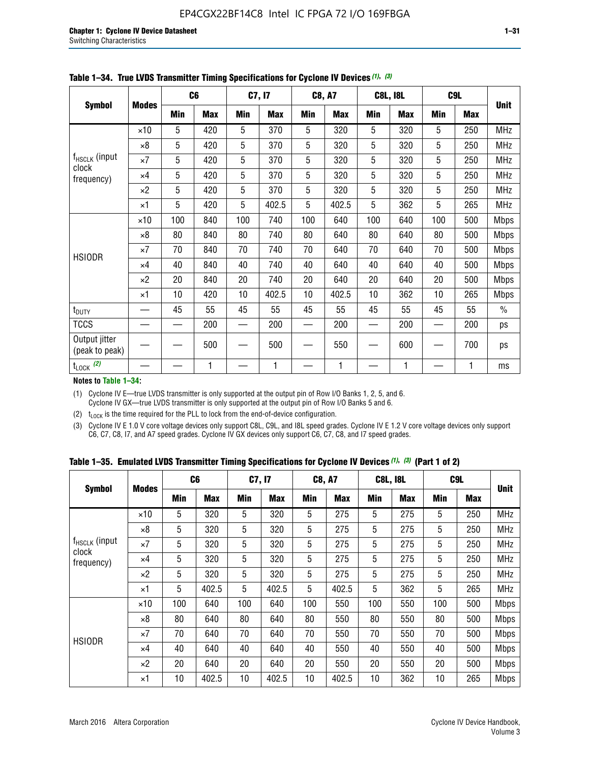|                                 |              |     | C <sub>6</sub> |     | C7, I7     |            | <b>C8, A7</b> |            | <b>C8L, I8L</b> |            | C <sub>9</sub> L |               |
|---------------------------------|--------------|-----|----------------|-----|------------|------------|---------------|------------|-----------------|------------|------------------|---------------|
| <b>Symbol</b>                   | <b>Modes</b> | Min | <b>Max</b>     | Min | <b>Max</b> | <b>Min</b> | <b>Max</b>    | <b>Min</b> | <b>Max</b>      | <b>Min</b> | <b>Max</b>       | <b>Unit</b>   |
|                                 | $\times 10$  | 5   | 420            | 5   | 370        | 5          | 320           | 5          | 320             | 5          | 250              | <b>MHz</b>    |
|                                 | $\times 8$   | 5   | 420            | 5   | 370        | 5          | 320           | 5          | 320             | 5          | 250              | <b>MHz</b>    |
| $f_{HSCLK}$ (input              | $\times 7$   | 5   | 420            | 5   | 370        | 5          | 320           | 5          | 320             | 5          | 250              | MHz           |
| clock<br>frequency)             | $\times$ 4   | 5   | 420            | 5   | 370        | 5          | 320           | 5          | 320             | 5          | 250              | <b>MHz</b>    |
|                                 | $\times 2$   | 5   | 420            | 5   | 370        | 5          | 320           | 5          | 320             | 5          | 250              | <b>MHz</b>    |
|                                 | $\times$ 1   | 5   | 420            | 5   | 402.5      | 5          | 402.5         | 5          | 362             | 5          | 265              | <b>MHz</b>    |
|                                 | $\times$ 10  | 100 | 840            | 100 | 740        | 100        | 640           | 100        | 640             | 100        | 500              | Mbps          |
|                                 | $\times 8$   | 80  | 840            | 80  | 740        | 80         | 640           | 80         | 640             | 80         | 500              | <b>Mbps</b>   |
| <b>HSIODR</b>                   | $\times 7$   | 70  | 840            | 70  | 740        | 70         | 640           | 70         | 640             | 70         | 500              | <b>Mbps</b>   |
|                                 | $\times$ 4   | 40  | 840            | 40  | 740        | 40         | 640           | 40         | 640             | 40         | 500              | <b>Mbps</b>   |
|                                 | $\times 2$   | 20  | 840            | 20  | 740        | 20         | 640           | 20         | 640             | 20         | 500              | <b>Mbps</b>   |
|                                 | $\times$ 1   | 10  | 420            | 10  | 402.5      | 10         | 402.5         | 10         | 362             | 10         | 265              | <b>Mbps</b>   |
| t <sub>DUTY</sub>               |              | 45  | 55             | 45  | 55         | 45         | 55            | 45         | 55              | 45         | 55               | $\frac{0}{0}$ |
| <b>TCCS</b>                     |              |     | 200            |     | 200        |            | 200           |            | 200             |            | 200              | ps            |
| Output jitter<br>(peak to peak) |              |     | 500            |     | 500        |            | 550           |            | 600             |            | 700              | ps            |
| $t_{\text{LOCK}}$ (2)           |              |     | 1              |     | 1          |            | 1             |            | 1               |            | 1                | ms            |

| Table 1-34. True LVDS Transmitter Timing Specifications for Cyclone IV Devices (1), (3) |  |  |  |
|-----------------------------------------------------------------------------------------|--|--|--|
|-----------------------------------------------------------------------------------------|--|--|--|

**Notes to Table 1–34:**

(1) Cyclone IV E—true LVDS transmitter is only supported at the output pin of Row I/O Banks 1, 2, 5, and 6. Cyclone IV GX—true LVDS transmitter is only supported at the output pin of Row I/O Banks 5 and 6.

(2)  $t_{\text{LOCK}}$  is the time required for the PLL to lock from the end-of-device configuration.

(3) Cyclone IV E 1.0 V core voltage devices only support C8L, C9L, and I8L speed grades. Cyclone IV E 1.2 V core voltage devices only support C6, C7, C8, I7, and A7 speed grades. Cyclone IV GX devices only support C6, C7, C8, and I7 speed grades.

|  |  |  |  | Table 1–35. Emulated LVDS Transmitter Timing Specifications for Cyclone IV Devices <sup>(1), (3)</sup> (Part 1 of 2) |  |
|--|--|--|--|----------------------------------------------------------------------------------------------------------------------|--|
|--|--|--|--|----------------------------------------------------------------------------------------------------------------------|--|

|                             |              | C <sub>6</sub> |            | C7, I7     |            | <b>C8, A7</b> |            | <b>C8L, I8L</b> |            |            | C <sub>9</sub> L |             |
|-----------------------------|--------------|----------------|------------|------------|------------|---------------|------------|-----------------|------------|------------|------------------|-------------|
| <b>Symbol</b>               | <b>Modes</b> | Min            | <b>Max</b> | <b>Min</b> | <b>Max</b> | <b>Min</b>    | <b>Max</b> | <b>Min</b>      | <b>Max</b> | <b>Min</b> | <b>Max</b>       | <b>Unit</b> |
|                             | $\times$ 10  | 5              | 320        | 5          | 320        | 5             | 275        | 5               | 275        | 5          | 250              | <b>MHz</b>  |
|                             | $\times 8$   | 5              | 320        | 5          | 320        | 5             | 275        | 5               | 275        | 5          | 250              | <b>MHz</b>  |
| $f_{HSCLK}$ (input<br>clock | $\times 7$   | 5              | 320        | 5          | 320        | 5             | 275        | 5               | 275        | 5          | 250              | <b>MHz</b>  |
| frequency)                  | $\times$ 4   | 5              | 320        | 5          | 320        | 5             | 275        | 5               | 275        | 5          | 250              | <b>MHz</b>  |
|                             | $\times 2$   | 5              | 320        | 5          | 320        | 5             | 275        | 5               | 275        | 5          | 250              | <b>MHz</b>  |
|                             | $\times$ 1   | 5              | 402.5      | 5          | 402.5      | 5             | 402.5      | 5               | 362        | 5          | 265              | <b>MHz</b>  |
|                             | $\times$ 10  | 100            | 640        | 100        | 640        | 100           | 550        | 100             | 550        | 100        | 500              | <b>Mbps</b> |
|                             | $\times 8$   | 80             | 640        | 80         | 640        | 80            | 550        | 80              | 550        | 80         | 500              | <b>Mbps</b> |
| <b>HSIODR</b>               | $\times 7$   | 70             | 640        | 70         | 640        | 70            | 550        | 70              | 550        | 70         | 500              | <b>Mbps</b> |
|                             | $\times$ 4   | 40             | 640        | 40         | 640        | 40            | 550        | 40              | 550        | 40         | 500              | <b>Mbps</b> |
|                             | $\times 2$   | 20             | 640        | 20         | 640        | 20            | 550        | 20              | 550        | 20         | 500              | <b>Mbps</b> |
|                             | $\times$ 1   | 10             | 402.5      | 10         | 402.5      | 10            | 402.5      | 10              | 362        | 10         | 265              | <b>Mbps</b> |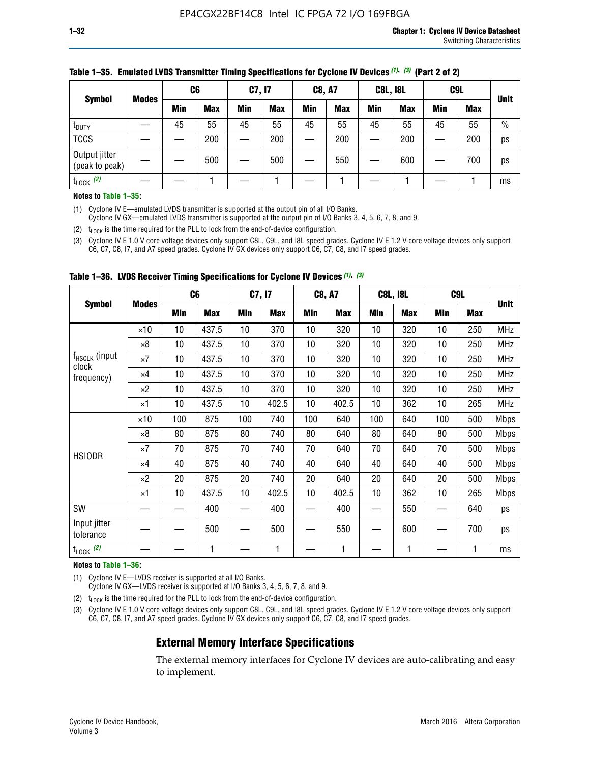|                                 |              | C <sub>6</sub> |            | C7, I7     |            | <b>C8, A7</b> |            | <b>C8L, I8L</b> |            |         | C <sub>9</sub> L |               |
|---------------------------------|--------------|----------------|------------|------------|------------|---------------|------------|-----------------|------------|---------|------------------|---------------|
| <b>Symbol</b>                   | <b>Modes</b> | Min            | <b>Max</b> | <b>Min</b> | <b>Max</b> | <b>Min</b>    | <b>Max</b> | Min             | <b>Max</b> | Min     | <b>Max</b>       | <b>Unit</b>   |
| t <sub>DUTY</sub>               |              | 45             | 55         | 45         | 55         | 45            | 55         | 45              | 55         | 45      | 55               | $\frac{0}{0}$ |
| <b>TCCS</b>                     |              |                | 200        |            | 200        |               | 200        |                 | 200        | —<br>—— | 200              | ps            |
| Output jitter<br>(peak to peak) |              |                | 500        |            | 500        |               | 550        |                 | 600        |         | 700              | ps            |
| $t_{\text{LOCK}}$ (2)           |              |                |            |            |            |               |            |                 |            |         |                  | ms            |

### **Table 1–35. Emulated LVDS Transmitter Timing Specifications for Cyclone IV Devices** *(1)***,** *(3)* **(Part 2 of 2)**

#### **Notes to Table 1–35:**

(1) Cyclone IV E—emulated LVDS transmitter is supported at the output pin of all I/O Banks.

Cyclone IV GX—emulated LVDS transmitter is supported at the output pin of I/O Banks 3, 4, 5, 6, 7, 8, and 9.

(2)  $t_{\text{LOCK}}$  is the time required for the PLL to lock from the end-of-device configuration.

(3) Cyclone IV E 1.0 V core voltage devices only support C8L, C9L, and I8L speed grades. Cyclone IV E 1.2 V core voltage devices only support C6, C7, C8, I7, and A7 speed grades. Cyclone IV GX devices only support C6, C7, C8, and I7 speed grades.

|                                    |              |     | C <sub>6</sub> | C7, I7          |            | <b>C8, A7</b> |            |     | <b>C8L, I8L</b> | C <sub>9</sub> L |            |             |
|------------------------------------|--------------|-----|----------------|-----------------|------------|---------------|------------|-----|-----------------|------------------|------------|-------------|
| <b>Symbol</b>                      | <b>Modes</b> | Min | <b>Max</b>     | <b>Min</b>      | <b>Max</b> | Min           | <b>Max</b> | Min | <b>Max</b>      | Min              | <b>Max</b> | <b>Unit</b> |
|                                    | $\times$ 10  | 10  | 437.5          | 10 <sup>°</sup> | 370        | 10            | 320        | 10  | 320             | 10               | 250        | <b>MHz</b>  |
|                                    | $\times 8$   | 10  | 437.5          | 10              | 370        | 10            | 320        | 10  | 320             | 10               | 250        | <b>MHz</b>  |
| f <sub>HSCLK</sub> (input<br>clock | $\times 7$   | 10  | 437.5          | 10              | 370        | 10            | 320        | 10  | 320             | 10               | 250        | <b>MHz</b>  |
| frequency)                         | $\times 4$   | 10  | 437.5          | 10              | 370        | 10            | 320        | 10  | 320             | 10               | 250        | <b>MHz</b>  |
|                                    | $\times 2$   | 10  | 437.5          | 10              | 370        | 10            | 320        | 10  | 320             | 10               | 250        | <b>MHz</b>  |
|                                    | ×1           | 10  | 437.5          | 10 <sup>1</sup> | 402.5      | 10            | 402.5      | 10  | 362             | 10               | 265        | <b>MHz</b>  |
|                                    | $\times$ 10  | 100 | 875            | 100             | 740        | 100           | 640        | 100 | 640             | 100              | 500        | <b>Mbps</b> |
|                                    | $\times 8$   | 80  | 875            | 80              | 740        | 80            | 640        | 80  | 640             | 80               | 500        | <b>Mbps</b> |
| <b>HSIODR</b>                      | $\times 7$   | 70  | 875            | 70              | 740        | 70            | 640        | 70  | 640             | 70               | 500        | <b>Mbps</b> |
|                                    | $\times 4$   | 40  | 875            | 40              | 740        | 40            | 640        | 40  | 640             | 40               | 500        | <b>Mbps</b> |
|                                    | $\times 2$   | 20  | 875            | 20              | 740        | 20            | 640        | 20  | 640             | 20               | 500        | <b>Mbps</b> |
|                                    | ×1           | 10  | 437.5          | 10              | 402.5      | 10            | 402.5      | 10  | 362             | 10               | 265        | <b>Mbps</b> |
| SW                                 |              |     | 400            |                 | 400        |               | 400        |     | 550             |                  | 640        | ps          |
| Input jitter<br>tolerance          |              |     | 500            |                 | 500        |               | 550        |     | 600             |                  | 700        | ps          |
| $t_{\text{LOCK}}$ (2)              |              |     | 1              |                 | 1          |               | 1          |     | 1               |                  | 1          | ms          |

**Table 1–36. LVDS Receiver Timing Specifications for Cyclone IV Devices** *(1)***,** *(3)*

#### **Notes to Table 1–36:**

(1) Cyclone IV E—LVDS receiver is supported at all I/O Banks.

Cyclone IV GX—LVDS receiver is supported at I/O Banks 3, 4, 5, 6, 7, 8, and 9.

(2)  $t_{\text{LOCK}}$  is the time required for the PLL to lock from the end-of-device configuration.

(3) Cyclone IV E 1.0 V core voltage devices only support C8L, C9L, and I8L speed grades. Cyclone IV E 1.2 V core voltage devices only support C6, C7, C8, I7, and A7 speed grades. Cyclone IV GX devices only support C6, C7, C8, and I7 speed grades.

# **External Memory Interface Specifications**

The external memory interfaces for Cyclone IV devices are auto-calibrating and easy to implement.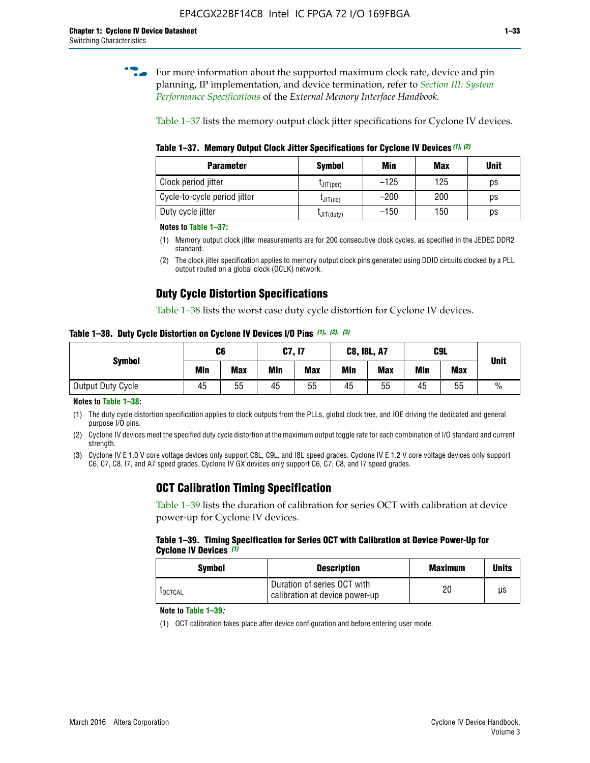**for more information about the supported maximum clock rate, device and pin** planning, IP implementation, and device termination, refer to *[Section III: System](http://www.altera.com/literature/hb/external-memory/emi_intro_specs.pdf)  [Performance Specifications](http://www.altera.com/literature/hb/external-memory/emi_intro_specs.pdf)* of the *External Memory Interface Handbook*.

Table 1–37 lists the memory output clock jitter specifications for Cyclone IV devices.

**Table 1–37. Memory Output Clock Jitter Specifications for Cyclone IV Devices** *(1)***,** *(2)*

| <b>Parameter</b>             | <b>Symbol</b>  | Min    | <b>Max</b> | <b>Unit</b> |
|------------------------------|----------------|--------|------------|-------------|
| Clock period jitter          | $L$ JIT(per)   | $-125$ | 125        | ps          |
| Cycle-to-cycle period jitter | $L$ JIT $(cc)$ | $-200$ | 200        | ps          |
| Duty cycle jitter            | LJIT(duty)     | $-150$ | 150        | рs          |

**Notes to Table 1–37:**

(1) Memory output clock jitter measurements are for 200 consecutive clock cycles, as specified in the JEDEC DDR2 standard.

# **Duty Cycle Distortion Specifications**

Table 1–38 lists the worst case duty cycle distortion for Cyclone IV devices.

**Table 1–38. Duty Cycle Distortion on Cyclone IV Devices I/O Pins** *(1)***,** *(2), (3)*

| <b>Symbol</b>     | C6  |            | C7, I7     |            | <b>C8, I8L, A7</b> |            | C9L        | <b>Unit</b> |               |
|-------------------|-----|------------|------------|------------|--------------------|------------|------------|-------------|---------------|
|                   | Min | <b>Max</b> | <b>Min</b> | <b>Max</b> | Min                | <b>Max</b> | <b>Min</b> | <b>Max</b>  |               |
| Output Duty Cycle | 45  | 55         | 45         | 55         | 45                 | 55         | 45         | 55          | $\frac{0}{0}$ |

**Notes to Table 1–38:**

(1) The duty cycle distortion specification applies to clock outputs from the PLLs, global clock tree, and IOE driving the dedicated and general purpose I/O pins.

(2) Cyclone IV devices meet the specified duty cycle distortion at the maximum output toggle rate for each combination of I/O standard and current strength.

(3) Cyclone IV E 1.0 V core voltage devices only support C8L, C9L, and I8L speed grades. Cyclone IV E 1.2 V core voltage devices only support C6, C7, C8, I7, and A7 speed grades. Cyclone IV GX devices only support C6, C7, C8, and I7 speed grades.

# **OCT Calibration Timing Specification**

Table 1–39 lists the duration of calibration for series OCT with calibration at device power-up for Cyclone IV devices.

#### **Table 1–39. Timing Specification for Series OCT with Calibration at Device Power-Up for Cyclone IV Devices** *(1)*

| Symbol  | <b>Description</b>                                            | <b>Maximum</b> | <b>Units</b> |
|---------|---------------------------------------------------------------|----------------|--------------|
| LOCTCAL | Duration of series OCT with<br>calibration at device power-up | 20             | μs           |

### **Note to Table 1–39***:*

(1) OCT calibration takes place after device configuration and before entering user mode.

<sup>(2)</sup> The clock jitter specification applies to memory output clock pins generated using DDIO circuits clocked by a PLL output routed on a global clock (GCLK) network.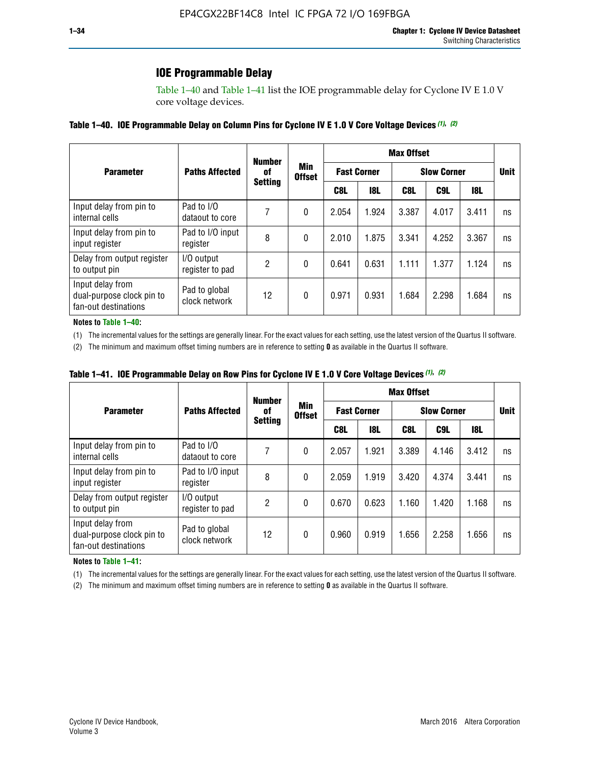# **IOE Programmable Delay**

Table 1–40 and Table 1–41 list the IOE programmable delay for Cyclone IV E 1.0 V core voltage devices.

### **Table 1–40. IOE Programmable Delay on Column Pins for Cyclone IV E 1.0 V Core Voltage Devices** *(1)***,** *(2)*

|                                                                       |                                | <b>Number</b>  |                      | <b>Max Offset</b>  |            |       |                    |       |             |  |
|-----------------------------------------------------------------------|--------------------------------|----------------|----------------------|--------------------|------------|-------|--------------------|-------|-------------|--|
| <b>Parameter</b>                                                      | <b>Paths Affected</b>          | 0f             | Min<br><b>Offset</b> | <b>Fast Corner</b> |            |       | <b>Slow Corner</b> |       | <b>Unit</b> |  |
|                                                                       |                                | <b>Setting</b> |                      | C8L                | <b>18L</b> | C8L   | C9L                | 18L   |             |  |
| Input delay from pin to<br>internal cells                             | Pad to I/O<br>dataout to core  |                | 0                    | 2.054              | 1.924      | 3.387 | 4.017              | 3.411 | ns          |  |
| Input delay from pin to<br>input register                             | Pad to I/O input<br>register   | 8              | 0                    | 2.010              | 1.875      | 3.341 | 4.252              | 3.367 | ns          |  |
| Delay from output register<br>to output pin                           | I/O output<br>register to pad  | 2              | 0                    | 0.641              | 0.631      | 1.111 | 1.377              | 1.124 | ns          |  |
| Input delay from<br>dual-purpose clock pin to<br>fan-out destinations | Pad to global<br>clock network | 12             | 0                    | 0.971              | 0.931      | 1.684 | 2.298              | 1.684 | ns          |  |

#### **Notes to Table 1–40:**

(1) The incremental values for the settings are generally linear. For the exact values for each setting, use the latest version of the Quartus II software.

(2) The minimum and maximum offset timing numbers are in reference to setting **0** as available in the Quartus II software.

| Table 1–41. IOE Programmable Delay on Row Pins for Cyclone IV E 1.0 V Core Voltage Devices (1), (2) |  |  |
|-----------------------------------------------------------------------------------------------------|--|--|
|-----------------------------------------------------------------------------------------------------|--|--|

|                                                                       | <b>Number</b>                  |                |                      |       |                    | <b>Max Offset</b>  |             |       |    |  |  |
|-----------------------------------------------------------------------|--------------------------------|----------------|----------------------|-------|--------------------|--------------------|-------------|-------|----|--|--|
| <b>Parameter</b>                                                      | <b>Paths Affected</b>          | 0f             | Min<br><b>Offset</b> |       | <b>Fast Corner</b> | <b>Slow Corner</b> | <b>Unit</b> |       |    |  |  |
|                                                                       |                                | <b>Setting</b> |                      | C8L   | <b>18L</b>         | C8L                | C9L         | 18L   |    |  |  |
| Input delay from pin to<br>internal cells                             | Pad to I/O<br>dataout to core  |                | 0                    | 2.057 | 1.921              | 3.389              | 4.146       | 3.412 | ns |  |  |
| Input delay from pin to<br>input register                             | Pad to I/O input<br>register   | 8              | 0                    | 2.059 | 1.919              | 3.420              | 4.374       | 3.441 | ns |  |  |
| Delay from output register<br>to output pin                           | I/O output<br>register to pad  | 2              | 0                    | 0.670 | 0.623              | 1.160              | 1.420       | 1.168 | ns |  |  |
| Input delay from<br>dual-purpose clock pin to<br>fan-out destinations | Pad to global<br>clock network | 12             | 0                    | 0.960 | 0.919              | 1.656              | 2.258       | 1.656 | ns |  |  |

#### **Notes to Table 1–41:**

(1) The incremental values for the settings are generally linear. For the exact values for each setting, use the latest version of the Quartus II software.

(2) The minimum and maximum offset timing numbers are in reference to setting **0** as available in the Quartus II software.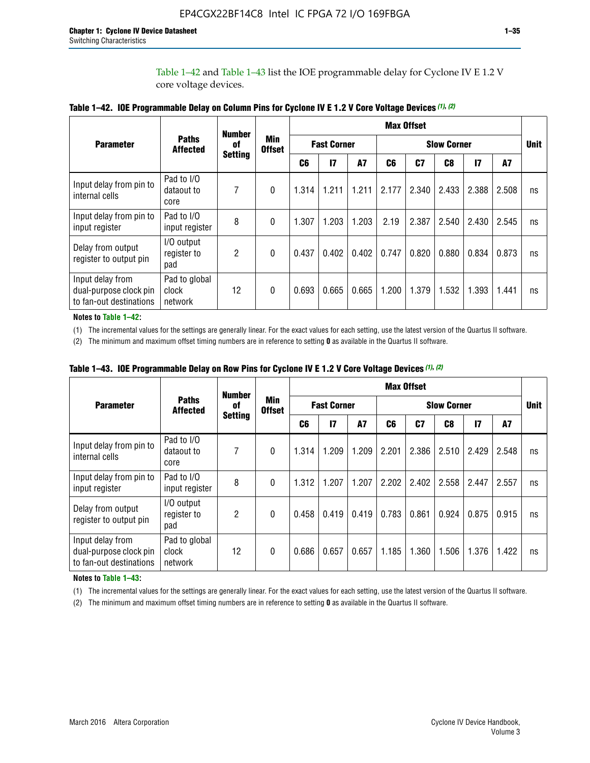Table 1–42 and Table 1–43 list the IOE programmable delay for Cyclone IV E 1.2 V core voltage devices.

|                                                                       |                                   | <b>Number</b>  |                      |                                          |       |           |       | <b>Max Offset</b> |                |               |             |    |
|-----------------------------------------------------------------------|-----------------------------------|----------------|----------------------|------------------------------------------|-------|-----------|-------|-------------------|----------------|---------------|-------------|----|
| <b>Parameter</b>                                                      | <b>Paths</b><br><b>Affected</b>   | of             | Min<br><b>Offset</b> | <b>Fast Corner</b><br><b>Slow Corner</b> |       |           |       |                   |                |               | <b>Unit</b> |    |
|                                                                       |                                   | <b>Setting</b> |                      | C <sub>6</sub>                           | 17    | <b>A7</b> | C6    | C <sub>7</sub>    | C <sub>8</sub> | $\mathsf{I}7$ | A7          |    |
| Input delay from pin to<br>internal cells                             | Pad to I/O<br>dataout to<br>core  | 7              | 0                    | 1.314                                    | 1.211 | 1.211     | 2.177 | 2.340             | 2.433          | 2.388         | 2.508       | ns |
| Input delay from pin to<br>input register                             | Pad to I/O<br>input register      | 8              | $\theta$             | 1.307                                    | 1.203 | 1.203     | 2.19  | 2.387             | 2.540          | 2.430         | 2.545       | ns |
| Delay from output<br>register to output pin                           | I/O output<br>register to<br>pad  | $\overline{2}$ | 0                    | 0.437                                    | 0.402 | 0.402     | 0.747 | 0.820             | 0.880          | 0.834         | 0.873       | ns |
| Input delay from<br>dual-purpose clock pin<br>to fan-out destinations | Pad to global<br>clock<br>network | 12             | 0                    | 0.693                                    | 0.665 | 0.665     | 1.200 | 1.379             | 1.532          | 1.393         | 1.441       | ns |

**Table 1–42. IOE Programmable Delay on Column Pins for Cyclone IV E 1.2 V Core Voltage Devices** *(1)***,** *(2)*

**Notes to Table 1–42:**

(1) The incremental values for the settings are generally linear. For the exact values for each setting, use the latest version of the Quartus II software.

(2) The minimum and maximum offset timing numbers are in reference to setting **0** as available in the Quartus II software.

|                                                                       |                                   | <b>Number</b>  |                      |       |                    |       |       | <b>Max Offset</b>  |       |               |       |    |
|-----------------------------------------------------------------------|-----------------------------------|----------------|----------------------|-------|--------------------|-------|-------|--------------------|-------|---------------|-------|----|
| <b>Parameter</b>                                                      | <b>Paths</b><br><b>Affected</b>   | 0f             | Min<br><b>Offset</b> |       | <b>Fast Corner</b> |       |       | <b>Slow Corner</b> |       |               |       |    |
|                                                                       |                                   | <b>Setting</b> |                      | C6    | 17                 | A7    | C6    | C7                 | C8    | $\mathsf{I}7$ | A7    |    |
| Input delay from pin to<br>internal cells                             | Pad to I/O<br>dataout to<br>core  | 7              | 0                    | 1.314 | 1.209              | 1.209 | 2.201 | 2.386              | 2.510 | 2.429         | 2.548 | ns |
| Input delay from pin to<br>input register                             | Pad to I/O<br>input register      | 8              | $\theta$             | 1.312 | 1.207              | 1.207 | 2.202 | 2.402              | 2.558 | 2.447         | 2.557 | ns |
| Delay from output<br>register to output pin                           | I/O output<br>register to<br>pad  | $\overline{c}$ | 0                    | 0.458 | 0.419              | 0.419 | 0.783 | 0.861              | 0.924 | 0.875         | 0.915 | ns |
| Input delay from<br>dual-purpose clock pin<br>to fan-out destinations | Pad to global<br>clock<br>network | 12             | 0                    | 0.686 | 0.657              | 0.657 | 1.185 | 1.360              | 1.506 | 1.376         | 1.422 | ns |

**Table 1–43. IOE Programmable Delay on Row Pins for Cyclone IV E 1.2 V Core Voltage Devices** *(1)***,** *(2)*

#### **Notes to Table 1–43:**

(1) The incremental values for the settings are generally linear. For the exact values for each setting, use the latest version of the Quartus II software.

(2) The minimum and maximum offset timing numbers are in reference to setting **0** as available in the Quartus II software.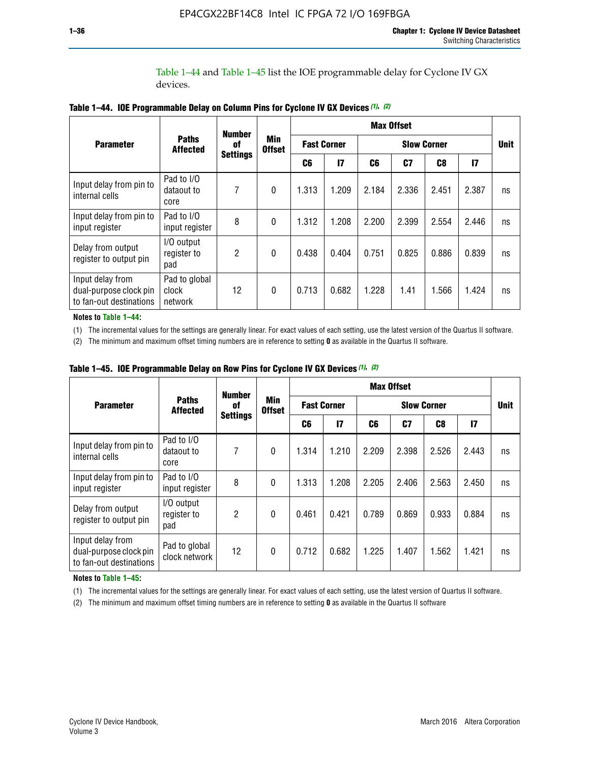Table 1–44 and Table 1–45 list the IOE programmable delay for Cyclone IV GX devices.

|                                                                       |                                   | <b>Number</b>   |                             |                    |              |                    | <b>Max Offset</b> |                |               |             |
|-----------------------------------------------------------------------|-----------------------------------|-----------------|-----------------------------|--------------------|--------------|--------------------|-------------------|----------------|---------------|-------------|
| <b>Parameter</b>                                                      | <b>Paths</b><br><b>Affected</b>   | 0f              | <b>Min</b><br><b>Offset</b> | <b>Fast Corner</b> |              | <b>Slow Corner</b> |                   |                |               | <b>Unit</b> |
|                                                                       |                                   | <b>Settings</b> |                             | C6                 | $\mathbf{I}$ | C6                 | C <sub>7</sub>    | C <sub>8</sub> | $\mathsf{I}7$ |             |
| Input delay from pin to<br>internal cells                             | Pad to I/O<br>dataout to<br>core  | 7               | $\boldsymbol{0}$            | 1.313              | 1.209        | 2.184              | 2.336             | 2.451          | 2.387         | ns          |
| Input delay from pin to<br>input register                             | Pad to I/O<br>input register      | 8               | $\Omega$                    | 1.312              | 1.208        | 2.200              | 2.399             | 2.554          | 2.446         | ns          |
| Delay from output<br>register to output pin                           | I/O output<br>register to<br>pad  | 2               | $\mathbf{0}$                | 0.438              | 0.404        | 0.751              | 0.825             | 0.886          | 0.839         | ns          |
| Input delay from<br>dual-purpose clock pin<br>to fan-out destinations | Pad to global<br>clock<br>network | 12              | 0                           | 0.713              | 0.682        | 1.228              | 1.41              | 1.566          | 1.424         | ns          |

**Table 1–44. IOE Programmable Delay on Column Pins for Cyclone IV GX Devices** *(1)***,** *(2)*

**Notes to Table 1–44:**

(1) The incremental values for the settings are generally linear. For exact values of each setting, use the latest version of the Quartus II software.

(2) The minimum and maximum offset timing numbers are in reference to setting **0** as available in the Quartus II software.

|                                                                       |                                  | <b>Number</b>   |                      |                                          |       |       | <b>Max Offset</b> |             |              |    |
|-----------------------------------------------------------------------|----------------------------------|-----------------|----------------------|------------------------------------------|-------|-------|-------------------|-------------|--------------|----|
| <b>Parameter</b>                                                      | <b>Paths</b><br><b>Affected</b>  | 0f              | Min<br><b>Offset</b> | <b>Fast Corner</b><br><b>Slow Corner</b> |       |       |                   | <b>Unit</b> |              |    |
|                                                                       |                                  | <b>Settings</b> |                      | C6                                       | 17    | C6    | C7                | C8          | $\mathbf{I}$ |    |
| Input delay from pin to<br>internal cells                             | Pad to I/O<br>dataout to<br>core | 7               | $\mathbf{0}$         | 1.314                                    | 1.210 | 2.209 | 2.398             | 2.526       | 2.443        | ns |
| Input delay from pin to<br>input register                             | Pad to I/O<br>input register     | 8               | $\mathbf{0}$         | 1.313                                    | 1.208 | 2.205 | 2.406             | 2.563       | 2.450        | ns |
| Delay from output<br>register to output pin                           | I/O output<br>register to<br>pad | $\overline{2}$  | $\mathbf{0}$         | 0.461                                    | 0.421 | 0.789 | 0.869             | 0.933       | 0.884        | ns |
| Input delay from<br>dual-purpose clock pin<br>to fan-out destinations | Pad to global<br>clock network   | 12              | 0                    | 0.712                                    | 0.682 | 1.225 | 1.407             | 1.562       | 1.421        | ns |

**Table 1–45. IOE Programmable Delay on Row Pins for Cyclone IV GX Devices** *(1)***,** *(2)*

#### **Notes to Table 1–45:**

(1) The incremental values for the settings are generally linear. For exact values of each setting, use the latest version of Quartus II software.

(2) The minimum and maximum offset timing numbers are in reference to setting **0** as available in the Quartus II software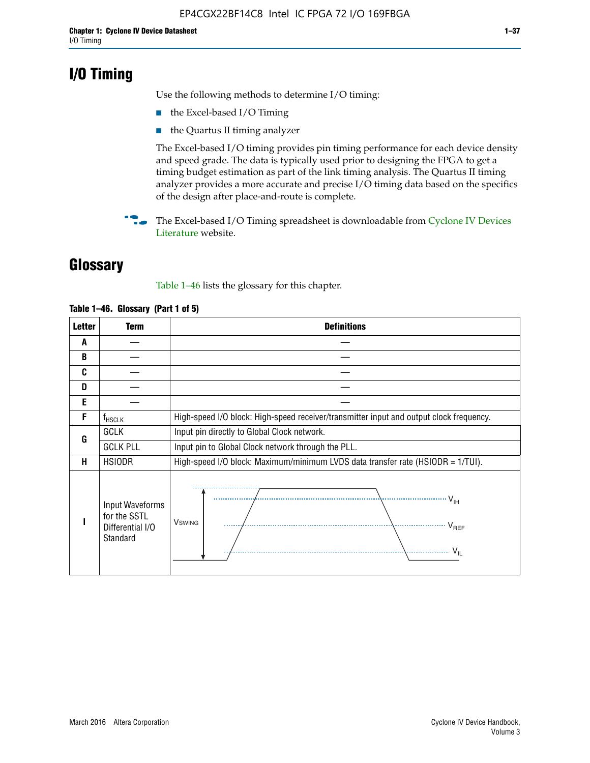# **I/O Timing**

Use the following methods to determine I/O timing:

- the Excel-based I/O Timing
- the Quartus II timing analyzer

The Excel-based I/O timing provides pin timing performance for each device density and speed grade. The data is typically used prior to designing the FPGA to get a timing budget estimation as part of the link timing analysis. The Quartus II timing analyzer provides a more accurate and precise I/O timing data based on the specifics of the design after place-and-route is complete.

**For The Excel-based I/O Timing spreadsheet is downloadable from Cyclone IV Devices** [Literature](http://www.altera.com/literature/lit-cyclone-iv.jsp) website.

# **Glossary**

Table 1–46 lists the glossary for this chapter.

| <b>Letter</b> | <b>Term</b>                                                     | <b>Definitions</b>                                                                                                                               |
|---------------|-----------------------------------------------------------------|--------------------------------------------------------------------------------------------------------------------------------------------------|
| A             |                                                                 |                                                                                                                                                  |
| B             |                                                                 |                                                                                                                                                  |
| C             |                                                                 |                                                                                                                                                  |
| D             |                                                                 |                                                                                                                                                  |
| E             |                                                                 |                                                                                                                                                  |
| F             | $f_{\sf HSCLK}$                                                 | High-speed I/O block: High-speed receiver/transmitter input and output clock frequency.                                                          |
| G             | <b>GCLK</b>                                                     | Input pin directly to Global Clock network.                                                                                                      |
|               | <b>GCLK PLL</b>                                                 | Input pin to Global Clock network through the PLL.                                                                                               |
| н             | <b>HSIODR</b>                                                   | High-speed I/O block: Maximum/minimum LVDS data transfer rate (HSIODR = 1/TUI).                                                                  |
|               | Input Waveforms<br>for the SSTL<br>Differential I/O<br>Standard | $\frac{1}{\sqrt{1+\frac{1}{2}}}\left\{ \frac{1}{\sqrt{1+\frac{1}{2}}}\right\}$<br><b>V</b> swing<br>$\cdots$ $V_{REF}$<br>\<br>$\sim V_{\rm IL}$ |

### **Table 1–46. Glossary (Part 1 of 5)**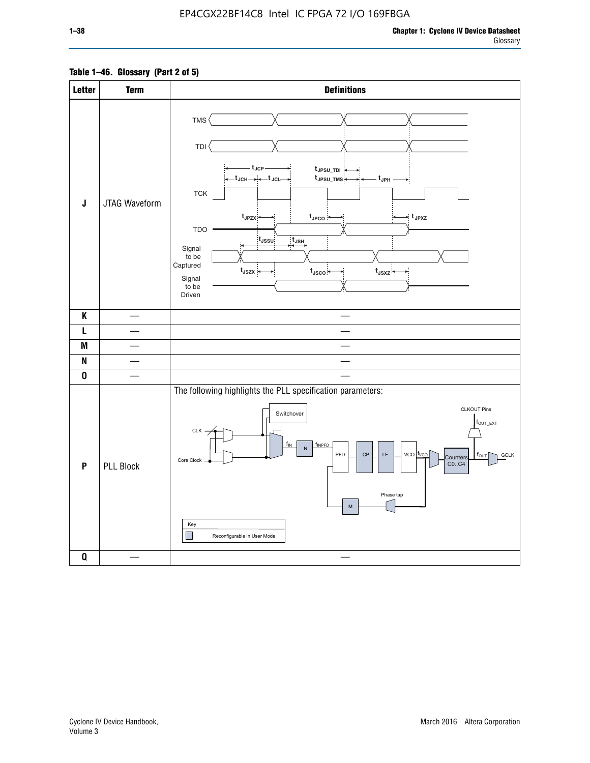# **Table 1–46. Glossary (Part 2 of 5)**

| <b>Letter</b> | <b>Term</b>      | <b>Definitions</b>                                                                                                                                                                                                                                                                                                                                                                                                                                                                                                                         |
|---------------|------------------|--------------------------------------------------------------------------------------------------------------------------------------------------------------------------------------------------------------------------------------------------------------------------------------------------------------------------------------------------------------------------------------------------------------------------------------------------------------------------------------------------------------------------------------------|
| J             | JTAG Waveform    | TMS<br>TDI<br>– t <sub>JCP</sub> –<br>t JPSU_TDI<br>—t <sub>JCH</sub> → → +—t <sub>JCL</sub> —<br>t <sub>JPSU_TMS</sub><br>– t <sub>JPH</sub> –<br>${\sf TCK}$<br>$t_{JPZX}$<br>$t_{\text{JPCO}}$<br>$\star$ t <sub>JPXZ</sub><br>TDO ·<br>$t_{\rm JSSU}$<br>$t_{JSH}$<br>Signal<br>to be<br>Captured<br>$t_{\text{JSZX}}$<br>$t_{\text{JSCO}}$<br>$t_{JSXZ}$<br>Signal<br>to be<br>Driven                                                                                                                                                 |
| K             |                  |                                                                                                                                                                                                                                                                                                                                                                                                                                                                                                                                            |
| L             |                  |                                                                                                                                                                                                                                                                                                                                                                                                                                                                                                                                            |
| M             |                  | $\mathbb{R}^2$                                                                                                                                                                                                                                                                                                                                                                                                                                                                                                                             |
| N             |                  |                                                                                                                                                                                                                                                                                                                                                                                                                                                                                                                                            |
| $\pmb{0}$     |                  |                                                                                                                                                                                                                                                                                                                                                                                                                                                                                                                                            |
| P             | <b>PLL Block</b> | The following highlights the PLL specification parameters:<br><b>CLKOUT Pins</b><br>Switchover<br>$f_{\text{OUT\_EXT}}$<br>CLK -<br>$f_{IN}$<br>fINPFD<br>$\mathsf{N}$<br>$vco$ $t_{vco}$<br>PFD<br>$\mathsf{CP}$<br>$\mathsf{LF}% _{0}\left( t\right) \equiv\mathsf{LF}_{0}\left( t\right)$<br><b>GCLK</b><br>$f_{\text{OUT}}$<br>Counters<br>Core Clock<br>CO., C4<br>Phase tap<br>$\mathsf{M}% _{T}=\mathsf{M}_{T}\!\left( a,b\right) ,\ \mathsf{M}_{T}=\mathsf{M}_{T}\!\left( a,b\right) ,$<br>Key<br>H<br>Reconfigurable in User Mode |
| $\pmb{0}$     |                  |                                                                                                                                                                                                                                                                                                                                                                                                                                                                                                                                            |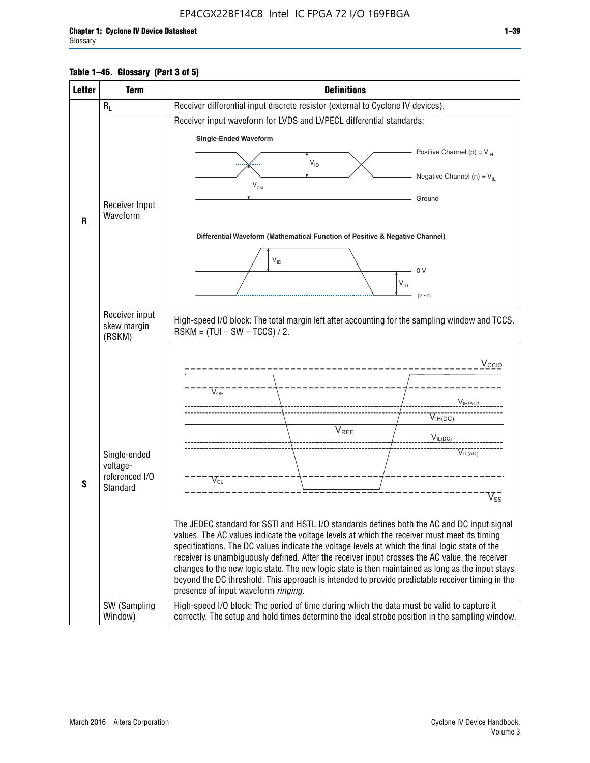# **Table 1–46. Glossary (Part 3 of 5)**

| <b>Letter</b> | <b>Term</b>                | <b>Definitions</b>                                                                                                                                                                                |
|---------------|----------------------------|---------------------------------------------------------------------------------------------------------------------------------------------------------------------------------------------------|
|               | $R_L$                      | Receiver differential input discrete resistor (external to Cyclone IV devices).                                                                                                                   |
|               |                            | Receiver input waveform for LVDS and LVPECL differential standards:                                                                                                                               |
|               |                            | <b>Single-Ended Waveform</b>                                                                                                                                                                      |
|               |                            | Positive Channel (p) = $V_{\text{H}}$                                                                                                                                                             |
|               |                            | $V_{ID}$                                                                                                                                                                                          |
|               |                            | Negative Channel (n) = $V_{\parallel}$<br>$V_{CM}$                                                                                                                                                |
|               | Receiver Input             | Ground                                                                                                                                                                                            |
| R             | Waveform                   |                                                                                                                                                                                                   |
|               |                            | Differential Waveform (Mathematical Function of Positive & Negative Channel)                                                                                                                      |
|               |                            |                                                                                                                                                                                                   |
|               |                            | $V_{ID}$                                                                                                                                                                                          |
|               |                            | 0 <sub>V</sub><br>$V_{ID}$                                                                                                                                                                        |
|               |                            | $p - n$                                                                                                                                                                                           |
|               | Receiver input             |                                                                                                                                                                                                   |
|               | skew margin                | High-speed I/O block: The total margin left after accounting for the sampling window and TCCS.<br>$RSKM = (TUI - SW - TCCS) / 2.$                                                                 |
|               | (RSKM)                     |                                                                                                                                                                                                   |
|               |                            | V <sub>CCIO</sub>                                                                                                                                                                                 |
|               |                            |                                                                                                                                                                                                   |
|               |                            | $V_{\text{\tiny OH}}^-$                                                                                                                                                                           |
|               |                            | $V_{IH(AC)}$                                                                                                                                                                                      |
|               |                            | $V_{IH(DC)}$<br>$V_{REF}$                                                                                                                                                                         |
|               |                            | $V_{IL(DC)}$                                                                                                                                                                                      |
|               | Single-ended               | VIL(AC)                                                                                                                                                                                           |
|               | voltage-<br>referenced I/O | $V_{OL}$                                                                                                                                                                                          |
| S             | Standard                   | $\mathrm{V_{ss}}$                                                                                                                                                                                 |
|               |                            |                                                                                                                                                                                                   |
|               |                            | The JEDEC standard for SSTI and HSTL I/O standards defines both the AC and DC input signal                                                                                                        |
|               |                            | values. The AC values indicate the voltage levels at which the receiver must meet its timing                                                                                                      |
|               |                            | specifications. The DC values indicate the voltage levels at which the final logic state of the<br>receiver is unambiguously defined. After the receiver input crosses the AC value, the receiver |
|               |                            | changes to the new logic state. The new logic state is then maintained as long as the input stays                                                                                                 |
|               |                            | beyond the DC threshold. This approach is intended to provide predictable receiver timing in the<br>presence of input waveform ringing.                                                           |
|               | SW (Sampling               | High-speed I/O block: The period of time during which the data must be valid to capture it                                                                                                        |
|               | Window)                    | correctly. The setup and hold times determine the ideal strobe position in the sampling window.                                                                                                   |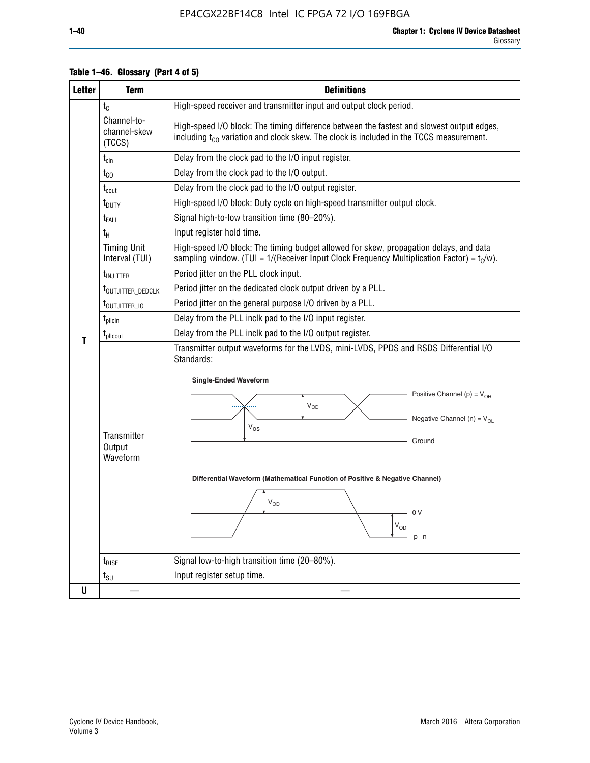| <b>Letter</b> | <b>Term</b>                           | <b>Definitions</b>                                                                                                                                                                                                                                                                                                                                                                |  |  |  |  |  |  |  |
|---------------|---------------------------------------|-----------------------------------------------------------------------------------------------------------------------------------------------------------------------------------------------------------------------------------------------------------------------------------------------------------------------------------------------------------------------------------|--|--|--|--|--|--|--|
|               | $t_{\rm C}$                           | High-speed receiver and transmitter input and output clock period.                                                                                                                                                                                                                                                                                                                |  |  |  |  |  |  |  |
|               | Channel-to-<br>channel-skew<br>(TCCS) | High-speed I/O block: The timing difference between the fastest and slowest output edges,<br>including t <sub>co</sub> variation and clock skew. The clock is included in the TCCS measurement.                                                                                                                                                                                   |  |  |  |  |  |  |  |
|               | $t_{\text{cin}}$                      | Delay from the clock pad to the I/O input register.                                                                                                                                                                                                                                                                                                                               |  |  |  |  |  |  |  |
|               | $t_{CO}$                              | Delay from the clock pad to the I/O output.                                                                                                                                                                                                                                                                                                                                       |  |  |  |  |  |  |  |
|               | $t_{\text{cout}}$                     | Delay from the clock pad to the I/O output register.                                                                                                                                                                                                                                                                                                                              |  |  |  |  |  |  |  |
|               | $t_{\text{DUTY}}$                     | High-speed I/O block: Duty cycle on high-speed transmitter output clock.                                                                                                                                                                                                                                                                                                          |  |  |  |  |  |  |  |
|               | t <sub>FALL</sub>                     | Signal high-to-low transition time (80-20%).                                                                                                                                                                                                                                                                                                                                      |  |  |  |  |  |  |  |
|               | t <sub>H</sub>                        | Input register hold time.                                                                                                                                                                                                                                                                                                                                                         |  |  |  |  |  |  |  |
|               | <b>Timing Unit</b><br>Interval (TUI)  | High-speed I/O block: The timing budget allowed for skew, propagation delays, and data<br>sampling window. (TUI = $1/($ Receiver Input Clock Frequency Multiplication Factor) = $tC/w$ ).                                                                                                                                                                                         |  |  |  |  |  |  |  |
|               | t <sub>injitter</sub>                 | Period jitter on the PLL clock input.                                                                                                                                                                                                                                                                                                                                             |  |  |  |  |  |  |  |
|               | t <sub>outjitter_dedclk</sub>         | Period jitter on the dedicated clock output driven by a PLL.                                                                                                                                                                                                                                                                                                                      |  |  |  |  |  |  |  |
|               | t <sub>outjitter_io</sub>             | Period jitter on the general purpose I/O driven by a PLL.                                                                                                                                                                                                                                                                                                                         |  |  |  |  |  |  |  |
|               | t <sub>pllcin</sub>                   | Delay from the PLL inclk pad to the I/O input register.                                                                                                                                                                                                                                                                                                                           |  |  |  |  |  |  |  |
| т             | $t_{\text{pll}$ cout                  | Delay from the PLL inclk pad to the I/O output register.                                                                                                                                                                                                                                                                                                                          |  |  |  |  |  |  |  |
|               | Transmitter<br>Output<br>Waveform     | Transmitter output waveforms for the LVDS, mini-LVDS, PPDS and RSDS Differential I/O<br>Standards:<br><b>Single-Ended Waveform</b><br>Positive Channel (p) = $V_{OH}$<br>VOD<br>Negative Channel (n) = $V_{OL}$<br>$V_{OS}$<br>Ground<br>Differential Waveform (Mathematical Function of Positive & Negative Channel)<br>$\mathsf{V}_{\mathsf{OD}}$<br>0 V<br>$V_{OD}$<br>$p - n$ |  |  |  |  |  |  |  |
|               | $t_{\text{RISE}}$                     | Signal low-to-high transition time (20-80%).                                                                                                                                                                                                                                                                                                                                      |  |  |  |  |  |  |  |
|               | $t_{\scriptstyle\text{SU}}$           | Input register setup time.                                                                                                                                                                                                                                                                                                                                                        |  |  |  |  |  |  |  |
| U             |                                       |                                                                                                                                                                                                                                                                                                                                                                                   |  |  |  |  |  |  |  |

# **Table 1–46. Glossary (Part 4 of 5)**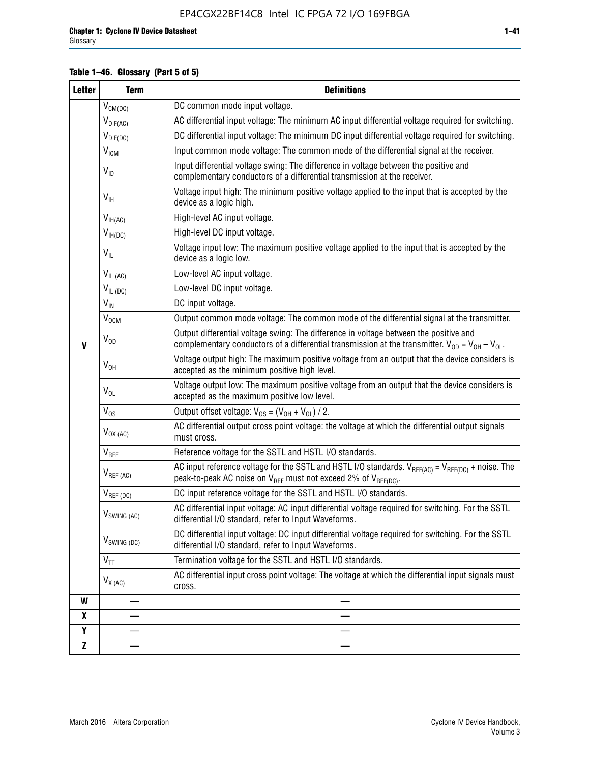# **Table 1–46. Glossary (Part 5 of 5)**

| <b>Letter</b> | <b>Term</b>             | <b>Definitions</b>                                                                                                                                                                                |
|---------------|-------------------------|---------------------------------------------------------------------------------------------------------------------------------------------------------------------------------------------------|
|               | $V_{CM(DC)}$            | DC common mode input voltage.                                                                                                                                                                     |
|               | $V_{DIF(AC)}$           | AC differential input voltage: The minimum AC input differential voltage required for switching.                                                                                                  |
|               | $V_{DIF(DC)}$           | DC differential input voltage: The minimum DC input differential voltage required for switching.                                                                                                  |
|               | V <sub>ICM</sub>        | Input common mode voltage: The common mode of the differential signal at the receiver.                                                                                                            |
|               | $V_{ID}$                | Input differential voltage swing: The difference in voltage between the positive and<br>complementary conductors of a differential transmission at the receiver.                                  |
|               | $V_{\text{IH}}$         | Voltage input high: The minimum positive voltage applied to the input that is accepted by the<br>device as a logic high.                                                                          |
|               | $V_{IH(AC)}$            | High-level AC input voltage.                                                                                                                                                                      |
|               | $V_{IH(DC)}$            | High-level DC input voltage.                                                                                                                                                                      |
|               | $V_{IL}$                | Voltage input low: The maximum positive voltage applied to the input that is accepted by the<br>device as a logic low.                                                                            |
|               | $V_{IL(AC)}$            | Low-level AC input voltage.                                                                                                                                                                       |
|               | $V_{IL(DC)}$            | Low-level DC input voltage.                                                                                                                                                                       |
|               | $V_{\text{IN}}$         | DC input voltage.                                                                                                                                                                                 |
|               | $V_{OCM}$               | Output common mode voltage: The common mode of the differential signal at the transmitter.                                                                                                        |
| $\mathbf{V}$  | $V_{OD}$                | Output differential voltage swing: The difference in voltage between the positive and<br>complementary conductors of a differential transmission at the transmitter. $V_{OD} = V_{OH} - V_{OL}$ . |
|               | $V_{OH}$                | Voltage output high: The maximum positive voltage from an output that the device considers is<br>accepted as the minimum positive high level.                                                     |
|               | $V_{OL}$                | Voltage output low: The maximum positive voltage from an output that the device considers is<br>accepted as the maximum positive low level.                                                       |
|               | $V_{OS}$                | Output offset voltage: $V_{OS} = (V_{OH} + V_{OL}) / 2$ .                                                                                                                                         |
|               | $V_{OX (AC)}$           | AC differential output cross point voltage: the voltage at which the differential output signals<br>must cross.                                                                                   |
|               | V <sub>REF</sub>        | Reference voltage for the SSTL and HSTL I/O standards.                                                                                                                                            |
|               | $V_{REF\,(AC)}$         | AC input reference voltage for the SSTL and HSTL I/O standards. $V_{REF(AC)} = V_{REF(DC)} +$ noise. The<br>peak-to-peak AC noise on $V_{REF}$ must not exceed 2% of $V_{REF(DC)}$ .              |
|               | $V_{REF(DC)}$           | DC input reference voltage for the SSTL and HSTL I/O standards.                                                                                                                                   |
|               | $V_{\text{SWING (AC)}}$ | AC differential input voltage: AC input differential voltage required for switching. For the SSTL<br>differential I/O standard, refer to Input Waveforms.                                         |
|               | $V_{SWING (DC)}$        | DC differential input voltage: DC input differential voltage required for switching. For the SSTL<br>differential I/O standard, refer to Input Waveforms.                                         |
|               | $V_{TT}$                | Termination voltage for the SSTL and HSTL I/O standards.                                                                                                                                          |
|               | $V_{X(AC)}$             | AC differential input cross point voltage: The voltage at which the differential input signals must<br>cross.                                                                                     |
| W             |                         |                                                                                                                                                                                                   |
| X             |                         |                                                                                                                                                                                                   |
| Υ             |                         |                                                                                                                                                                                                   |
| Z             |                         |                                                                                                                                                                                                   |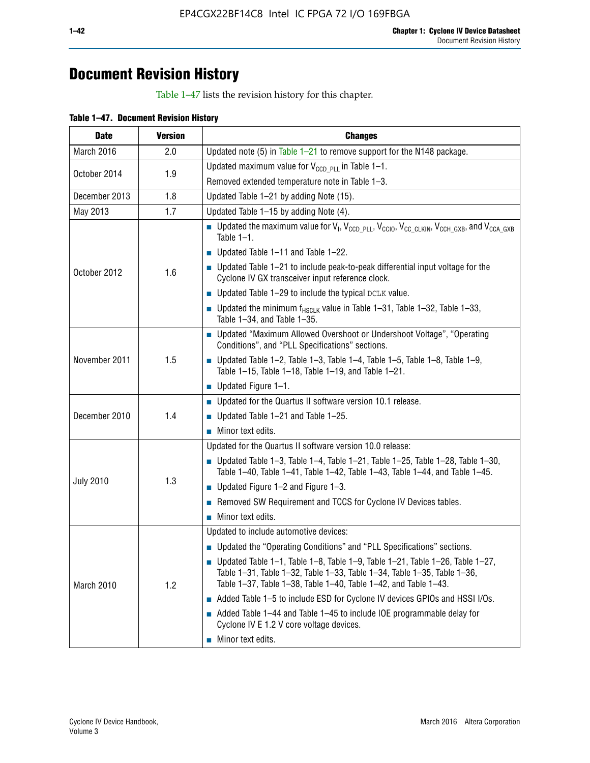# **Document Revision History**

Table 1–47 lists the revision history for this chapter.

| <b>Date</b>      | <b>Version</b> | <b>Changes</b>                                                                                                                                                                                                                            |
|------------------|----------------|-------------------------------------------------------------------------------------------------------------------------------------------------------------------------------------------------------------------------------------------|
| March 2016       | 2.0            | Updated note (5) in Table $1-21$ to remove support for the N148 package.                                                                                                                                                                  |
| October 2014     | 1.9            | Updated maximum value for $V_{CCD, PL}$ in Table 1-1.                                                                                                                                                                                     |
|                  |                | Removed extended temperature note in Table 1-3.                                                                                                                                                                                           |
| December 2013    | 1.8            | Updated Table 1-21 by adding Note (15).                                                                                                                                                                                                   |
| May 2013         | 1.7            | Updated Table 1-15 by adding Note (4).                                                                                                                                                                                                    |
| October 2012     | 1.6            | Dpdated the maximum value for $V_1$ , $V_{CCD\_PLL}$ , $V_{CC10}$ , $V_{CC\_CLKIN}$ , $V_{CCH\_GXB}$ , and $V_{CCA\_GXB}$<br>Table $1-1$ .                                                                                                |
|                  |                | $\blacksquare$ Updated Table 1-11 and Table 1-22.                                                                                                                                                                                         |
|                  |                | $\blacksquare$ Updated Table 1-21 to include peak-to-peak differential input voltage for the<br>Cyclone IV GX transceiver input reference clock.                                                                                          |
|                  |                | $\blacksquare$ Updated Table 1-29 to include the typical DCLK value.                                                                                                                                                                      |
|                  |                | <b>Updated the minimum f<sub>HSCLK</sub></b> value in Table 1-31, Table 1-32, Table 1-33,<br>Table 1-34, and Table 1-35.                                                                                                                  |
| November 2011    | 1.5            | • Updated "Maximum Allowed Overshoot or Undershoot Voltage", "Operating<br>Conditions", and "PLL Specifications" sections.                                                                                                                |
|                  |                | Updated Table 1-2, Table 1-3, Table 1-4, Table 1-5, Table 1-8, Table 1-9,<br>Table 1-15, Table 1-18, Table 1-19, and Table 1-21.                                                                                                          |
|                  |                | ■ Updated Figure $1-1$ .                                                                                                                                                                                                                  |
| December 2010    | 1.4            | • Updated for the Quartus II software version 10.1 release.                                                                                                                                                                               |
|                  |                | $\blacksquare$ Updated Table 1-21 and Table 1-25.                                                                                                                                                                                         |
|                  |                | $\blacksquare$ Minor text edits.                                                                                                                                                                                                          |
|                  | 1.3            | Updated for the Quartus II software version 10.0 release:                                                                                                                                                                                 |
| <b>July 2010</b> |                | Updated Table 1-3, Table 1-4, Table 1-21, Table 1-25, Table 1-28, Table 1-30,<br>Table 1-40, Table 1-41, Table 1-42, Table 1-43, Table 1-44, and Table 1-45.                                                                              |
|                  |                | ■ Updated Figure $1-2$ and Figure $1-3$ .                                                                                                                                                                                                 |
|                  |                | Removed SW Requirement and TCCS for Cyclone IV Devices tables.                                                                                                                                                                            |
|                  |                | $\blacksquare$ Minor text edits.                                                                                                                                                                                                          |
|                  | 1.2            | Updated to include automotive devices:                                                                                                                                                                                                    |
| March 2010       |                | • Updated the "Operating Conditions" and "PLL Specifications" sections.                                                                                                                                                                   |
|                  |                | $\blacksquare$ Updated Table 1-1, Table 1-8, Table 1-9, Table 1-21, Table 1-26, Table 1-27,<br>Table 1-31, Table 1-32, Table 1-33, Table 1-34, Table 1-35, Table 1-36,<br>Table 1-37, Table 1-38, Table 1-40, Table 1-42, and Table 1-43. |
|                  |                | Added Table 1-5 to include ESD for Cyclone IV devices GPIOs and HSSI I/Os.                                                                                                                                                                |
|                  |                | Added Table 1-44 and Table 1-45 to include IOE programmable delay for<br>Cyclone IV E 1.2 V core voltage devices.                                                                                                                         |
|                  |                | Minor text edits.                                                                                                                                                                                                                         |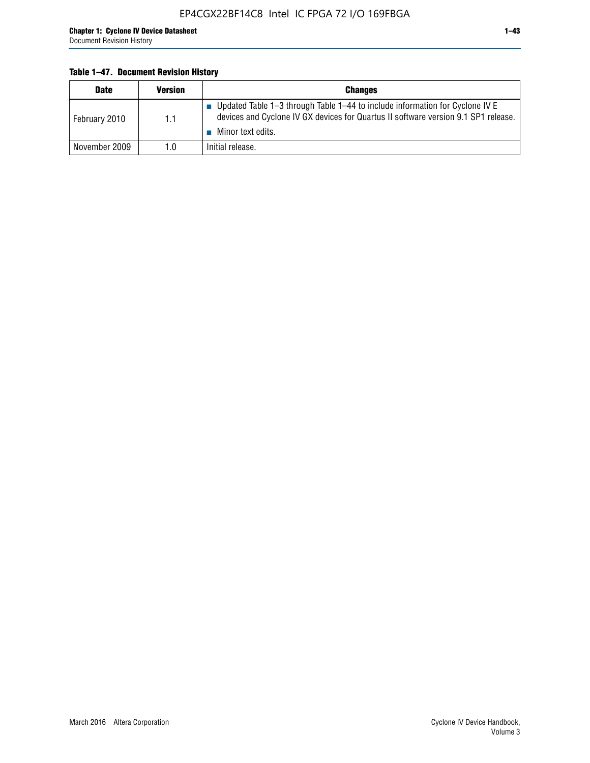# **Table 1–47. Document Revision History**

| <b>Date</b>   | <b>Version</b> | <b>Changes</b>                                                                                                                                                                          |
|---------------|----------------|-----------------------------------------------------------------------------------------------------------------------------------------------------------------------------------------|
| February 2010 | 1.1            | Updated Table 1-3 through Table 1-44 to include information for Cyclone IV E<br>devices and Cyclone IV GX devices for Quartus II software version 9.1 SP1 release.<br>Minor text edits. |
| November 2009 | 1.0            | Initial release.                                                                                                                                                                        |